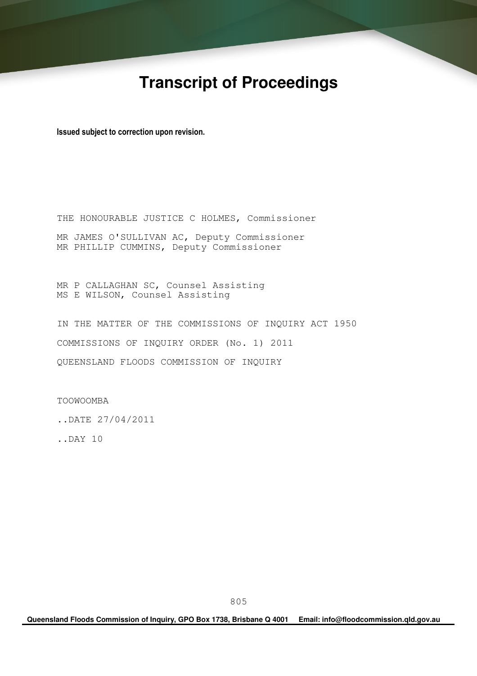# **Transcript of Proceedings**

Issued subject to correction upon revision.

THE HONOURABLE JUSTICE C HOLMES, Commissioner MR JAMES O'SULLIVAN AC, Deputy Commissioner MR PHILLIP CUMMINS, Deputy Commissioner

MR P CALLAGHAN SC, Counsel Assisting MS E WILSON, Counsel Assisting

IN THE MATTER OF THE COMMISSIONS OF INQUIRY ACT 1950 COMMISSIONS OF INQUIRY ORDER (No. 1) 2011 QUEENSLAND FLOODS COMMISSION OF INQUIRY

TOOWOOMBA

..DATE 27/04/2011

..DAY 10

**Queensland Floods Commission of Inquiry, GPO Box 1738, Brisbane Q 4001 Email: info@floodcommission.qld.gov.au**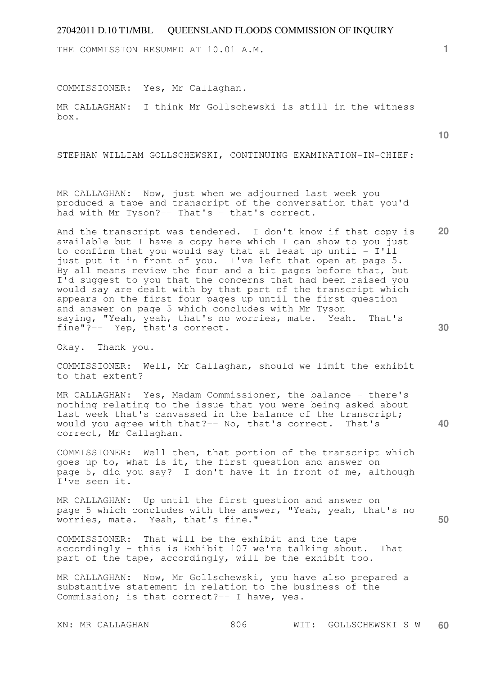THE COMMISSION RESUMED AT 10.01 A.M.

COMMISSIONER: Yes, Mr Callaghan.

MR CALLAGHAN: I think Mr Gollschewski is still in the witness box.

STEPHAN WILLIAM GOLLSCHEWSKI, CONTINUING EXAMINATION-IN-CHIEF:

MR CALLAGHAN: Now, just when we adjourned last week you produced a tape and transcript of the conversation that you'd had with Mr Tyson?-- That's - that's correct.

**20 30**  And the transcript was tendered. I don't know if that copy is available but I have a copy here which I can show to you just to confirm that you would say that at least up until  $- I'$ ll just put it in front of you. I've left that open at page 5. By all means review the four and a bit pages before that, but I'd suggest to you that the concerns that had been raised you would say are dealt with by that part of the transcript which appears on the first four pages up until the first question and answer on page 5 which concludes with Mr Tyson saying, "Yeah, yeah, that's no worries, mate. Yeah. That's fine"?-- Yep, that's correct.

Okay. Thank you.

COMMISSIONER: Well, Mr Callaghan, should we limit the exhibit to that extent?

MR CALLAGHAN: Yes, Madam Commissioner, the balance - there's nothing relating to the issue that you were being asked about last week that's canvassed in the balance of the transcript; would you agree with that?-- No, that's correct. That's correct, Mr Callaghan.

COMMISSIONER: Well then, that portion of the transcript which goes up to, what is it, the first question and answer on page 5, did you say? I don't have it in front of me, although I've seen it.

MR CALLAGHAN: Up until the first question and answer on page 5 which concludes with the answer, "Yeah, yeah, that's no worries, mate. Yeah, that's fine."

COMMISSIONER: That will be the exhibit and the tape accordingly - this is Exhibit 107 we're talking about. That part of the tape, accordingly, will be the exhibit too.

MR CALLAGHAN: Now, Mr Gollschewski, you have also prepared a substantive statement in relation to the business of the Commission; is that correct?-- I have, yes.

**1**

**10** 

**40**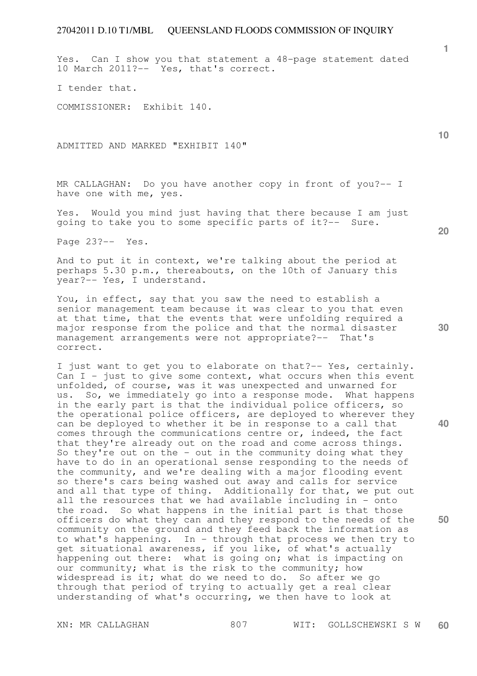Yes. Can I show you that statement a 48-page statement dated 10 March 2011?-- Yes, that's correct.

I tender that.

COMMISSIONER: Exhibit 140.

ADMITTED AND MARKED "EXHIBIT 140"

MR CALLAGHAN: Do you have another copy in front of you?-- I have one with me, yes.

Yes. Would you mind just having that there because I am just going to take you to some specific parts of it?-- Sure.

Page 23?-- Yes.

And to put it in context, we're talking about the period at perhaps 5.30 p.m., thereabouts, on the 10th of January this year?-- Yes, I understand.

You, in effect, say that you saw the need to establish a senior management team because it was clear to you that even at that time, that the events that were unfolding required a major response from the police and that the normal disaster management arrangements were not appropriate?-- That's correct.

I just want to get you to elaborate on that?-- Yes, certainly. Can  $I$  - just to give some context, what occurs when this event unfolded, of course, was it was unexpected and unwarned for us. So, we immediately go into a response mode. What happens in the early part is that the individual police officers, so the operational police officers, are deployed to wherever they can be deployed to whether it be in response to a call that comes through the communications centre or, indeed, the fact that they're already out on the road and come across things. So they're out on the - out in the community doing what they have to do in an operational sense responding to the needs of the community, and we're dealing with a major flooding event so there's cars being washed out away and calls for service and all that type of thing. Additionally for that, we put out all the resources that we had available including in - onto the road. So what happens in the initial part is that those officers do what they can and they respond to the needs of the community on the ground and they feed back the information as to what's happening. In - through that process we then try to get situational awareness, if you like, of what's actually happening out there: what is going on; what is impacting on our community; what is the risk to the community; how widespread is it; what do we need to do. So after we go through that period of trying to actually get a real clear understanding of what's occurring, we then have to look at

**10** 

**1**

**20** 

**40**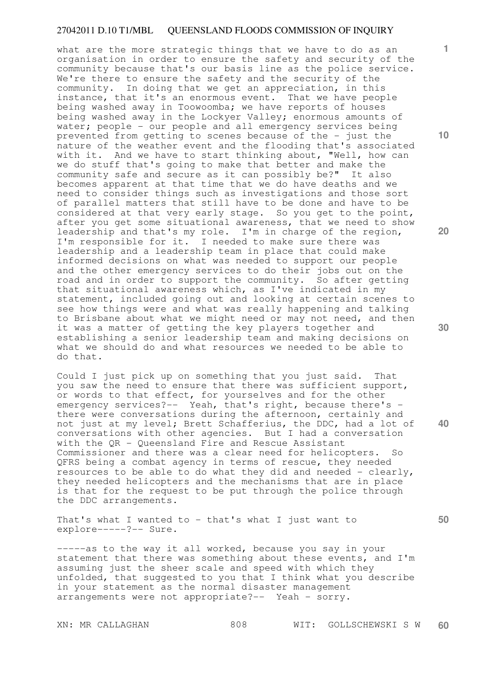what are the more strategic things that we have to do as an organisation in order to ensure the safety and security of the community because that's our basis line as the police service. We're there to ensure the safety and the security of the community. In doing that we get an appreciation, in this instance, that it's an enormous event. That we have people being washed away in Toowoomba; we have reports of houses being washed away in the Lockyer Valley; enormous amounts of water; people - our people and all emergency services being prevented from getting to scenes because of the - just the nature of the weather event and the flooding that's associated with it. And we have to start thinking about, "Well, how can we do stuff that's going to make that better and make the community safe and secure as it can possibly be?" It also becomes apparent at that time that we do have deaths and we need to consider things such as investigations and those sort of parallel matters that still have to be done and have to be considered at that very early stage. So you get to the point, after you get some situational awareness, that we need to show leadership and that's my role. I'm in charge of the region, I'm responsible for it. I needed to make sure there was leadership and a leadership team in place that could make informed decisions on what was needed to support our people and the other emergency services to do their jobs out on the road and in order to support the community. So after getting that situational awareness which, as I've indicated in my statement, included going out and looking at certain scenes to see how things were and what was really happening and talking to Brisbane about what we might need or may not need, and then it was a matter of getting the key players together and establishing a senior leadership team and making decisions on what we should do and what resources we needed to be able to do that.

Could I just pick up on something that you just said. That you saw the need to ensure that there was sufficient support, or words to that effect, for yourselves and for the other emergency services?-- Yeah, that's right, because there's there were conversations during the afternoon, certainly and not just at my level; Brett Schafferius, the DDC, had a lot of conversations with other agencies. But I had a conversation with the QR - Queensland Fire and Rescue Assistant Commissioner and there was a clear need for helicopters. So QFRS being a combat agency in terms of rescue, they needed resources to be able to do what they did and needed - clearly, they needed helicopters and the mechanisms that are in place is that for the request to be put through the police through the DDC arrangements.

That's what I wanted to - that's what I just want to explore-----?-- Sure.

-----as to the way it all worked, because you say in your statement that there was something about these events, and I'm assuming just the sheer scale and speed with which they unfolded, that suggested to you that I think what you describe in your statement as the normal disaster management arrangements were not appropriate?-- Yeah - sorry.

**10** 

**1**

**20** 

**30** 

**40**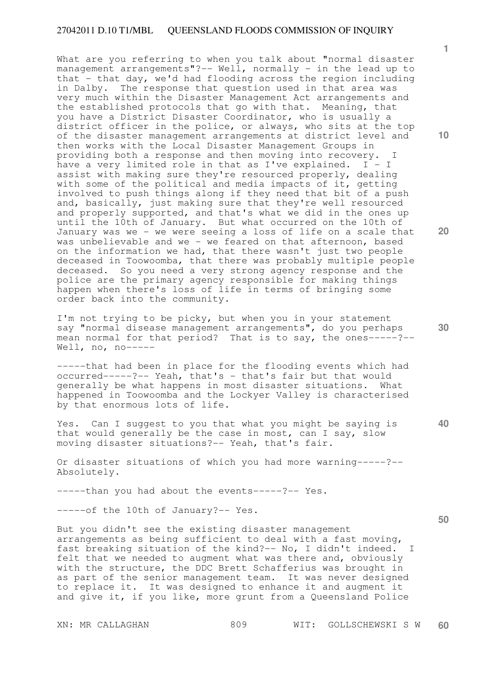What are you referring to when you talk about "normal disaster management arrangements"?-- Well, normally - in the lead up to that - that day, we'd had flooding across the region including in Dalby. The response that question used in that area was very much within the Disaster Management Act arrangements and the established protocols that go with that. Meaning, that you have a District Disaster Coordinator, who is usually a district officer in the police, or always, who sits at the top of the disaster management arrangements at district level and then works with the Local Disaster Management Groups in providing both a response and then moving into recovery. I have a very limited role in that as I've explained.  $I - I$ assist with making sure they're resourced properly, dealing with some of the political and media impacts of it, getting involved to push things along if they need that bit of a push and, basically, just making sure that they're well resourced and properly supported, and that's what we did in the ones up until the 10th of January. But what occurred on the 10th of January was we - we were seeing a loss of life on a scale that was unbelievable and we - we feared on that afternoon, based on the information we had, that there wasn't just two people deceased in Toowoomba, that there was probably multiple people deceased. So you need a very strong agency response and the police are the primary agency responsible for making things happen when there's loss of life in terms of bringing some order back into the community.

I'm not trying to be picky, but when you in your statement say "normal disease management arrangements", do you perhaps mean normal for that period? That is to say, the ones-----?--Well, no,  $no-----$ 

-----that had been in place for the flooding events which had occurred-----?-- Yeah, that's - that's fair but that would generally be what happens in most disaster situations. What happened in Toowoomba and the Lockyer Valley is characterised by that enormous lots of life.

Yes. Can I suggest to you that what you might be saying is that would generally be the case in most, can I say, slow moving disaster situations?-- Yeah, that's fair.

Or disaster situations of which you had more warning-----?-- Absolutely.

-----than you had about the events-----?-- Yes.

-----of the 10th of January?-- Yes.

But you didn't see the existing disaster management arrangements as being sufficient to deal with a fast moving, fast breaking situation of the kind?-- No, I didn't indeed. I felt that we needed to augment what was there and, obviously with the structure, the DDC Brett Schafferius was brought in as part of the senior management team. It was never designed to replace it. It was designed to enhance it and augment it and give it, if you like, more grunt from a Queensland Police

**10** 

**1**

**20** 

**30** 

**40**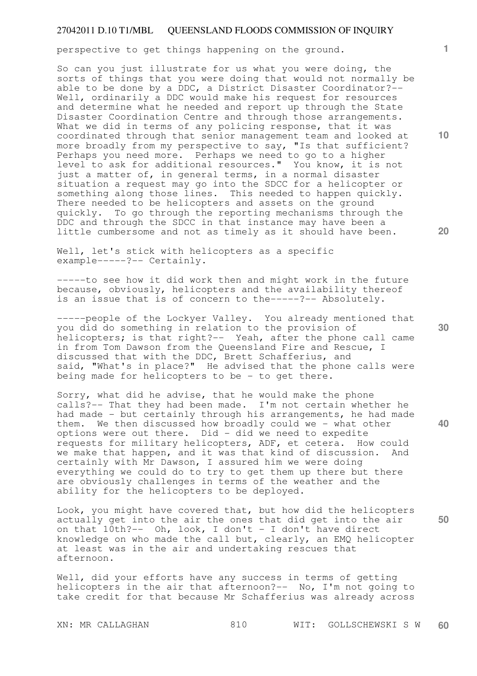perspective to get things happening on the ground.

So can you just illustrate for us what you were doing, the sorts of things that you were doing that would not normally be able to be done by a DDC, a District Disaster Coordinator?-- Well, ordinarily a DDC would make his request for resources and determine what he needed and report up through the State Disaster Coordination Centre and through those arrangements. What we did in terms of any policing response, that it was coordinated through that senior management team and looked at more broadly from my perspective to say, "Is that sufficient? Perhaps you need more. Perhaps we need to go to a higher level to ask for additional resources." You know, it is not just a matter of, in general terms, in a normal disaster situation a request may go into the SDCC for a helicopter or situation a request man of the second to happen quickly. There needed to be helicopters and assets on the ground quickly. To go through the reporting mechanisms through the DDC and through the SDCC in that instance may have been a little cumbersome and not as timely as it should have been.

Well, let's stick with helicopters as a specific example-----?-- Certainly.

-----to see how it did work then and might work in the future because, obviously, helicopters and the availability thereof is an issue that is of concern to the-----?-- Absolutely.

-----people of the Lockyer Valley. You already mentioned that you did do something in relation to the provision of helicopters; is that right?-- Yeah, after the phone call came in from Tom Dawson from the Queensland Fire and Rescue, I discussed that with the DDC, Brett Schafferius, and said, "What's in place?" He advised that the phone calls were being made for helicopters to be - to get there.

Sorry, what did he advise, that he would make the phone calls?-- That they had been made. I'm not certain whether he had made - but certainly through his arrangements, he had made them. We then discussed how broadly could we - what other options were out there. Did - did we need to expedite requests for military helicopters, ADF, et cetera. How could we make that happen, and it was that kind of discussion. And certainly with Mr Dawson, I assured him we were doing everything we could do to try to get them up there but there are obviously challenges in terms of the weather and the ability for the helicopters to be deployed.

**50**  Look, you might have covered that, but how did the helicopters actually get into the air the ones that did get into the air on that  $10th?--$  Oh, look, I don't - I don't have direct knowledge on who made the call but, clearly, an EMQ helicopter at least was in the air and undertaking rescues that afternoon.

Well, did your efforts have any success in terms of getting helicopters in the air that afternoon?-- No, I'm not going to take credit for that because Mr Schafferius was already across

**20** 

**40** 

**10**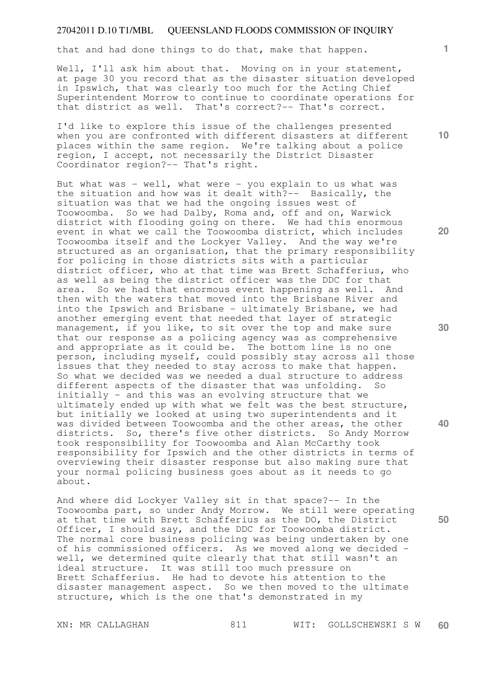that and had done things to do that, make that happen.

Well, I'll ask him about that. Moving on in your statement, at page 30 you record that as the disaster situation developed in Ipswich, that was clearly too much for the Acting Chief Superintendent Morrow to continue to coordinate operations for that district as well. That's correct?-- That's correct.

I'd like to explore this issue of the challenges presented when you are confronted with different disasters at different places within the same region. We're talking about a police region, I accept, not necessarily the District Disaster Coordinator region?-- That's right.

But what was - well, what were - you explain to us what was the situation and how was it dealt with?-- Basically, the situation was that we had the ongoing issues west of Toowoomba. So we had Dalby, Roma and, off and on, Warwick district with flooding going on there. We had this enormous event in what we call the Toowoomba district, which includes Toowoomba itself and the Lockyer Valley. And the way we're structured as an organisation, that the primary responsibility for policing in those districts sits with a particular district officer, who at that time was Brett Schafferius, who as well as being the district officer was the DDC for that area. So we had that enormous event happening as well. And then with the waters that moved into the Brisbane River and into the Ipswich and Brisbane - ultimately Brisbane, we had another emerging event that needed that layer of strategic management, if you like, to sit over the top and make sure that our response as a policing agency was as comprehensive and appropriate as it could be. The bottom line is no one person, including myself, could possibly stay across all those issues that they needed to stay across to make that happen. So what we decided was we needed a dual structure to address different aspects of the disaster that was unfolding. So initially - and this was an evolving structure that we ultimately ended up with what we felt was the best structure, but initially we looked at using two superintendents and it was divided between Toowoomba and the other areas, the other districts. So, there's five other districts. So Andy Morrow took responsibility for Toowoomba and Alan McCarthy took responsibility for Ipswich and the other districts in terms of overviewing their disaster response but also making sure that your normal policing business goes about as it needs to go about.

And where did Lockyer Valley sit in that space?-- In the Toowoomba part, so under Andy Morrow. We still were operating at that time with Brett Schafferius as the DO, the District Officer, I should say, and the DDC for Toowoomba district. The normal core business policing was being undertaken by one of his commissioned officers. As we moved along we decided well, we determined quite clearly that that still wasn't an ideal structure. It was still too much pressure on Brett Schafferius. He had to devote his attention to the disaster management aspect. So we then moved to the ultimate structure, which is the one that's demonstrated in my

XN: MR CALLAGHAN 811 WIT: GOLLSCHEWSKI S W **60** 

**1**

**10** 

**20** 

**30** 

**40**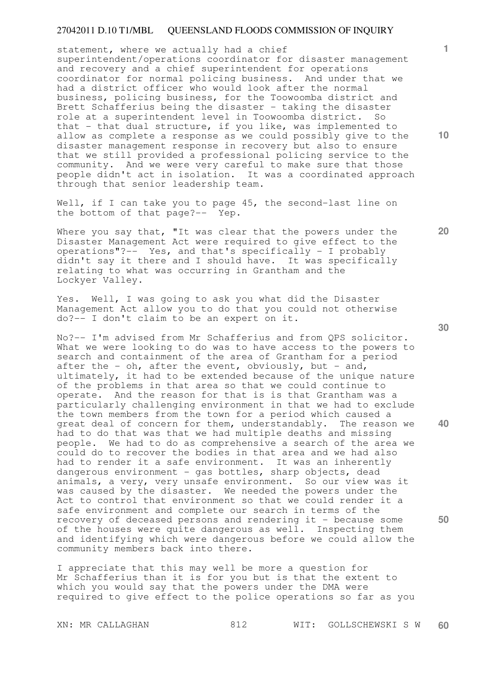statement, where we actually had a chief superintendent/operations coordinator for disaster management and recovery and a chief superintendent for operations coordinator for normal policing business. And under that we had a district officer who would look after the normal business, policing business, for the Toowoomba district and Brett Schafferius being the disaster - taking the disaster role at a superintendent level in Toowoomba district. So that - that dual structure, if you like, was implemented to allow as complete a response as we could possibly give to the disaster management response in recovery but also to ensure that we still provided a professional policing service to the community. And we were very careful to make sure that those people didn't act in isolation. It was a coordinated approach through that senior leadership team.

Well, if I can take you to page 45, the second-last line on the bottom of that page?-- Yep.

Where you say that, "It was clear that the powers under the Disaster Management Act were required to give effect to the operations"?-- Yes, and that's specifically - I probably didn't say it there and I should have. It was specifically relating to what was occurring in Grantham and the Lockyer Valley.

Yes. Well, I was going to ask you what did the Disaster Management Act allow you to do that you could not otherwise do?-- I don't claim to be an expert on it.

No?-- I'm advised from Mr Schafferius and from QPS solicitor. What we were looking to do was to have access to the powers to search and containment of the area of Grantham for a period after the - oh, after the event, obviously, but - and, ultimately, it had to be extended because of the unique nature of the problems in that area so that we could continue to operate. And the reason for that is is that Grantham was a particularly challenging environment in that we had to exclude the town members from the town for a period which caused a great deal of concern for them, understandably. The reason we had to do that was that we had multiple deaths and missing people. We had to do as comprehensive a search of the area we could do to recover the bodies in that area and we had also had to render it a safe environment. It was an inherently dangerous environment - gas bottles, sharp objects, dead animals, a very, very unsafe environment. So our view was it was caused by the disaster. We needed the powers under the Act to control that environment so that we could render it a safe environment and complete our search in terms of the recovery of deceased persons and rendering it - because some of the houses were quite dangerous as well. Inspecting them and identifying which were dangerous before we could allow the community members back into there.

I appreciate that this may well be more a question for Mr Schafferius than it is for you but is that the extent to which you would say that the powers under the DMA were required to give effect to the police operations so far as you

**30** 

**40** 

**50** 

**20** 

**1**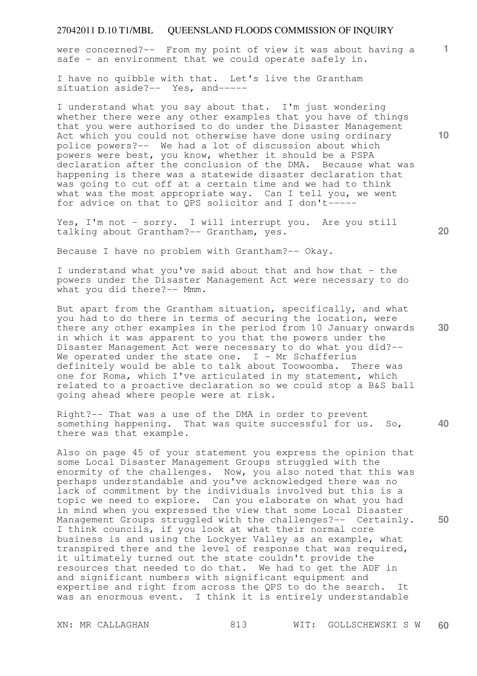**1** were concerned?-- From my point of view it was about having a safe - an environment that we could operate safely in.

I have no quibble with that. Let's live the Grantham situation aside?-- Yes, and-----

I understand what you say about that. I'm just wondering whether there were any other examples that you have of things that you were authorised to do under the Disaster Management Act which you could not otherwise have done using ordinary police powers?-- We had a lot of discussion about which powers were best, you know, whether it should be a PSPA declaration after the conclusion of the DMA. Because what was happening is there was a statewide disaster declaration that was going to cut off at a certain time and we had to think what was the most appropriate way. Can I tell you, we went for advice on that to QPS solicitor and I don't-----

Yes, I'm not - sorry. I will interrupt you. Are you still talking about Grantham?-- Grantham, yes.

Because I have no problem with Grantham?-- Okay.

I understand what you've said about that and how that - the powers under the Disaster Management Act were necessary to do what you did there?-- Mmm.

But apart from the Grantham situation, specifically, and what you had to do there in terms of securing the location, were there any other examples in the period from 10 January onwards in which it was apparent to you that the powers under the Disaster Management Act were necessary to do what you did?-- We operated under the state one. I - Mr Schafferius definitely would be able to talk about Toowoomba. There was one for Roma, which I've articulated in my statement, which related to a proactive declaration so we could stop a B&S ball going ahead where people were at risk.

**40**  Right?-- That was a use of the DMA in order to prevent something happening. That was quite successful for us. So, there was that example.

Also on page 45 of your statement you express the opinion that some Local Disaster Management Groups struggled with the enormity of the challenges. Now, you also noted that this was perhaps understandable and you've acknowledged there was no lack of commitment by the individuals involved but this is a topic we need to explore. Can you elaborate on what you had in mind when you expressed the view that some Local Disaster Management Groups struggled with the challenges?-- Certainly. I think councils, if you look at what their normal core business is and using the Lockyer Valley as an example, what transpired there and the level of response that was required, it ultimately turned out the state couldn't provide the resources that needed to do that. We had to get the ADF in and significant numbers with significant equipment and expertise and right from across the QPS to do the search. It was an enormous event. I think it is entirely understandable

**10** 

**20**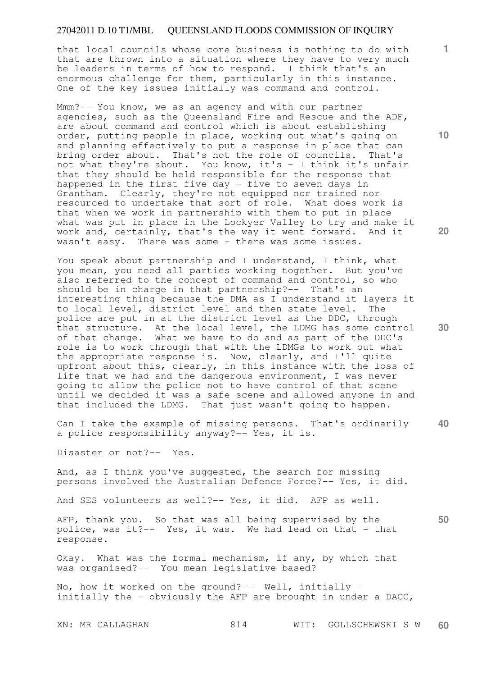that local councils whose core business is nothing to do with that are thrown into a situation where they have to very much be leaders in terms of how to respond. I think that's an enormous challenge for them, particularly in this instance. One of the key issues initially was command and control.

Mmm?-- You know, we as an agency and with our partner agencies, such as the Queensland Fire and Rescue and the ADF, are about command and control which is about establishing order, putting people in place, working out what's going on and planning effectively to put a response in place that can bring order about. That's not the role of councils. That's not what they're about. You know, it's - I think it's unfair that they should be held responsible for the response that happened in the first five day - five to seven days in Grantham. Clearly, they're not equipped nor trained nor resourced to undertake that sort of role. What does work is that when we work in partnership with them to put in place what was put in place in the Lockyer Valley to try and make it work and, certainly, that's the way it went forward. And it wasn't easy. There was some - there was some issues.

You speak about partnership and I understand, I think, what you mean, you need all parties working together. But you've also referred to the concept of command and control, so who should be in charge in that partnership?-- That's an interesting thing because the DMA as I understand it layers it to local level, district level and then state level. The police are put in at the district level as the DDC, through that structure. At the local level, the LDMG has some control of that change. What we have to do and as part of the DDC's role is to work through that with the LDMGs to work out what the appropriate response is. Now, clearly, and I'll quite upfront about this, clearly, in this instance with the loss of life that we had and the dangerous environment, I was never going to allow the police not to have control of that scene until we decided it was a safe scene and allowed anyone in and that included the LDMG. That just wasn't going to happen.

**40**  Can I take the example of missing persons. That's ordinarily a police responsibility anyway?-- Yes, it is.

Disaster or not?-- Yes.

And, as I think you've suggested, the search for missing persons involved the Australian Defence Force?-- Yes, it did.

And SES volunteers as well?-- Yes, it did. AFP as well.

AFP, thank you. So that was all being supervised by the police, was it?-- Yes, it was. We had lead on that - that response.

Okay. What was the formal mechanism, if any, by which that was organised?-- You mean legislative based?

No, how it worked on the ground?-- Well, initially initially the - obviously the AFP are brought in under a DACC,

**10** 

**1**

**20** 

**30**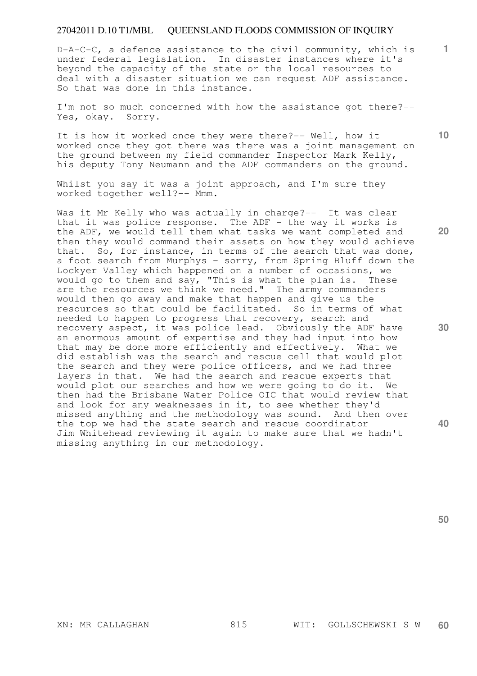D-A-C-C, a defence assistance to the civil community, which is under federal legislation. In disaster instances where it's beyond the capacity of the state or the local resources to deal with a disaster situation we can request ADF assistance. So that was done in this instance.

I'm not so much concerned with how the assistance got there?-- Yes, okay. Sorry.

It is how it worked once they were there?-- Well, how it worked once they got there was there was a joint management on the ground between my field commander Inspector Mark Kelly, his deputy Tony Neumann and the ADF commanders on the ground.

Whilst you say it was a joint approach, and I'm sure they worked together well?-- Mmm.

Was it Mr Kelly who was actually in charge?-- It was clear that it was police response. The ADF - the way it works is the ADF, we would tell them what tasks we want completed and then they would command their assets on how they would achieve that. So, for instance, in terms of the search that was done, a foot search from Murphys - sorry, from Spring Bluff down the Lockyer Valley which happened on a number of occasions, we would go to them and say, "This is what the plan is. These are the resources we think we need." The army commanders would then go away and make that happen and give us the resources so that could be facilitated. So in terms of what needed to happen to progress that recovery, search and recovery aspect, it was police lead. Obviously the ADF have an enormous amount of expertise and they had input into how that may be done more efficiently and effectively. What we did establish was the search and rescue cell that would plot the search and they were police officers, and we had three layers in that. We had the search and rescue experts that would plot our searches and how we were going to do it. We then had the Brisbane Water Police OIC that would review that and look for any weaknesses in it, to see whether they'd missed anything and the methodology was sound. And then over the top we had the state search and rescue coordinator Jim Whitehead reviewing it again to make sure that we hadn't missing anything in our methodology.

**20** 

**10** 

**1**

**30** 

**40**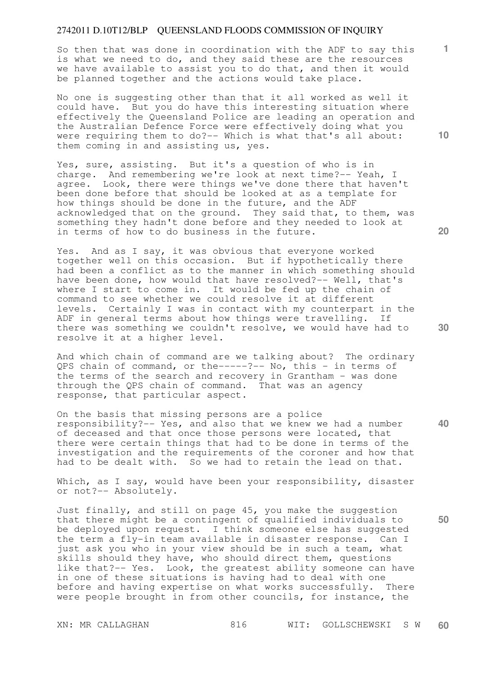So then that was done in coordination with the ADF to say this is what we need to do, and they said these are the resources we have available to assist you to do that, and then it would be planned together and the actions would take place.

No one is suggesting other than that it all worked as well it could have. But you do have this interesting situation where effectively the Queensland Police are leading an operation and the Australian Defence Force were effectively doing what you were requiring them to do?-- Which is what that's all about: them coming in and assisting us, yes.

Yes, sure, assisting. But it's a question of who is in charge. And remembering we're look at next time?-- Yeah, I agree. Look, there were things we've done there that haven't been done before that should be looked at as a template for how things should be done in the future, and the ADF acknowledged that on the ground. They said that, to them, was something they hadn't done before and they needed to look at in terms of how to do business in the future.

Yes. And as I say, it was obvious that everyone worked together well on this occasion. But if hypothetically there had been a conflict as to the manner in which something should have been done, how would that have resolved?-- Well, that's where I start to come in. It would be fed up the chain of command to see whether we could resolve it at different levels. Certainly I was in contact with my counterpart in the ADF in general terms about how things were travelling. If there was something we couldn't resolve, we would have had to resolve it at a higher level.

And which chain of command are we talking about? The ordinary QPS chain of command, or the-----?-- No, this - in terms of the terms of the search and recovery in Grantham - was done through the QPS chain of command. That was an agency response, that particular aspect.

On the basis that missing persons are a police responsibility?-- Yes, and also that we knew we had a number of deceased and that once those persons were located, that there were certain things that had to be done in terms of the investigation and the requirements of the coroner and how that had to be dealt with. So we had to retain the lead on that.

Which, as I say, would have been your responsibility, disaster or not?-- Absolutely.

Just finally, and still on page 45, you make the suggestion that there might be a contingent of qualified individuals to be deployed upon request. I think someone else has suggested the term a fly-in team available in disaster response. Can I just ask you who in your view should be in such a team, what skills should they have, who should direct them, questions like that?-- Yes. Look, the greatest ability someone can have in one of these situations is having had to deal with one before and having expertise on what works successfully. There were people brought in from other councils, for instance, the

**10** 

**1**

**40**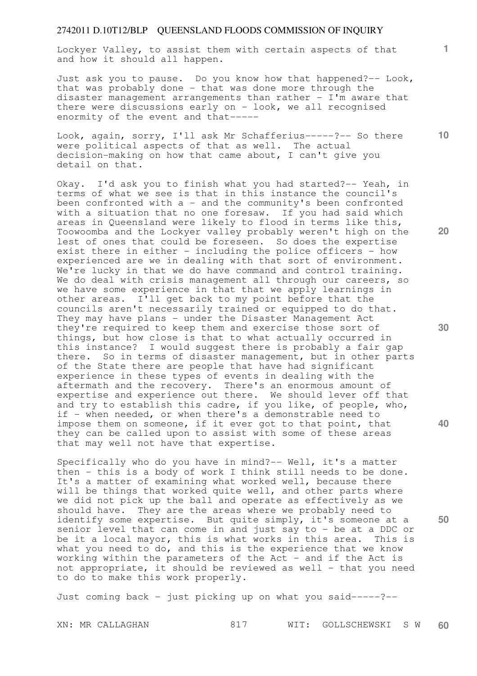Lockyer Valley, to assist them with certain aspects of that and how it should all happen.

Just ask you to pause. Do you know how that happened?-- Look, that was probably done - that was done more through the disaster management arrangements than rather - I'm aware that there were discussions early on  $-$  look, we all recognised enormity of the event and that-----

Look, again, sorry, I'll ask Mr Schafferius-----?-- So there were political aspects of that as well. The actual decision-making on how that came about, I can't give you detail on that.

Okay. I'd ask you to finish what you had started?-- Yeah, in terms of what we see is that in this instance the council's been confronted with  $a -$  and the community's been confronted with a situation that no one foresaw. If you had said which areas in Queensland were likely to flood in terms like this, Toowoomba and the Lockyer valley probably weren't high on the lest of ones that could be foreseen. So does the expertise exist there in either - including the police officers - how experienced are we in dealing with that sort of environment. We're lucky in that we do have command and control training. We do deal with crisis management all through our careers, so we have some experience in that that we apply learnings in other areas. I'll get back to my point before that the councils aren't necessarily trained or equipped to do that. They may have plans - under the Disaster Management Act they're required to keep them and exercise those sort of things, but how close is that to what actually occurred in this instance? I would suggest there is probably a fair gap there. So in terms of disaster management, but in other parts of the State there are people that have had significant experience in these types of events in dealing with the aftermath and the recovery. There's an enormous amount of expertise and experience out there. We should lever off that and try to establish this cadre, if you like, of people, who, if - when needed, or when there's a demonstrable need to impose them on someone, if it ever got to that point, that they can be called upon to assist with some of these areas that may well not have that expertise.

Specifically who do you have in mind?-- Well, it's a matter then - this is a body of work I think still needs to be done. It's a matter of examining what worked well, because there will be things that worked quite well, and other parts where we did not pick up the ball and operate as effectively as we should have. They are the areas where we probably need to identify some expertise. But quite simply, it's someone at a senior level that can come in and just say to - be at a DDC or be it a local mayor, this is what works in this area. This is what you need to do, and this is the experience that we know working within the parameters of the Act - and if the Act is not appropriate, it should be reviewed as well - that you need to do to make this work properly.

Just coming back - just picking up on what you said-----?--

**10** 

**1**

**20** 

**30** 

**40**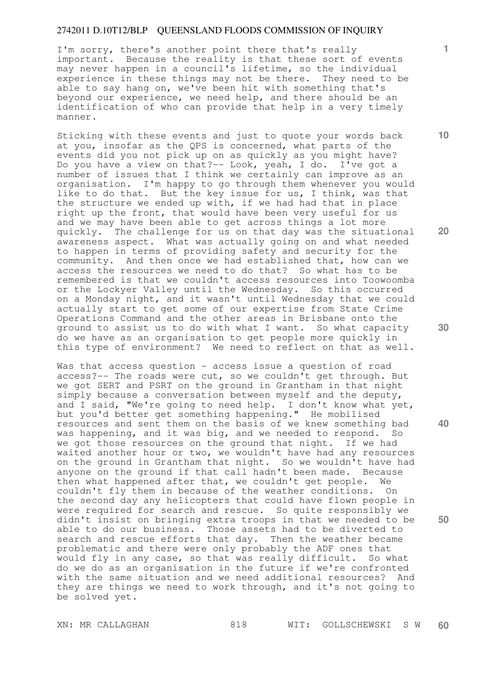I'm sorry, there's another point there that's really important. Because the reality is that these sort of events may never happen in a council's lifetime, so the individual experience in these things may not be there. They need to be able to say hang on, we've been hit with something that's beyond our experience, we need help, and there should be an identification of who can provide that help in a very timely manner.

Sticking with these events and just to quote your words back at you, insofar as the QPS is concerned, what parts of the events did you not pick up on as quickly as you might have? Do you have a view on that?-- Look, yeah, I do. I've got a number of issues that I think we certainly can improve as an organisation. I'm happy to go through them whenever you would like to do that. But the key issue for us, I think, was that the structure we ended up with, if we had had that in place right up the front, that would have been very useful for us and we may have been able to get across things a lot more quickly. The challenge for us on that day was the situational awareness aspect. What was actually going on and what needed to happen in terms of providing safety and security for the community. And then once we had established that, how can we access the resources we need to do that? So what has to be remembered is that we couldn't access resources into Toowoomba or the Lockyer Valley until the Wednesday. So this occurred on a Monday night, and it wasn't until Wednesday that we could actually start to get some of our expertise from State Crime Operations Command and the other areas in Brisbane onto the ground to assist us to do with what I want. So what capacity do we have as an organisation to get people more quickly in this type of environment? We need to reflect on that as well.

Was that access question - access issue a question of road access?-- The roads were cut, so we couldn't get through. But we got SERT and PSRT on the ground in Grantham in that night simply because a conversation between myself and the deputy, and I said, "We're going to need help. I don't know what yet, but you'd better get something happening." He mobilised resources and sent them on the basis of we knew something bad was happening, and it was big, and we needed to respond. So we got those resources on the ground that night. If we had waited another hour or two, we wouldn't have had any resources<br>on the ground in Grantham that night. So we wouldn't have had on the ground in Grantham that night. anyone on the ground if that call hadn't been made. Because then what happened after that, we couldn't get people. We couldn't fly them in because of the weather conditions. On the second day any helicopters that could have flown people in were required for search and rescue. So quite responsibly we didn't insist on bringing extra troops in that we needed to be able to do our business. Those assets had to be diverted to search and rescue efforts that day. Then the weather became problematic and there were only probably the ADF ones that would fly in any case, so that was really difficult. So what do we do as an organisation in the future if we're confronted with the same situation and we need additional resources? And they are things we need to work through, and it's not going to be solved yet.

**10** 

**1**

**20** 

**40**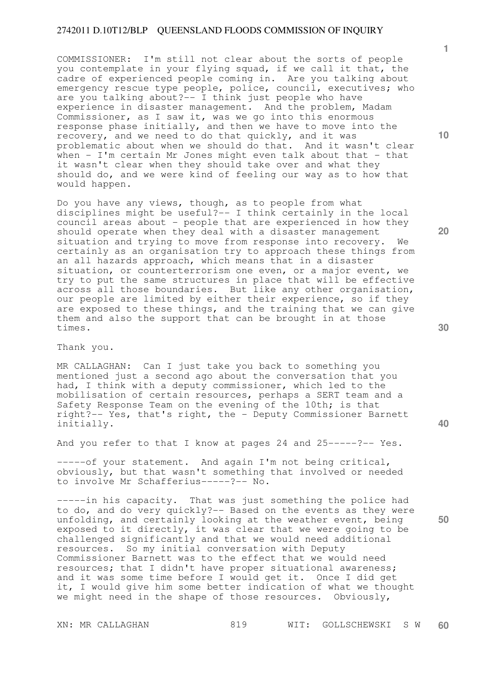COMMISSIONER: I'm still not clear about the sorts of people you contemplate in your flying squad, if we call it that, the cadre of experienced people coming in. Are you talking about emergency rescue type people, police, council, executives; who are you talking about?-- I think just people who have experience in disaster management. And the problem, Madam Commissioner, as I saw it, was we go into this enormous response phase initially, and then we have to move into the recovery, and we need to do that quickly, and it was problematic about when we should do that. And it wasn't clear when - I'm certain Mr Jones might even talk about that - that it wasn't clear when they should take over and what they should do, and we were kind of feeling our way as to how that would happen.

Do you have any views, though, as to people from what disciplines might be useful?-- I think certainly in the local council areas about - people that are experienced in how they should operate when they deal with a disaster management situation and trying to move from response into recovery. We certainly as an organisation try to approach these things from an all hazards approach, which means that in a disaster situation, or counterterrorism one even, or a major event, we try to put the same structures in place that will be effective across all those boundaries. But like any other organisation, our people are limited by either their experience, so if they are exposed to these things, and the training that we can give them and also the support that can be brought in at those times.

Thank you.

MR CALLAGHAN: Can I just take you back to something you mentioned just a second ago about the conversation that you had, I think with a deputy commissioner, which led to the mobilisation of certain resources, perhaps a SERT team and a Safety Response Team on the evening of the 10th; is that right?-- Yes, that's right, the - Deputy Commissioner Barnett initially.

And you refer to that I know at pages 24 and 25-----?-- Yes.

-----of your statement. And again I'm not being critical, obviously, but that wasn't something that involved or needed to involve Mr Schafferius-----?-- No.

-----in his capacity. That was just something the police had to do, and do very quickly?-- Based on the events as they were unfolding, and certainly looking at the weather event, being exposed to it directly, it was clear that we were going to be challenged significantly and that we would need additional resources. So my initial conversation with Deputy Commissioner Barnett was to the effect that we would need resources; that I didn't have proper situational awareness; and it was some time before I would get it. Once I did get it, I would give him some better indication of what we thought we might need in the shape of those resources. Obviously,

**10** 

**1**

**20** 

**50**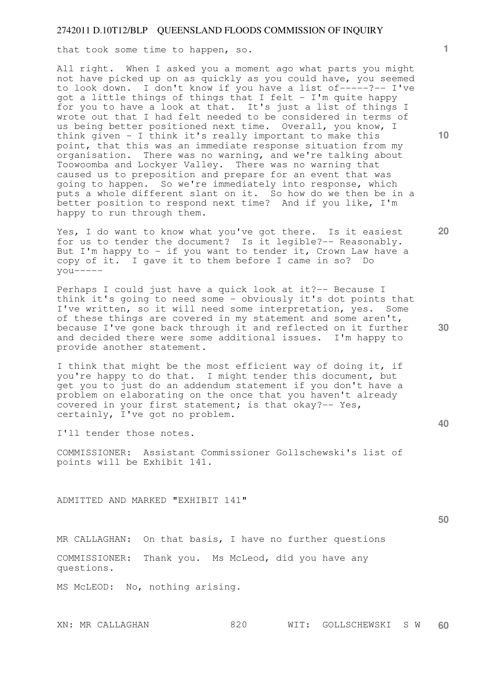that took some time to happen, so.

All right. When I asked you a moment ago what parts you might not have picked up on as quickly as you could have, you seemed to look down. I don't know if you have a list of-----?-- I've got a little things of things that I felt - I'm quite happy for you to have a look at that. It's just a list of things I wrote out that I had felt needed to be considered in terms of us being better positioned next time. Overall, you know, I think given - I think it's really important to make this point, that this was an immediate response situation from my organisation. There was no warning, and we're talking about Toowoomba and Lockyer Valley. There was no warning that caused us to preposition and prepare for an event that was going to happen. So we're immediately into response, which puts a whole different slant on it. So how do we then be in a better position to respond next time? And if you like, I'm happy to run through them.

Yes, I do want to know what you've got there. Is it easiest for us to tender the document? Is it legible?-- Reasonably. But I'm happy to - if you want to tender it, Crown Law have a copy of it. I gave it to them before I came in so? Do  $y$ ou-----

Perhaps I could just have a quick look at it?-- Because I think it's going to need some - obviously it's dot points that I've written, so it will need some interpretation, yes. Some of these things are covered in my statement and some aren't, because I've gone back through it and reflected on it further and decided there were some additional issues. I'm happy to provide another statement.

I think that might be the most efficient way of doing it, if you're happy to do that. I might tender this document, but get you to just do an addendum statement if you don't have a problem on elaborating on the once that you haven't already covered in your first statement; is that okay? $-$  Yes, certainly, I've got no problem.

I'll tender those notes.

COMMISSIONER: Assistant Commissioner Gollschewski's list of points will be Exhibit 141.

ADMITTED AND MARKED "EXHIBIT 141"

**50** 

MR CALLAGHAN: On that basis, I have no further questions

COMMISSIONER: Thank you. Ms McLeod, did you have any questions.

MS McLEOD: No, nothing arising.

**1**

**10** 

**20**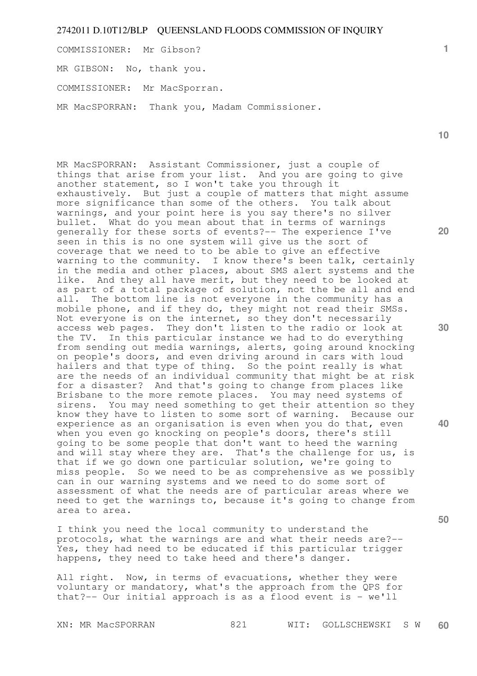COMMISSIONER: Mr Gibson?

MR GIBSON: No, thank you.

COMMISSIONER: Mr MacSporran.

MR MacSPORRAN: Thank you, Madam Commissioner.

**10** 

**20** 

**1**

MR MacSPORRAN: Assistant Commissioner, just a couple of things that arise from your list. And you are going to give another statement, so I won't take you through it exhaustively. But just a couple of matters that might assume more significance than some of the others. You talk about warnings, and your point here is you say there's no silver bullet. What do you mean about that in terms of warnings generally for these sorts of events?-- The experience I've seen in this is no one system will give us the sort of coverage that we need to to be able to give an effective warning to the community. I know there's been talk, certainly in the media and other places, about SMS alert systems and the like. And they all have merit, but they need to be looked at as part of a total package of solution, not the be all and end all. The bottom line is not everyone in the community has a mobile phone, and if they do, they might not read their SMSs. Not everyone is on the internet, so they don't necessarily access web pages. They don't listen to the radio or look at the TV. In this particular instance we had to do everything from sending out media warnings, alerts, going around knocking on people's doors, and even driving around in cars with loud hailers and that type of thing. So the point really is what are the needs of an individual community that might be at risk for a disaster? And that's going to change from places like Brisbane to the more remote places. You may need systems of sirens. You may need something to get their attention so they know they have to listen to some sort of warning. Because our experience as an organisation is even when you do that, even when you even go knocking on people's doors, there's still going to be some people that don't want to heed the warning and will stay where they are. That's the challenge for us, is that if we go down one particular solution, we're going to miss people. So we need to be as comprehensive as we possibly can in our warning systems and we need to do some sort of assessment of what the needs are of particular areas where we need to get the warnings to, because it's going to change from area to area.

I think you need the local community to understand the protocols, what the warnings are and what their needs are?-- Yes, they had need to be educated if this particular trigger happens, they need to take heed and there's danger.

All right. Now, in terms of evacuations, whether they were voluntary or mandatory, what's the approach from the QPS for that?-- Our initial approach is as a flood event is - we'll

**50** 

**30**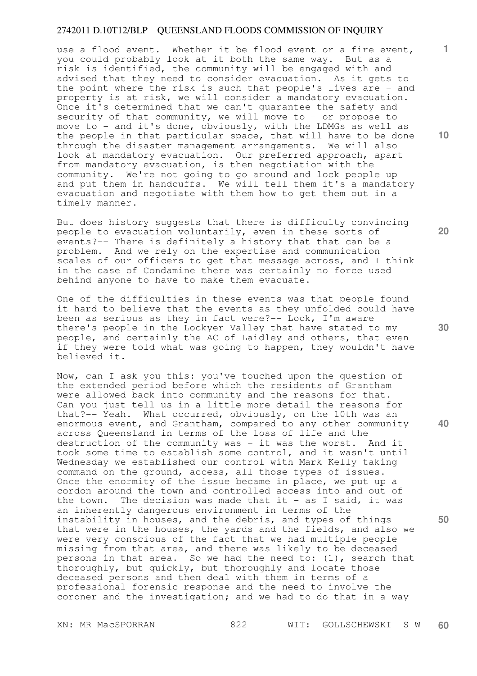use a flood event. Whether it be flood event or a fire event, you could probably look at it both the same way. But as a risk is identified, the community will be engaged with and advised that they need to consider evacuation. As it gets to the point where the risk is such that people's lives are - and property is at risk, we will consider a mandatory evacuation. Once it's determined that we can't guarantee the safety and security of that community, we will move to - or propose to move to - and it's done, obviously, with the LDMGs as well as the people in that particular space, that will have to be done through the disaster management arrangements. We will also look at mandatory evacuation. Our preferred approach, apart from mandatory evacuation, is then negotiation with the community. We're not going to go around and lock people up and put them in handcuffs. We will tell them it's a mandatory evacuation and negotiate with them how to get them out in a timely manner.

But does history suggests that there is difficulty convincing people to evacuation voluntarily, even in these sorts of events?-- There is definitely a history that that can be a problem. And we rely on the expertise and communication scales of our officers to get that message across, and I think in the case of Condamine there was certainly no force used behind anyone to have to make them evacuate.

One of the difficulties in these events was that people found it hard to believe that the events as they unfolded could have been as serious as they in fact were?-- Look, I'm aware there's people in the Lockyer Valley that have stated to my people, and certainly the AC of Laidley and others, that even if they were told what was going to happen, they wouldn't have believed it.

Now, can I ask you this: you've touched upon the question of the extended period before which the residents of Grantham were allowed back into community and the reasons for that. Can you just tell us in a little more detail the reasons for that?-- Yeah. What occurred, obviously, on the 10th was an enormous event, and Grantham, compared to any other community across Queensland in terms of the loss of life and the destruction of the community was - it was the worst. And it took some time to establish some control, and it wasn't until Wednesday we established our control with Mark Kelly taking command on the ground, access, all those types of issues. Once the enormity of the issue became in place, we put up a cordon around the town and controlled access into and out of the town. The decision was made that it - as I said, it was an inherently dangerous environment in terms of the instability in houses, and the debris, and types of things that were in the houses, the yards and the fields, and also we were very conscious of the fact that we had multiple people missing from that area, and there was likely to be deceased persons in that area. So we had the need to: (1), search that thoroughly, but quickly, but thoroughly and locate those deceased persons and then deal with them in terms of a professional forensic response and the need to involve the coroner and the investigation; and we had to do that in a way

**10** 

**1**

**20** 

**40**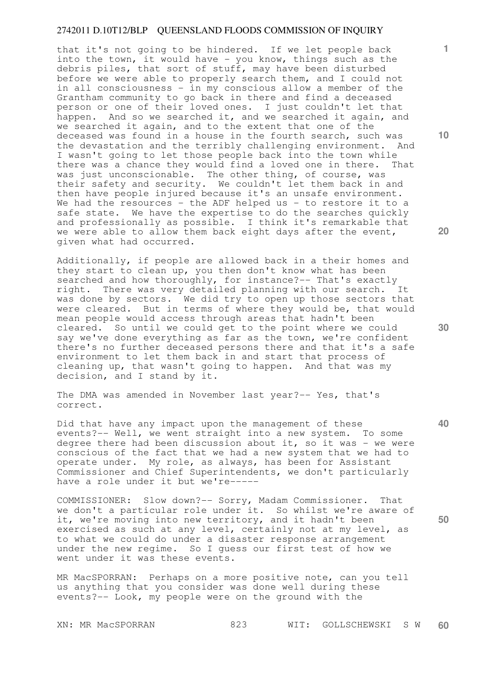that it's not going to be hindered. If we let people back into the town, it would have - you know, things such as the debris piles, that sort of stuff, may have been disturbed before we were able to properly search them, and I could not in all consciousness - in my conscious allow a member of the Grantham community to go back in there and find a deceased person or one of their loved ones. I just couldn't let that happen. And so we searched it, and we searched it again, and we searched it again, and to the extent that one of the deceased was found in a house in the fourth search, such was the devastation and the terribly challenging environment. And I wasn't going to let those people back into the town while there was a chance they would find a loved one in there. That was just unconscionable. The other thing, of course, was their safety and security. We couldn't let them back in and then have people injured because it's an unsafe environment. We had the resources - the ADF helped us - to restore it to a safe state. We have the expertise to do the searches quickly and professionally as possible. I think it's remarkable that we were able to allow them back eight days after the event, given what had occurred.

Additionally, if people are allowed back in a their homes and they start to clean up, you then don't know what has been searched and how thoroughly, for instance?-- That's exactly right. There was very detailed planning with our search. It was done by sectors. We did try to open up those sectors that were cleared. But in terms of where they would be, that would mean people would access through areas that hadn't been cleared. So until we could get to the point where we could say we've done everything as far as the town, we're confident there's no further deceased persons there and that it's a safe environment to let them back in and start that process of cleaning up, that wasn't going to happen. And that was my decision, and I stand by it.

The DMA was amended in November last year?-- Yes, that's correct.

Did that have any impact upon the management of these events?-- Well, we went straight into a new system. To some degree there had been discussion about it, so it was - we were conscious of the fact that we had a new system that we had to operate under. My role, as always, has been for Assistant Commissioner and Chief Superintendents, we don't particularly have a role under it but we're-----

COMMISSIONER: Slow down?-- Sorry, Madam Commissioner. That we don't a particular role under it. So whilst we're aware of it, we're moving into new territory, and it hadn't been exercised as such at any level, certainly not at my level, as to what we could do under a disaster response arrangement under the new regime. So I guess our first test of how we went under it was these events.

MR MacSPORRAN: Perhaps on a more positive note, can you tell us anything that you consider was done well during these events?-- Look, my people were on the ground with the

**10** 

**1**

**20** 

**30** 

**40**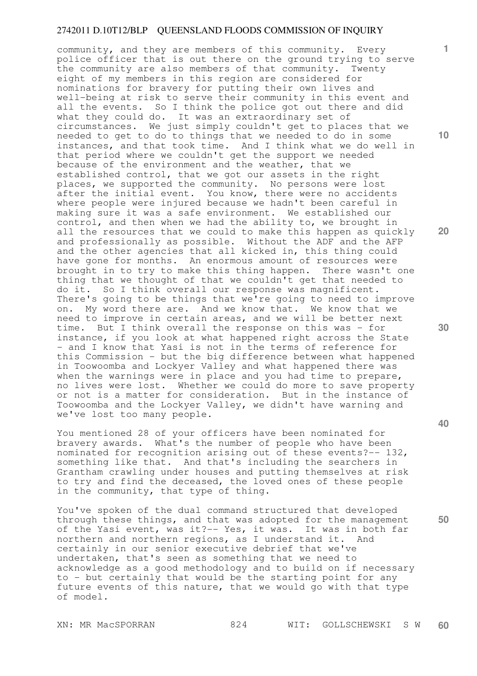community, and they are members of this community. Every police officer that is out there on the ground trying to serve the community are also members of that community. Twenty eight of my members in this region are considered for nominations for bravery for putting their own lives and well-being at risk to serve their community in this event and all the events. So I think the police got out there and did what they could do. It was an extraordinary set of circumstances. We just simply couldn't get to places that we needed to get to do to things that we needed to do in some instances, and that took time. And I think what we do well in that period where we couldn't get the support we needed because of the environment and the weather, that we established control, that we got our assets in the right places, we supported the community. No persons were lost after the initial event. You know, there were no accidents where people were injured because we hadn't been careful in making sure it was a safe environment. We established our control, and then when we had the ability to, we brought in all the resources that we could to make this happen as quickly and professionally as possible. Without the ADF and the AFP and the other agencies that all kicked in, this thing could have gone for months. An enormous amount of resources were brought in to try to make this thing happen. There wasn't one thing that we thought of that we couldn't get that needed to do it. So I think overall our response was magnificent. There's going to be things that we're going to need to improve on. My word there are. And we know that. We know that we need to improve in certain areas, and we will be better next time. But I think overall the response on this was - for instance, if you look at what happened right across the State - and I know that Yasi is not in the terms of reference for this Commission - but the big difference between what happened in Toowoomba and Lockyer Valley and what happened there was when the warnings were in place and you had time to prepare, no lives were lost. Whether we could do more to save property or not is a matter for consideration. But in the instance of Toowoomba and the Lockyer Valley, we didn't have warning and we've lost too many people.

You mentioned 28 of your officers have been nominated for bravery awards. What's the number of people who have been nominated for recognition arising out of these events?-- 132, something like that. And that's including the searchers in Grantham crawling under houses and putting themselves at risk to try and find the deceased, the loved ones of these people in the community, that type of thing.

You've spoken of the dual command structured that developed through these things, and that was adopted for the management of the Yasi event, was it?-- Yes, it was. It was in both far northern and northern regions, as I understand it. And certainly in our senior executive debrief that we've undertaken, that's seen as something that we need to acknowledge as a good methodology and to build on if necessary to - but certainly that would be the starting point for any future events of this nature, that we would go with that type of model.

**1**

**10** 

**20** 

**40**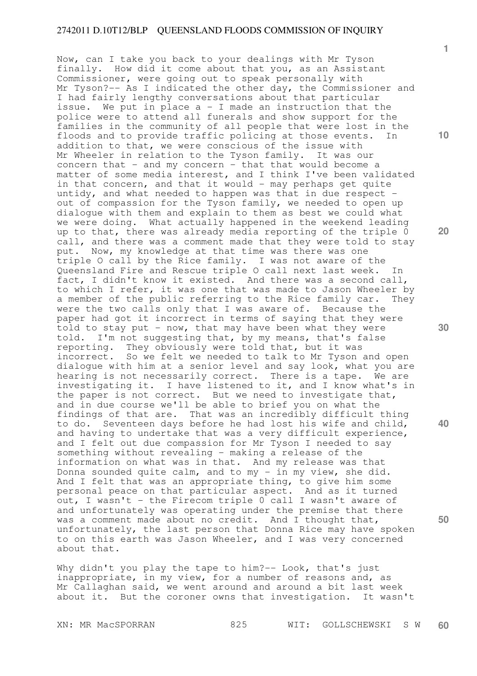Now, can I take you back to your dealings with Mr Tyson finally. How did it come about that you, as an Assistant Commissioner, were going out to speak personally with Mr Tyson?-- As I indicated the other day, the Commissioner and I had fairly lengthy conversations about that particular issue. We put in place  $a - I$  made an instruction that the police were to attend all funerals and show support for the families in the community of all people that were lost in the floods and to provide traffic policing at those events. In addition to that, we were conscious of the issue with Mr Wheeler in relation to the Tyson family. It was our concern that - and my concern - that that would become a matter of some media interest, and I think I've been validated in that concern, and that it would - may perhaps get quite untidy, and what needed to happen was that in due respect out of compassion for the Tyson family, we needed to open up dialogue with them and explain to them as best we could what we were doing. What actually happened in the weekend leading up to that, there was already media reporting of the triple 0 call, and there was a comment made that they were told to stay put. Now, my knowledge at that time was there was one triple O call by the Rice family. I was not aware of the Queensland Fire and Rescue triple O call next last week. In fact, I didn't know it existed. And there was a second call, to which I refer, it was one that was made to Jason Wheeler by a member of the public referring to the Rice family car. They were the two calls only that I was aware of. Because the paper had got it incorrect in terms of saying that they were told to stay put - now, that may have been what they were told. I'm not suggesting that, by my means, that's false reporting. They obviously were told that, but it was incorrect. So we felt we needed to talk to Mr Tyson and open dialogue with him at a senior level and say look, what you are hearing is not necessarily correct. There is a tape. We are investigating it. I have listened to it, and I know what's in the paper is not correct. But we need to investigate that, and in due course we'll be able to brief you on what the findings of that are. That was an incredibly difficult thing to do. Seventeen days before he had lost his wife and child, and having to undertake that was a very difficult experience, and I felt out due compassion for Mr Tyson I needed to say something without revealing - making a release of the information on what was in that. And my release was that Donna sounded quite calm, and to my - in my view, she did. And I felt that was an appropriate thing, to give him some personal peace on that particular aspect. And as it turned out, I wasn't - the Firecom triple 0 call I wasn't aware of and unfortunately was operating under the premise that there was a comment made about no credit. And I thought that, unfortunately, the last person that Donna Rice may have spoken to on this earth was Jason Wheeler, and I was very concerned about that.

Why didn't you play the tape to him?-- Look, that's just inappropriate, in my view, for a number of reasons and, as Mr Callaghan said, we went around and around a bit last week about it. But the coroner owns that investigation. It wasn't

**1**

**10** 

**20** 

**30** 

**40**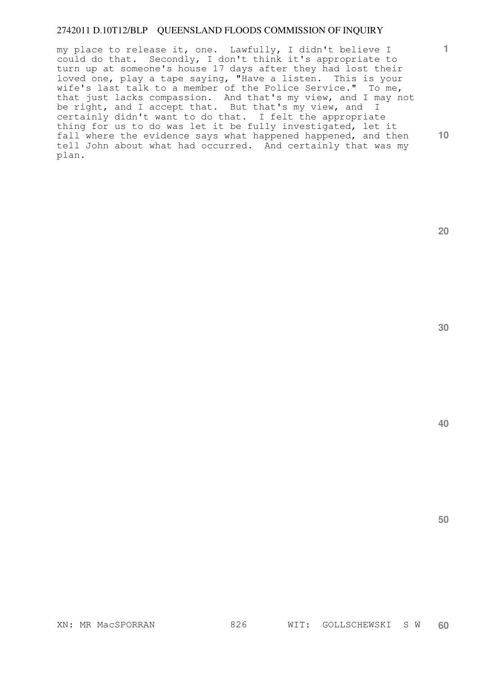my place to release it, one. Lawfully, I didn't believe I could do that. Secondly, I don't think it's appropriate to turn up at someone's house 17 days after they had lost their loved one, play a tape saying, "Have a listen. This is your wife's last talk to a member of the Police Service." To me, that just lacks compassion. And that's my view, and I may not be right, and I accept that. But that's my view, and I certainly didn't want to do that. I felt the appropriate thing for us to do was let it be fully investigated, let it fall where the evidence says what happened happened, and then tell John about what had occurred. And certainly that was my plan.

**30** 

**40** 

**50** 

**1**

**10**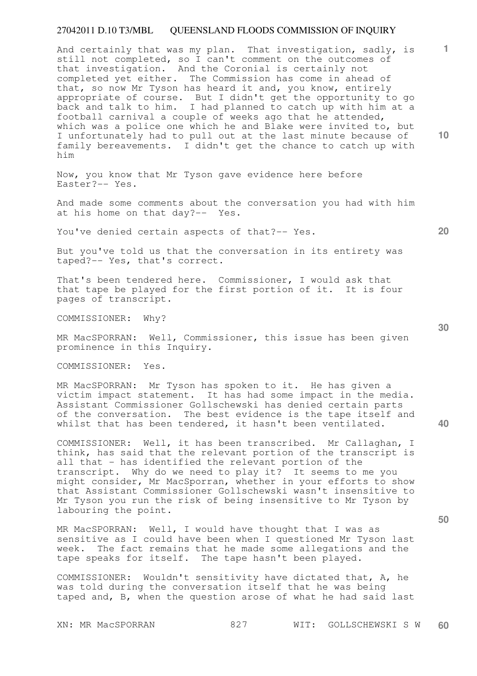And certainly that was my plan. That investigation, sadly, is still not completed, so I can't comment on the outcomes of that investigation. And the Coronial is certainly not completed yet either. The Commission has come in ahead of that, so now Mr Tyson has heard it and, you know, entirely appropriate of course. But I didn't get the opportunity to go back and talk to him. I had planned to catch up with him at a football carnival a couple of weeks ago that he attended, which was a police one which he and Blake were invited to, but I unfortunately had to pull out at the last minute because of family bereavements. I didn't get the chance to catch up with him

Now, you know that Mr Tyson gave evidence here before Easter?-- Yes.

And made some comments about the conversation you had with him at his home on that day?-- Yes.

You've denied certain aspects of that?-- Yes.

But you've told us that the conversation in its entirety was taped?-- Yes, that's correct.

That's been tendered here. Commissioner, I would ask that that tape be played for the first portion of it. It is four pages of transcript.

COMMISSIONER: Why?

MR MacSPORRAN: Well, Commissioner, this issue has been given prominence in this Inquiry.

COMMISSIONER: Yes.

MR MacSPORRAN: Mr Tyson has spoken to it. He has given a victim impact statement. It has had some impact in the media. Assistant Commissioner Gollschewski has denied certain parts of the conversation. The best evidence is the tape itself and whilst that has been tendered, it hasn't been ventilated.

COMMISSIONER: Well, it has been transcribed. Mr Callaghan, I think, has said that the relevant portion of the transcript is all that - has identified the relevant portion of the transcript. Why do we need to play it? It seems to me you might consider, Mr MacSporran, whether in your efforts to show that Assistant Commissioner Gollschewski wasn't insensitive to Mr Tyson you run the risk of being insensitive to Mr Tyson by labouring the point.

MR MacSPORRAN: Well, I would have thought that I was as sensitive as I could have been when I questioned Mr Tyson last week. The fact remains that he made some allegations and the tape speaks for itself. The tape hasn't been played.

COMMISSIONER: Wouldn't sensitivity have dictated that, A, he was told during the conversation itself that he was being taped and, B, when the question arose of what he had said last

**10** 

**1**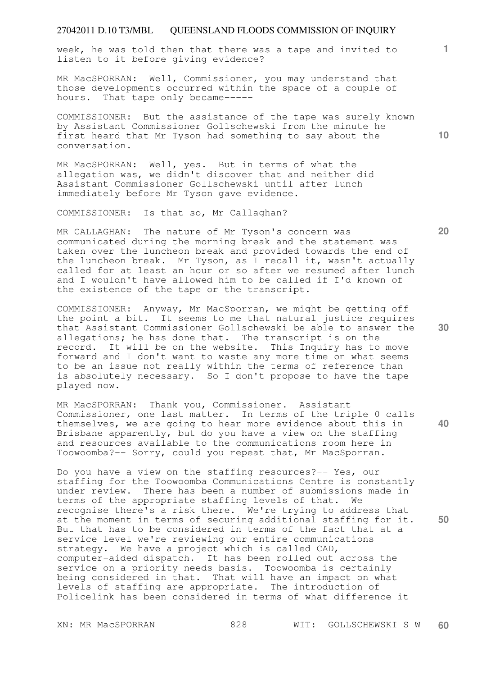week, he was told then that there was a tape and invited to listen to it before giving evidence?

MR MacSPORRAN: Well, Commissioner, you may understand that those developments occurred within the space of a couple of hours. That tape only became-----

COMMISSIONER: But the assistance of the tape was surely known by Assistant Commissioner Gollschewski from the minute he first heard that Mr Tyson had something to say about the conversation.

MR MacSPORRAN: Well, yes. But in terms of what the allegation was, we didn't discover that and neither did Assistant Commissioner Gollschewski until after lunch immediately before Mr Tyson gave evidence.

COMMISSIONER: Is that so, Mr Callaghan?

MR CALLAGHAN: The nature of Mr Tyson's concern was communicated during the morning break and the statement was taken over the luncheon break and provided towards the end of the luncheon break. Mr Tyson, as I recall it, wasn't actually called for at least an hour or so after we resumed after lunch and I wouldn't have allowed him to be called if I'd known of the existence of the tape or the transcript.

COMMISSIONER: Anyway, Mr MacSporran, we might be getting off the point a bit. It seems to me that natural justice requires that Assistant Commissioner Gollschewski be able to answer the allegations; he has done that. The transcript is on the record. It will be on the website. This Inquiry has to move forward and I don't want to waste any more time on what seems to be an issue not really within the terms of reference than is absolutely necessary. So I don't propose to have the tape played now.

MR MacSPORRAN: Thank you, Commissioner. Assistant Commissioner, one last matter. In terms of the triple 0 calls themselves, we are going to hear more evidence about this in Brisbane apparently, but do you have a view on the staffing and resources available to the communications room here in Toowoomba?-- Sorry, could you repeat that, Mr MacSporran.

Do you have a view on the staffing resources?-- Yes, our staffing for the Toowoomba Communications Centre is constantly under review. There has been a number of submissions made in terms of the appropriate staffing levels of that. We recognise there's a risk there. We're trying to address that at the moment in terms of securing additional staffing for it. But that has to be considered in terms of the fact that at a service level we're reviewing our entire communications strategy. We have a project which is called CAD, computer-aided dispatch. It has been rolled out across the service on a priority needs basis. Toowoomba is certainly being considered in that. That will have an impact on what levels of staffing are appropriate. The introduction of Policelink has been considered in terms of what difference it

**20** 

**10** 

**1**

**30** 

**40**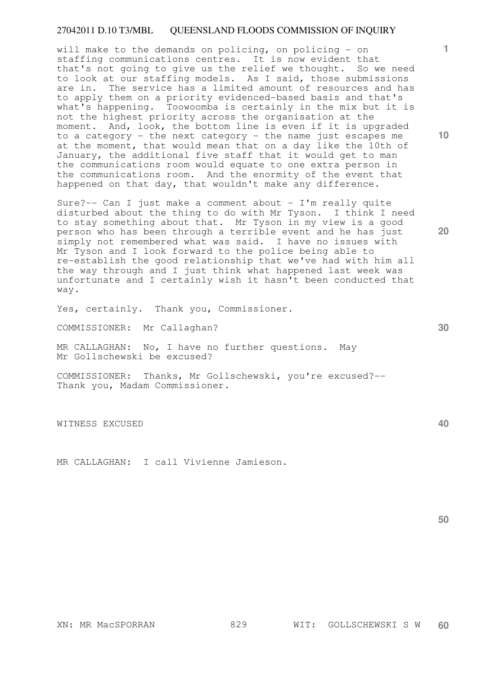will make to the demands on policing, on policing - on staffing communications centres. It is now evident that that's not going to give us the relief we thought. So we need to look at our staffing models. As I said, those submissions are in. The service has a limited amount of resources and has to apply them on a priority evidenced-based basis and that's what's happening. Toowoomba is certainly in the mix but it is not the highest priority across the organisation at the moment. And, look, the bottom line is even if it is upgraded to a category - the next category - the name just escapes me at the moment, that would mean that on a day like the 10th of January, the additional five staff that it would get to man the communications room would equate to one extra person in the communications room. And the enormity of the event that happened on that day, that wouldn't make any difference.

Sure?-- Can I just make a comment about - I'm really quite disturbed about the thing to do with Mr Tyson. I think I need to stay something about that. Mr Tyson in my view is a good person who has been through a terrible event and he has just simply not remembered what was said. I have no issues with Mr Tyson and I look forward to the police being able to re-establish the good relationship that we've had with him all the way through and I just think what happened last week was unfortunate and I certainly wish it hasn't been conducted that way.

Yes, certainly. Thank you, Commissioner.

COMMISSIONER: Mr Callaghan?

MR CALLAGHAN: No, I have no further questions. May Mr Gollschewski be excused?

COMMISSIONER: Thanks, Mr Gollschewski, you're excused?-- Thank you, Madam Commissioner.

WITNESS EXCUSED

MR CALLAGHAN: I call Vivienne Jamieson.

**50** 

**10** 

**1**

**30** 

**40**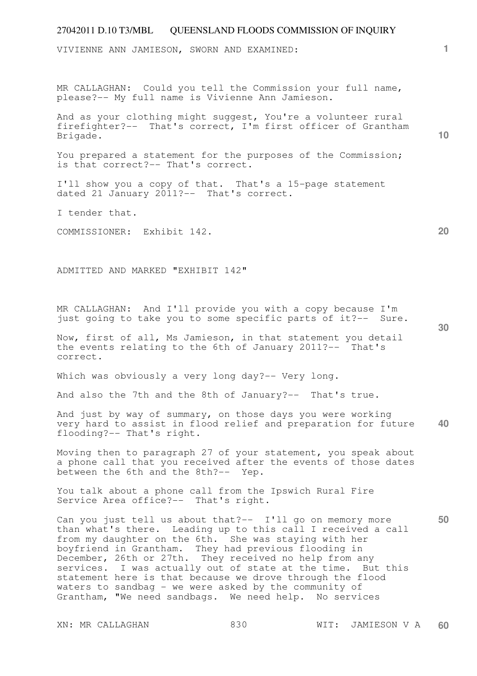VIVIENNE ANN JAMIESON, SWORN AND EXAMINED:

MR CALLAGHAN: Could you tell the Commission your full name, please?-- My full name is Vivienne Ann Jamieson.

And as your clothing might suggest, You're a volunteer rural firefighter?-- That's correct, I'm first officer of Grantham Brigade.

You prepared a statement for the purposes of the Commission; is that correct?-- That's correct.

I'll show you a copy of that. That's a 15-page statement dated 21 January 2011?-- That's correct.

I tender that.

COMMISSIONER: Exhibit 142.

ADMITTED AND MARKED "EXHIBIT 142"

MR CALLAGHAN: And I'll provide you with a copy because I'm just going to take you to some specific parts of it?-- Sure.

Now, first of all, Ms Jamieson, in that statement you detail the events relating to the 6th of January 2011?-- That's correct.

Which was obviously a very long day?-- Very long.

And also the 7th and the 8th of January?-- That's true.

**40**  And just by way of summary, on those days you were working very hard to assist in flood relief and preparation for future flooding?-- That's right.

Moving then to paragraph 27 of your statement, you speak about a phone call that you received after the events of those dates between the 6th and the 8th?-- Yep.

You talk about a phone call from the Ipswich Rural Fire Service Area office?-- That's right.

**50**  Can you just tell us about that?-- I'll go on memory more than what's there. Leading up to this call I received a call from my daughter on the 6th. She was staying with her boyfriend in Grantham. They had previous flooding in December, 26th or 27th. They received no help from any services. I was actually out of state at the time. But this statement here is that because we drove through the flood waters to sandbag - we were asked by the community of Grantham, "We need sandbags. We need help. No services

**20** 

**10**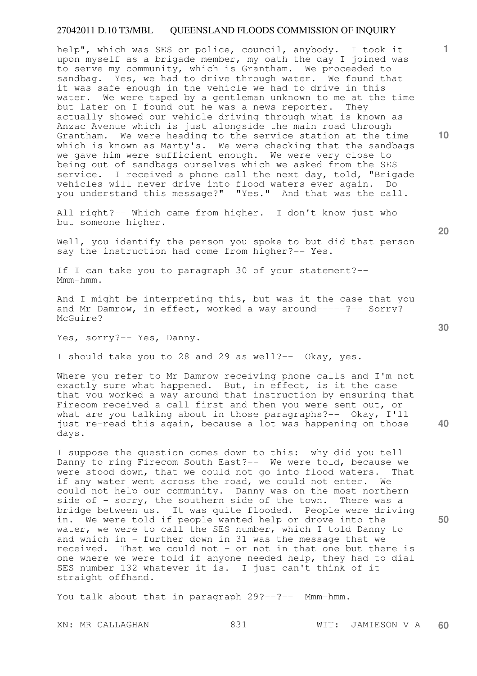help", which was SES or police, council, anybody. I took it upon myself as a brigade member, my oath the day I joined was to serve my community, which is Grantham. We proceeded to sandbag. Yes, we had to drive through water. We found that it was safe enough in the vehicle we had to drive in this water. We were taped by a gentleman unknown to me at the time but later on I found out he was a news reporter. They actually showed our vehicle driving through what is known as Anzac Avenue which is just alongside the main road through Grantham. We were heading to the service station at the time which is known as Marty's. We were checking that the sandbags we gave him were sufficient enough. We were very close to being out of sandbags ourselves which we asked from the SES service. I received a phone call the next day, told, "Brigade vehicles will never drive into flood waters ever again. Do you understand this message?" "Yes." And that was the call.

All right?-- Which came from higher. I don't know just who but someone higher.

Well, you identify the person you spoke to but did that person say the instruction had come from higher?-- Yes.

If I can take you to paragraph 30 of your statement?-- Mmm-hmm.

And I might be interpreting this, but was it the case that you and Mr Damrow, in effect, worked a way around-----?-- Sorry? McGuire?

Yes, sorry?-- Yes, Danny.

I should take you to 28 and 29 as well?-- Okay, yes.

Where you refer to Mr Damrow receiving phone calls and I'm not exactly sure what happened. But, in effect, is it the case that you worked a way around that instruction by ensuring that Firecom received a call first and then you were sent out, or what are you talking about in those paragraphs? -- Okay, I'll just re-read this again, because a lot was happening on those days.

I suppose the question comes down to this: why did you tell Danny to ring Firecom South East?-- We were told, because we were stood down, that we could not go into flood waters. That if any water went across the road, we could not enter. We could not help our community. Danny was on the most northern side of - sorry, the southern side of the town. There was a bridge between us. It was quite flooded. People were driving in. We were told if people wanted help or drove into the water, we were to call the SES number, which I told Danny to and which in - further down in 31 was the message that we received. That we could not - or not in that one but there is one where we were told if anyone needed help, they had to dial SES number 132 whatever it is. I just can't think of it straight offhand.

You talk about that in paragraph 29?--?-- Mmm-hmm.

**30** 

**20** 

**40** 

**50** 

**10**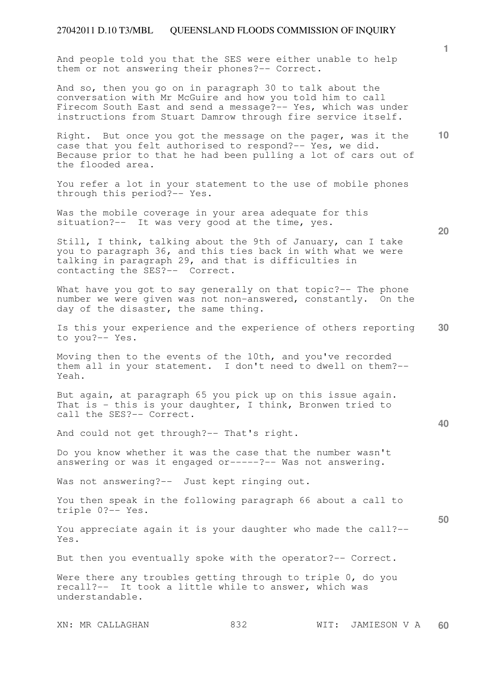And people told you that the SES were either unable to help them or not answering their phones?-- Correct.

And so, then you go on in paragraph 30 to talk about the conversation with Mr McGuire and how you told him to call Firecom South East and send a message?-- Yes, which was under instructions from Stuart Damrow through fire service itself.

**10**  Right. But once you got the message on the pager, was it the case that you felt authorised to respond?-- Yes, we did. Because prior to that he had been pulling a lot of cars out of the flooded area.

You refer a lot in your statement to the use of mobile phones through this period?-- Yes.

Was the mobile coverage in your area adequate for this situation?-- It was very good at the time, yes.

Still, I think, talking about the 9th of January, can I take you to paragraph 36, and this ties back in with what we were talking in paragraph 29, and that is difficulties in contacting the SES?-- Correct.

What have you got to say generally on that topic?-- The phone number we were given was not non-answered, constantly. On the day of the disaster, the same thing.

**30**  Is this your experience and the experience of others reporting to you?-- Yes.

Moving then to the events of the 10th, and you've recorded them all in your statement. I don't need to dwell on them?-- Yeah.

But again, at paragraph 65 you pick up on this issue again. That is - this is your daughter, I think, Bronwen tried to call the SES?-- Correct.

And could not get through?-- That's right.

Do you know whether it was the case that the number wasn't answering or was it engaged or-----?-- Was not answering.

Was not answering?-- Just kept ringing out.

You then speak in the following paragraph 66 about a call to triple 0?-- Yes.

You appreciate again it is your daughter who made the call?-- Yes.

But then you eventually spoke with the operator?-- Correct.

Were there any troubles getting through to triple 0, do you recall?-- It took a little while to answer, which was understandable.

XN: MR CALLAGHAN 832 WIT: JAMIESON V A **60** 

**40** 

**50** 

**1**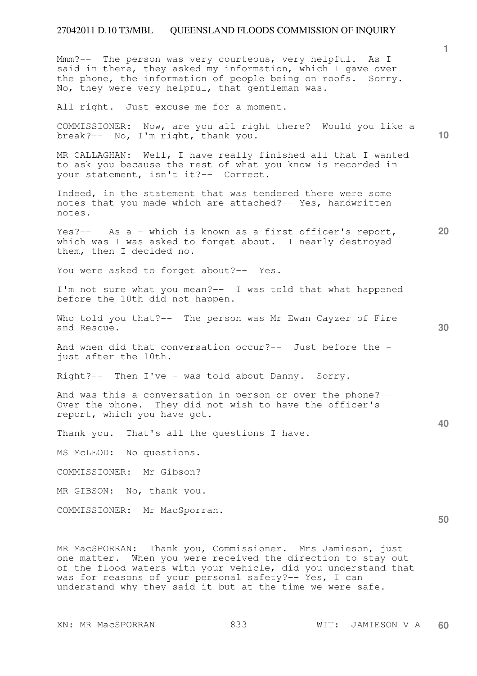Mmm?-- The person was very courteous, very helpful. As I said in there, they asked my information, which I gave over the phone, the information of people being on roofs. Sorry. No, they were very helpful, that gentleman was.

All right. Just excuse me for a moment.

COMMISSIONER: Now, are you all right there? Would you like a break?-- No, I'm right, thank you.

MR CALLAGHAN: Well, I have really finished all that I wanted to ask you because the rest of what you know is recorded in your statement, isn't it?-- Correct.

Indeed, in the statement that was tendered there were some notes that you made which are attached?-- Yes, handwritten notes.

**20**  Yes?-- As a - which is known as a first officer's report, which was I was asked to forget about. I nearly destroyed them, then I decided no.

You were asked to forget about? -- Yes.

I'm not sure what you mean?-- I was told that what happened before the 10th did not happen.

Who told you that?-- The person was Mr Ewan Cayzer of Fire and Rescue.

And when did that conversation occur?-- Just before the just after the 10th.

Right?-- Then I've - was told about Danny. Sorry.

And was this a conversation in person or over the phone?-- Over the phone. They did not wish to have the officer's report, which you have got.

Thank you. That's all the questions I have.

MS McLEOD: No questions.

COMMISSIONER: Mr Gibson?

MR GIBSON: No, thank you.

COMMISSIONER: Mr MacSporran.

MR MacSPORRAN: Thank you, Commissioner. Mrs Jamieson, just one matter. When you were received the direction to stay out of the flood waters with your vehicle, did you understand that was for reasons of your personal safety?-- Yes, I can understand why they said it but at the time we were safe.

**1**

**10** 

**30** 

**40**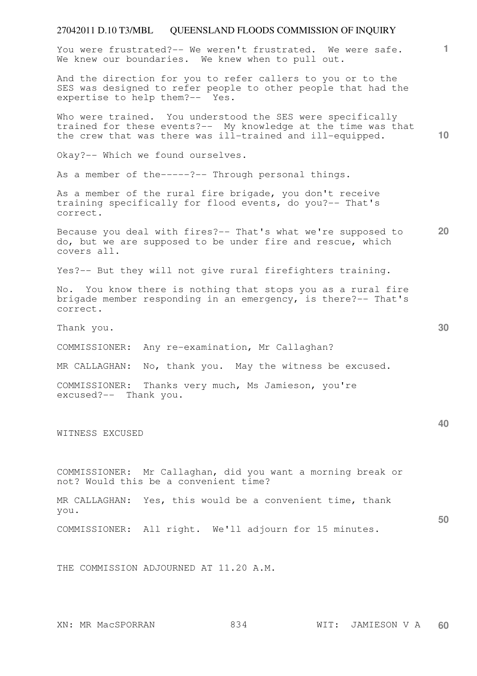**1** You were frustrated?-- We weren't frustrated. We were safe. We knew our boundaries. We knew when to pull out.

And the direction for you to refer callers to you or to the SES was designed to refer people to other people that had the expertise to help them?-- Yes.

Who were trained. You understood the SES were specifically trained for these events?-- My knowledge at the time was that the crew that was there was ill-trained and ill-equipped.

Okay?-- Which we found ourselves.

As a member of the-----?-- Through personal things.

As a member of the rural fire brigade, you don't receive training specifically for flood events, do you?-- That's correct.

**20**  Because you deal with fires?-- That's what we're supposed to do, but we are supposed to be under fire and rescue, which covers all.

Yes?-- But they will not give rural firefighters training.

No. You know there is nothing that stops you as a rural fire brigade member responding in an emergency, is there?-- That's correct.

Thank you.

COMMISSIONER: Any re-examination, Mr Callaghan?

MR CALLAGHAN: No, thank you. May the witness be excused.

COMMISSIONER: Thanks very much, Ms Jamieson, you're excused?-- Thank you.

WITNESS EXCUSED

COMMISSIONER: Mr Callaghan, did you want a morning break or not? Would this be a convenient time?

MR CALLAGHAN: Yes, this would be a convenient time, thank you.

COMMISSIONER: All right. We'll adjourn for 15 minutes.

THE COMMISSION ADJOURNED AT 11.20 A.M.

**10**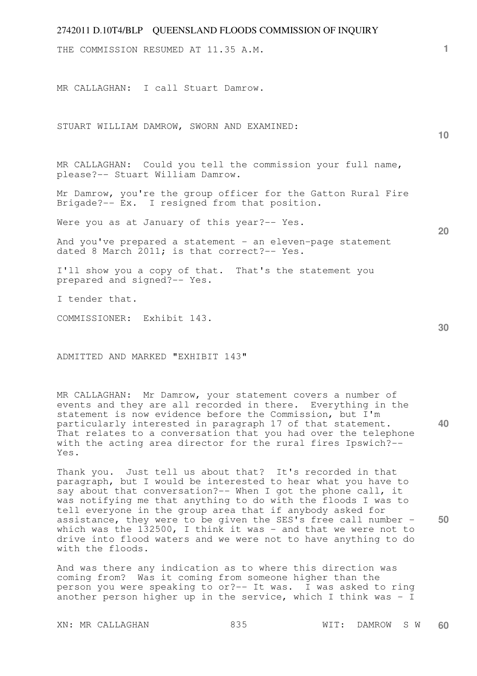| $2142011$ D.1014/DEI – QUEENSEAND FEOODS COMMISSION OF INQUINT                                                 |                 |
|----------------------------------------------------------------------------------------------------------------|-----------------|
| THE COMMISSION RESUMED AT 11.35 A.M.                                                                           | 1.              |
| MR CALLAGHAN: I call Stuart Damrow.                                                                            |                 |
| STUART WILLIAM DAMROW, SWORN AND EXAMINED:                                                                     | 10 <sup>°</sup> |
| MR CALLAGHAN: Could you tell the commission your full name,<br>please?-- Stuart William Damrow.                |                 |
| Mr Damrow, you're the group officer for the Gatton Rural Fire<br>Brigade?-- Ex. I resigned from that position. |                 |
| Were you as at January of this year?-- Yes.                                                                    | 20              |
| And you've prepared a statement - an eleven-page statement<br>dated 8 March 2011; is that correct?-- Yes.      |                 |
| I'll show you a copy of that. That's the statement you<br>prepared and signed?-- Yes.                          |                 |
| I tender that.                                                                                                 |                 |
| COMMISSIONER: Exhibit 143.                                                                                     | 30              |
| ADMITTED AND MARKED "EXHIBIT 143"                                                                              |                 |

**40**  MR CALLAGHAN: Mr Damrow, your statement covers a number of events and they are all recorded in there. Everything in the statement is now evidence before the Commission, but I'm particularly interested in paragraph 17 of that statement. That relates to a conversation that you had over the telephone with the acting area director for the rural fires Ipswich?-- Yes.

**50**  Thank you. Just tell us about that? It's recorded in that paragraph, but I would be interested to hear what you have to say about that conversation?-- When I got the phone call, it was notifying me that anything to do with the floods I was to tell everyone in the group area that if anybody asked for assistance, they were to be given the SES's free call number which was the 132500, I think it was - and that we were not to drive into flood waters and we were not to have anything to do with the floods.

And was there any indication as to where this direction was coming from? Was it coming from someone higher than the person you were speaking to or?-- It was. I was asked to ring another person higher up in the service, which I think was - I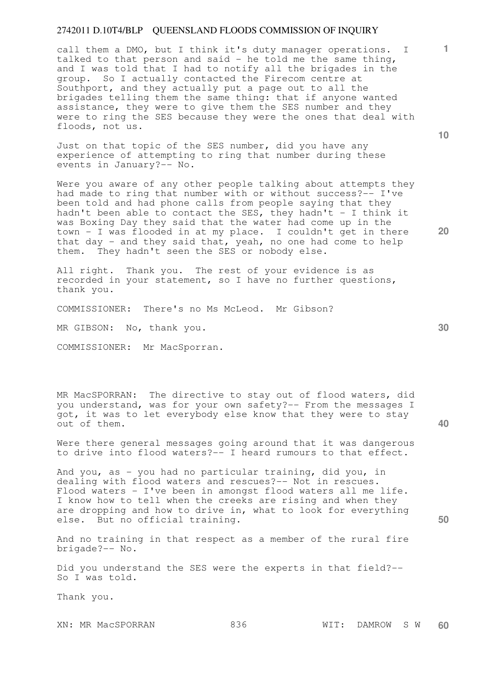call them a DMO, but I think it's duty manager operations. I talked to that person and said - he told me the same thing, and I was told that I had to notify all the brigades in the group. So I actually contacted the Firecom centre at Southport, and they actually put a page out to all the brigades telling them the same thing: that if anyone wanted assistance, they were to give them the SES number and they were to ring the SES because they were the ones that deal with floods, not us.

Just on that topic of the SES number, did you have any experience of attempting to ring that number during these events in January?-- No.

Were you aware of any other people talking about attempts they had made to ring that number with or without success?-- I've been told and had phone calls from people saying that they hadn't been able to contact the SES, they hadn't - I think it was Boxing Day they said that the water had come up in the town - I was flooded in at my place. I couldn't get in there that day - and they said that, yeah, no one had come to help them. They hadn't seen the SES or nobody else.

All right. Thank you. The rest of your evidence is as recorded in your statement, so I have no further questions, thank you.

COMMISSIONER: There's no Ms McLeod. Mr Gibson?

MR GIBSON: No, thank you.

COMMISSIONER: Mr MacSporran.

MR MacSPORRAN: The directive to stay out of flood waters, did you understand, was for your own safety?-- From the messages I got, it was to let everybody else know that they were to stay out of them.

Were there general messages going around that it was dangerous to drive into flood waters?-- I heard rumours to that effect.

And you, as - you had no particular training, did you, in dealing with flood waters and rescues?-- Not in rescues. Flood waters - I've been in amongst flood waters all me life. I know how to tell when the creeks are rising and when they are dropping and how to drive in, what to look for everything else. But no official training.

And no training in that respect as a member of the rural fire brigade?-- No.

Did you understand the SES were the experts in that field?-- So I was told.

Thank you.

XN: MR MacSPORRAN 836 WIT: DAMROW S W **60** 

**30** 

**50** 

**10** 

**20**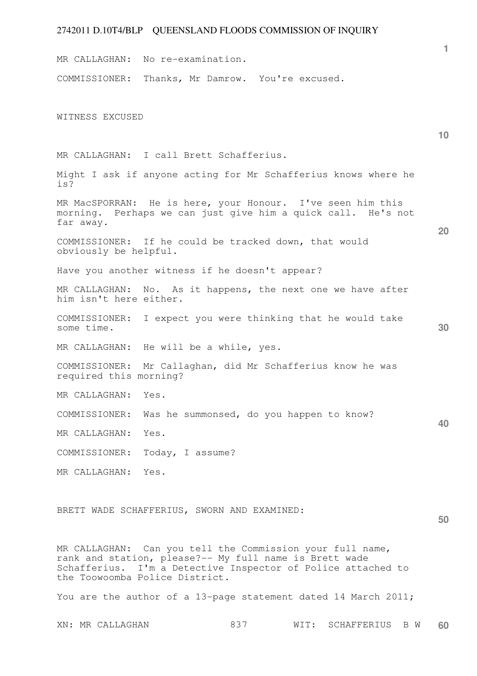**1 10 20 30 40 50**  MR CALLAGHAN: No re-examination. COMMISSIONER: Thanks, Mr Damrow. You're excused. WITNESS EXCUSED MR CALLAGHAN: I call Brett Schafferius. Might I ask if anyone acting for Mr Schafferius knows where he is? MR MacSPORRAN: He is here, your Honour. I've seen him this morning. Perhaps we can just give him a quick call. He's not far away. COMMISSIONER: If he could be tracked down, that would obviously be helpful. Have you another witness if he doesn't appear? MR CALLAGHAN: No. As it happens, the next one we have after him isn't here either. COMMISSIONER: I expect you were thinking that he would take some time. MR CALLAGHAN: He will be a while, yes. COMMISSIONER: Mr Callaghan, did Mr Schafferius know he was required this morning? MR CALLAGHAN: Yes. COMMISSIONER: Was he summonsed, do you happen to know? MR CALLAGHAN: Yes. COMMISSIONER: Today, I assume? MR CALLAGHAN: Yes. BRETT WADE SCHAFFERIUS, SWORN AND EXAMINED:

MR CALLAGHAN: Can you tell the Commission your full name, rank and station, please?-- My full name is Brett wade Schafferius. I'm a Detective Inspector of Police attached to the Toowoomba Police District.

You are the author of a 13-page statement dated 14 March 2011;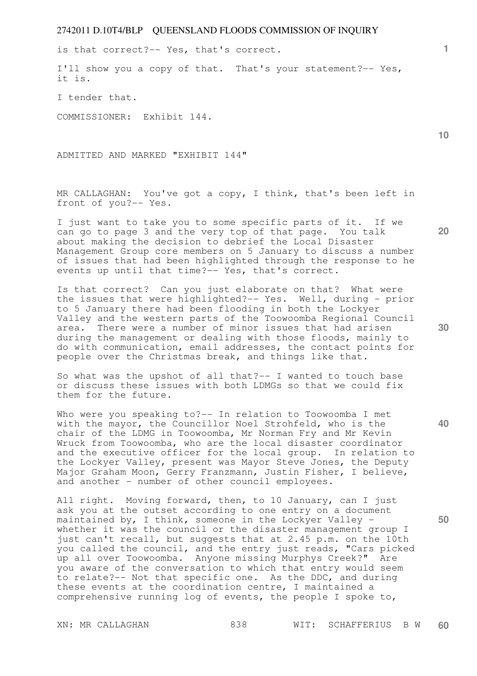is that correct?-- Yes, that's correct.

I'll show you a copy of that. That's your statement?-- Yes, it is.

I tender that.

COMMISSIONER: Exhibit 144.

ADMITTED AND MARKED "EXHIBIT 144"

MR CALLAGHAN: You've got a copy, I think, that's been left in front of you?-- Yes.

I just want to take you to some specific parts of it. If we can go to page 3 and the very top of that page. You talk about making the decision to debrief the Local Disaster Management Group core members on 5 January to discuss a number of issues that had been highlighted through the response to he events up until that time?-- Yes, that's correct.

Is that correct? Can you just elaborate on that? What were the issues that were highlighted?-- Yes. Well, during - prior to 5 January there had been flooding in both the Lockyer Valley and the western parts of the Toowoomba Regional Council area. There were a number of minor issues that had arisen during the management or dealing with those floods, mainly to do with communication, email addresses, the contact points for people over the Christmas break, and things like that.

So what was the upshot of all that?-- I wanted to touch base or discuss these issues with both LDMGs so that we could fix them for the future.

Who were you speaking to?-- In relation to Toowoomba I met with the mayor, the Councillor Noel Strohfeld, who is the chair of the LDMG in Toowoomba, Mr Norman Fry and Mr Kevin Wruck from Toowoomba, who are the local disaster coordinator and the executive officer for the local group. In relation to the Lockyer Valley, present was Mayor Steve Jones, the Deputy Major Graham Moon, Gerry Franzmann, Justin Fisher, I believe, and another - number of other council employees.

All right. Moving forward, then, to 10 January, can I just ask you at the outset according to one entry on a document maintained by, I think, someone in the Lockyer Valley whether it was the council or the disaster management group I just can't recall, but suggests that at 2.45 p.m. on the 10th you called the council, and the entry just reads, "Cars picked up all over Toowoomba. Anyone missing Murphys Creek?" Are you aware of the conversation to which that entry would seem to relate?-- Not that specific one. As the DDC, and during these events at the coordination centre, I maintained a comprehensive running log of events, the people I spoke to,

**10** 

**1**

**40** 

**50**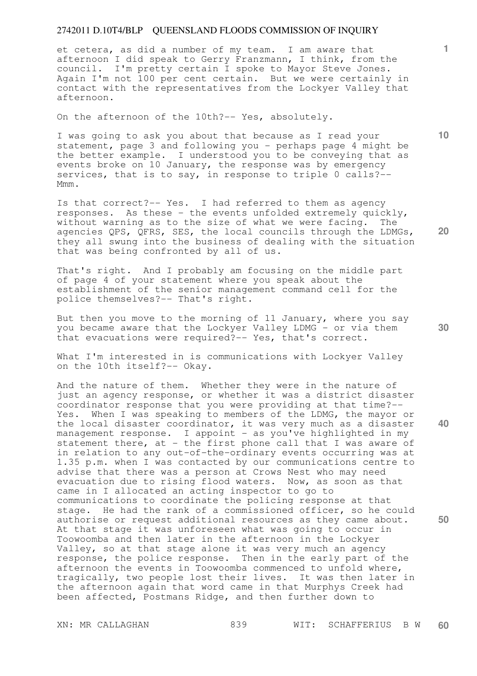et cetera, as did a number of my team. I am aware that afternoon I did speak to Gerry Franzmann, I think, from the council. I'm pretty certain I spoke to Mayor Steve Jones. Again I'm not 100 per cent certain. But we were certainly in contact with the representatives from the Lockyer Valley that afternoon.

On the afternoon of the 10th?-- Yes, absolutely.

I was going to ask you about that because as I read your statement, page 3 and following you - perhaps page  $4$  might be the better example. I understood you to be conveying that as events broke on 10 January, the response was by emergency services, that is to say, in response to triple 0 calls?-- Mmm.

Is that correct?-- Yes. I had referred to them as agency responses. As these - the events unfolded extremely quickly, without warning as to the size of what we were facing. The agencies QPS, QFRS, SES, the local councils through the LDMGs, they all swung into the business of dealing with the situation that was being confronted by all of us.

That's right. And I probably am focusing on the middle part of page 4 of your statement where you speak about the establishment of the senior management command cell for the police themselves?-- That's right.

But then you move to the morning of 11 January, where you say you became aware that the Lockyer Valley LDMG - or via them that evacuations were required?-- Yes, that's correct.

What I'm interested in is communications with Lockyer Valley on the 10th itself?-- Okay.

And the nature of them. Whether they were in the nature of just an agency response, or whether it was a district disaster coordinator response that you were providing at that time?-- Yes. When I was speaking to members of the LDMG, the mayor or the local disaster coordinator, it was very much as a disaster management response. I appoint - as you've highlighted in my statement there, at - the first phone call that I was aware of in relation to any out-of-the-ordinary events occurring was at 1.35 p.m. when I was contacted by our communications centre to advise that there was a person at Crows Nest who may need evacuation due to rising flood waters. Now, as soon as that came in I allocated an acting inspector to go to communications to coordinate the policing response at that stage. He had the rank of a commissioned officer, so he could authorise or request additional resources as they came about. At that stage it was unforeseen what was going to occur in Toowoomba and then later in the afternoon in the Lockyer Valley, so at that stage alone it was very much an agency response, the police response. Then in the early part of the afternoon the events in Toowoomba commenced to unfold where, tragically, two people lost their lives. It was then later in the afternoon again that word came in that Murphys Creek had been affected, Postmans Ridge, and then further down to

**20** 

**10** 

**1**



**40**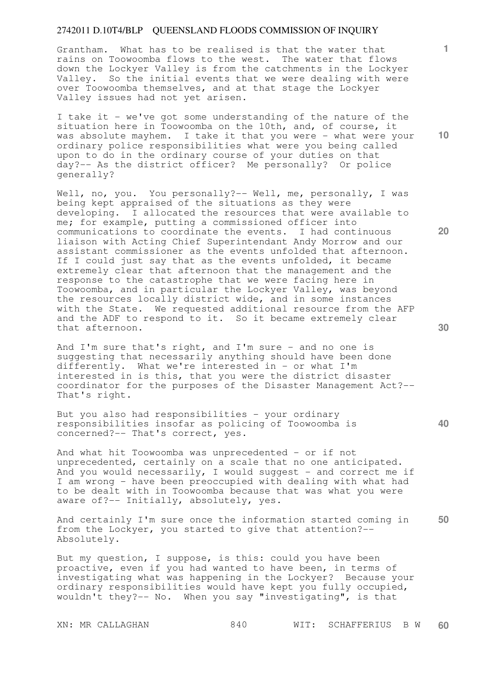Grantham. What has to be realised is that the water that rains on Toowoomba flows to the west. The water that flows down the Lockyer Valley is from the catchments in the Lockyer Valley. So the initial events that we were dealing with were over Toowoomba themselves, and at that stage the Lockyer Valley issues had not yet arisen.

I take it - we've got some understanding of the nature of the situation here in Toowoomba on the 10th, and, of course, it was absolute mayhem. I take it that you were - what were your ordinary police responsibilities what were you being called upon to do in the ordinary course of your duties on that day?-- As the district officer? Me personally? Or police generally?

Well, no, you. You personally?-- Well, me, personally, I was being kept appraised of the situations as they were developing. I allocated the resources that were available to me; for example, putting a commissioned officer into communications to coordinate the events. I had continuous liaison with Acting Chief Superintendant Andy Morrow and our assistant commissioner as the events unfolded that afternoon. If I could just say that as the events unfolded, it became extremely clear that afternoon that the management and the response to the catastrophe that we were facing here in Toowoomba, and in particular the Lockyer Valley, was beyond the resources locally district wide, and in some instances with the State. We requested additional resource from the AFP and the ADF to respond to it. So it became extremely clear that afternoon.

And I'm sure that's right, and I'm sure - and no one is suggesting that necessarily anything should have been done differently. What we're interested in - or what I'm interested in is this, that you were the district disaster coordinator for the purposes of the Disaster Management Act?-- That's right.

But you also had responsibilities - your ordinary responsibilities insofar as policing of Toowoomba is concerned?-- That's correct, yes.

And what hit Toowoomba was unprecedented - or if not unprecedented, certainly on a scale that no one anticipated. And you would necessarily, I would suggest - and correct me if I am wrong - have been preoccupied with dealing with what had to be dealt with in Toowoomba because that was what you were aware of?-- Initially, absolutely, yes.

**50**  And certainly I'm sure once the information started coming in from the Lockyer, you started to give that attention?-- Absolutely.

But my question, I suppose, is this: could you have been proactive, even if you had wanted to have been, in terms of investigating what was happening in the Lockyer? Because your ordinary responsibilities would have kept you fully occupied, wouldn't they?-- No. When you say "investigating", is that

**10** 

**1**

**20** 

**30**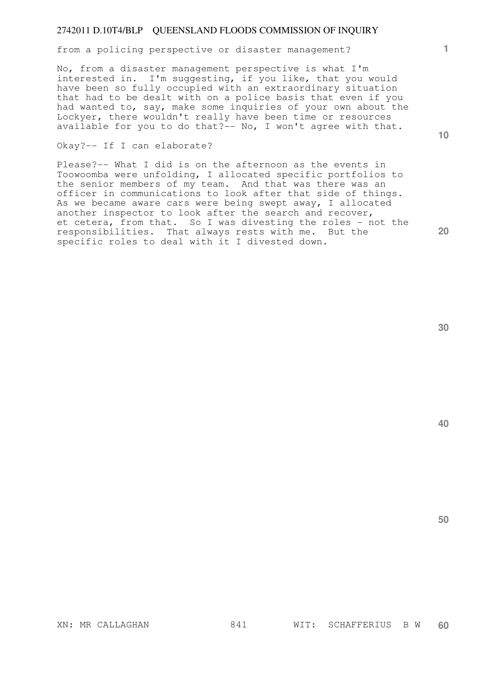from a policing perspective or disaster management?

No, from a disaster management perspective is what I'm interested in. I'm suggesting, if you like, that you would have been so fully occupied with an extraordinary situation that had to be dealt with on a police basis that even if you had wanted to, say, make some inquiries of your own about the Lockyer, there wouldn't really have been time or resources available for you to do that?-- No, I won't agree with that.

Okay?-- If I can elaborate?

Please?-- What I did is on the afternoon as the events in Toowoomba were unfolding, I allocated specific portfolios to the senior members of my team. And that was there was an officer in communications to look after that side of things. As we became aware cars were being swept away, I allocated another inspector to look after the search and recover, et cetera, from that. So I was divesting the roles - not the responsibilities. That always rests with me. But the specific roles to deal with it I divested down.

**30** 

**40** 

**50** 

**1**

**10**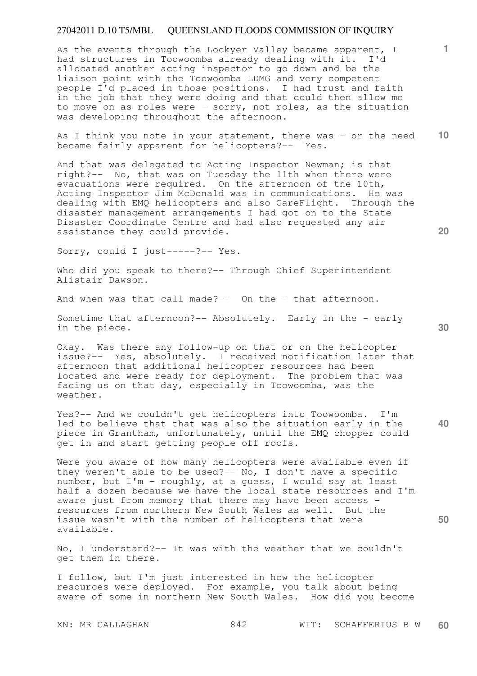As the events through the Lockyer Valley became apparent, I had structures in Toowoomba already dealing with it. I'd allocated another acting inspector to go down and be the liaison point with the Toowoomba LDMG and very competent people I'd placed in those positions. I had trust and faith in the job that they were doing and that could then allow me to move on as roles were - sorry, not roles, as the situation was developing throughout the afternoon.

**10**  As I think you note in your statement, there was - or the need became fairly apparent for helicopters?-- Yes.

And that was delegated to Acting Inspector Newman; is that right?-- No, that was on Tuesday the 11th when there were evacuations were required. On the afternoon of the 10th, Acting Inspector Jim McDonald was in communications. He was dealing with EMQ helicopters and also CareFlight. Through the disaster management arrangements I had got on to the State Disaster Coordinate Centre and had also requested any air assistance they could provide.

Sorry, could I just-----?-- Yes.

Who did you speak to there?-- Through Chief Superintendent Alistair Dawson.

And when was that call made?-- On the - that afternoon.

Sometime that afternoon?-- Absolutely. Early in the - early in the piece.

Okay. Was there any follow-up on that or on the helicopter issue?-- Yes, absolutely. I received notification later that afternoon that additional helicopter resources had been located and were ready for deployment. The problem that was facing us on that day, especially in Toowoomba, was the weather.

**40**  Yes?-- And we couldn't get helicopters into Toowoomba. I'm led to believe that that was also the situation early in the piece in Grantham, unfortunately, until the EMQ chopper could get in and start getting people off roofs.

Were you aware of how many helicopters were available even if they weren't able to be used?-- No, I don't have a specific number, but I'm - roughly, at a guess, I would say at least half a dozen because we have the local state resources and I'm aware just from memory that there may have been access resources from northern New South Wales as well. But the issue wasn't with the number of helicopters that were available.

No, I understand?-- It was with the weather that we couldn't get them in there.

I follow, but I'm just interested in how the helicopter resources were deployed. For example, you talk about being aware of some in northern New South Wales. How did you become

**30** 

**1**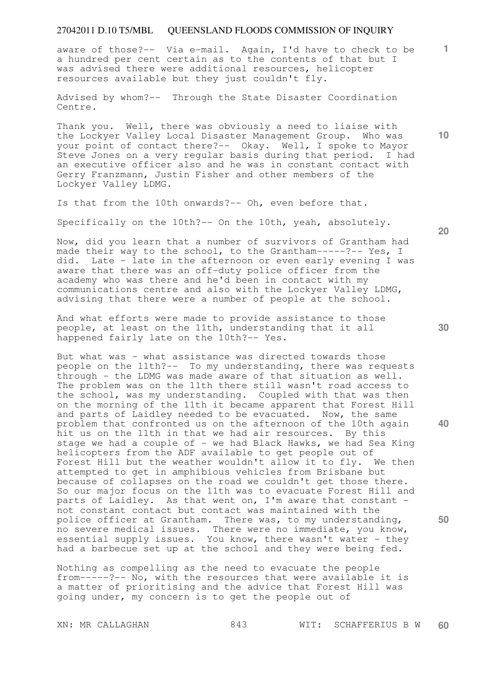**1** aware of those?-- Via e-mail. Again, I'd have to check to be a hundred per cent certain as to the contents of that but I was advised there were additional resources, helicopter resources available but they just couldn't fly.

Advised by whom?-- Through the State Disaster Coordination Centre.

Thank you. Well, there was obviously a need to liaise with the Lockyer Valley Local Disaster Management Group. Who was your point of contact there?-- Okay. Well, I spoke to Mayor Steve Jones on a very regular basis during that period. I had an executive officer also and he was in constant contact with Gerry Franzmann, Justin Fisher and other members of the Lockyer Valley LDMG.

Is that from the 10th onwards?-- Oh, even before that.

Specifically on the 10th?-- On the 10th, yeah, absolutely.

Now, did you learn that a number of survivors of Grantham had made their way to the school, to the Grantham-----?-- Yes, I did. Late - late in the afternoon or even early evening I was aware that there was an off-duty police officer from the academy who was there and he'd been in contact with my communications centre and also with the Lockyer Valley LDMG, advising that there were a number of people at the school.

And what efforts were made to provide assistance to those people, at least on the 11th, understanding that it all happened fairly late on the 10th?-- Yes.

But what was - what assistance was directed towards those people on the 11th?-- To my understanding, there was requests through - the LDMG was made aware of that situation as well. The problem was on the 11th there still wasn't road access to the school, was my understanding. Coupled with that was then on the morning of the 11th it became apparent that Forest Hill and parts of Laidley needed to be evacuated. Now, the same problem that confronted us on the afternoon of the 10th again hit us on the 11th in that we had air resources. By this stage we had a couple of - we had Black Hawks, we had Sea King helicopters from the ADF available to get people out of Forest Hill but the weather wouldn't allow it to fly. We then attempted to get in amphibious vehicles from Brisbane but because of collapses on the road we couldn't get those there. So our major focus on the 11th was to evacuate Forest Hill and parts of Laidley. As that went on, I'm aware that constant not constant contact but contact was maintained with the police officer at Grantham. There was, to my understanding, no severe medical issues. There were no immediate, you know, essential supply issues. You know, there wasn't water - they had a barbecue set up at the school and they were being fed.

Nothing as compelling as the need to evacuate the people from-----?-- No, with the resources that were available it is a matter of prioritising and the advice that Forest Hill was going under, my concern is to get the people out of

**30** 

**50** 

**40** 

**10**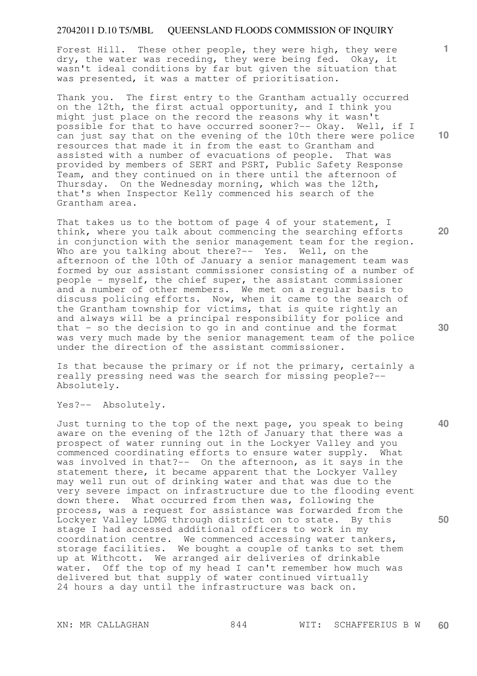Forest Hill. These other people, they were high, they were dry, the water was receding, they were being fed. Okay, it wasn't ideal conditions by far but given the situation that was presented, it was a matter of prioritisation.

Thank you. The first entry to the Grantham actually occurred on the 12th, the first actual opportunity, and I think you might just place on the record the reasons why it wasn't possible for that to have occurred sooner?-- Okay. Well, if I can just say that on the evening of the 10th there were police resources that made it in from the east to Grantham and assisted with a number of evacuations of people. That was provided by members of SERT and PSRT, Public Safety Response Team, and they continued on in there until the afternoon of Thursday. On the Wednesday morning, which was the 12th, that's when Inspector Kelly commenced his search of the Grantham area.

That takes us to the bottom of page 4 of your statement, I think, where you talk about commencing the searching efforts in conjunction with the senior management team for the region. Who are you talking about there?-- Yes. Well, on the afternoon of the 10th of January a senior management team was formed by our assistant commissioner consisting of a number of people - myself, the chief super, the assistant commissioner and a number of other members. We met on a regular basis to discuss policing efforts. Now, when it came to the search of the Grantham township for victims, that is quite rightly an and always will be a principal responsibility for police and that - so the decision to go in and continue and the format was very much made by the senior management team of the police under the direction of the assistant commissioner.

Is that because the primary or if not the primary, certainly a really pressing need was the search for missing people?-- Absolutely.

Yes?-- Absolutely.

Just turning to the top of the next page, you speak to being aware on the evening of the 12th of January that there was a prospect of water running out in the Lockyer Valley and you commenced coordinating efforts to ensure water supply. What was involved in that?-- On the afternoon, as it says in the statement there, it became apparent that the Lockyer Valley may well run out of drinking water and that was due to the very severe impact on infrastructure due to the flooding event down there. What occurred from then was, following the process, was a request for assistance was forwarded from the Lockyer Valley LDMG through district on to state. By this stage I had accessed additional officers to work in my coordination centre. We commenced accessing water tankers, storage facilities. We bought a couple of tanks to set them up at Withcott. We arranged air deliveries of drinkable water. Off the top of my head I can't remember how much was delivered but that supply of water continued virtually 24 hours a day until the infrastructure was back on.

**1**

**10** 

**20** 

**40**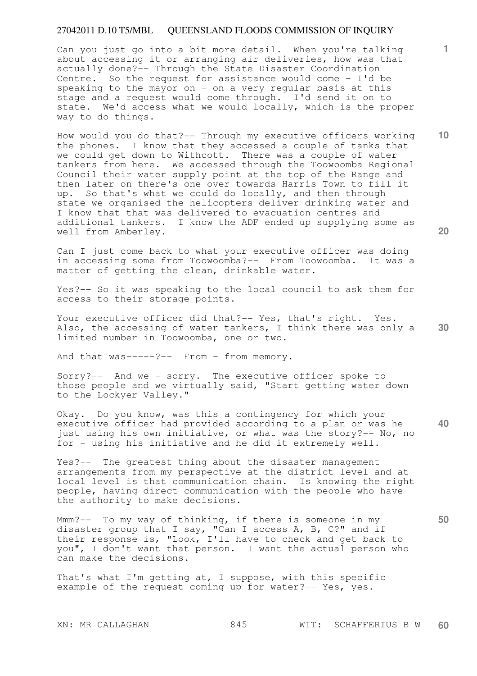Can you just go into a bit more detail. When you're talking about accessing it or arranging air deliveries, how was that actually done?-- Through the State Disaster Coordination Centre. So the request for assistance would come - I'd be speaking to the mayor on  $-$  on a very regular basis at this stage and a request would come through. I'd send it on to state. We'd access what we would locally, which is the proper way to do things.

How would you do that?-- Through my executive officers working the phones. I know that they accessed a couple of tanks that we could get down to Withcott. There was a couple of water tankers from here. We accessed through the Toowoomba Regional Council their water supply point at the top of the Range and then later on there's one over towards Harris Town to fill it up. So that's what we could do locally, and then through state we organised the helicopters deliver drinking water and I know that that was delivered to evacuation centres and additional tankers. I know the ADF ended up supplying some as well from Amberley.

Can I just come back to what your executive officer was doing in accessing some from Toowoomba?-- From Toowoomba. It was a matter of getting the clean, drinkable water.

Yes?-- So it was speaking to the local council to ask them for access to their storage points.

**30**  Your executive officer did that?-- Yes, that's right. Yes. Also, the accessing of water tankers, I think there was only a limited number in Toowoomba, one or two.

And that was-----?-- From - from memory.

Sorry?-- And we - sorry. The executive officer spoke to those people and we virtually said, "Start getting water down to the Lockyer Valley."

**40**  Okay. Do you know, was this a contingency for which your executive officer had provided according to a plan or was he just using his own initiative, or what was the story?-- No, no for - using his initiative and he did it extremely well.

Yes?-- The greatest thing about the disaster management arrangements from my perspective at the district level and at local level is that communication chain. Is knowing the right people, having direct communication with the people who have the authority to make decisions.

Mmm?-- To my way of thinking, if there is someone in my disaster group that I say, "Can I access A, B, C?" and if their response is, "Look, I'll have to check and get back to you", I don't want that person. I want the actual person who can make the decisions.

That's what I'm getting at, I suppose, with this specific example of the request coming up for water?-- Yes, yes.

**10** 

**1**

**20**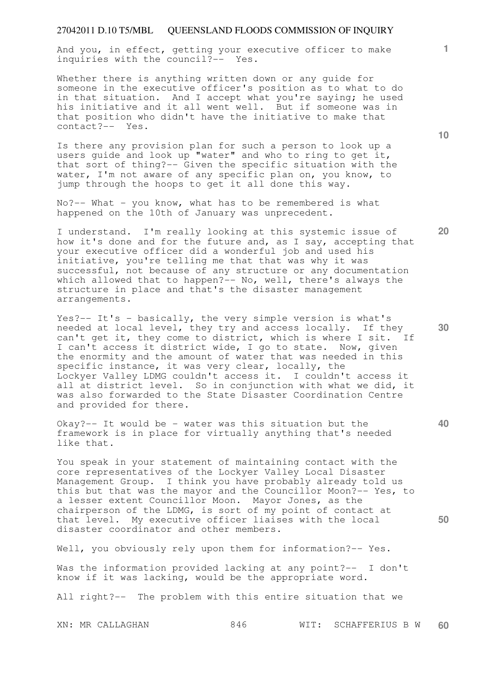And you, in effect, getting your executive officer to make inquiries with the council?-- Yes.

Whether there is anything written down or any guide for someone in the executive officer's position as to what to do in that situation. And I accept what you're saying; he used his initiative and it all went well. But if someone was in that position who didn't have the initiative to make that contact?-- Yes.

Is there any provision plan for such a person to look up a users quide and look up "water" and who to ring to get it, that sort of thing?-- Given the specific situation with the water, I'm not aware of any specific plan on, you know, to jump through the hoops to get it all done this way.

No?-- What - you know, what has to be remembered is what happened on the 10th of January was unprecedent.

I understand. I'm really looking at this systemic issue of how it's done and for the future and, as I say, accepting that your executive officer did a wonderful job and used his initiative, you're telling me that that was why it was successful, not because of any structure or any documentation which allowed that to happen?-- No, well, there's always the structure in place and that's the disaster management arrangements.

Yes?-- It's - basically, the very simple version is what's needed at local level, they try and access locally. If they can't get it, they come to district, which is where I sit. If I can't access it district wide, I go to state. Now, given the enormity and the amount of water that was needed in this specific instance, it was very clear, locally, the Lockyer Valley LDMG couldn't access it. I couldn't access it all at district level. So in conjunction with what we did, it was also forwarded to the State Disaster Coordination Centre and provided for there.

Okay?-- It would be - water was this situation but the framework is in place for virtually anything that's needed like that.

You speak in your statement of maintaining contact with the core representatives of the Lockyer Valley Local Disaster Management Group. I think you have probably already told us this but that was the mayor and the Councillor Moon?-- Yes, to a lesser extent Councillor Moon. Mayor Jones, as the chairperson of the LDMG, is sort of my point of contact at that level. My executive officer liaises with the local disaster coordinator and other members.

Well, you obviously rely upon them for information?-- Yes.

Was the information provided lacking at any point?-- I don't know if it was lacking, would be the appropriate word.

All right?-- The problem with this entire situation that we

**10** 

**1**

**20** 

**30** 

**40**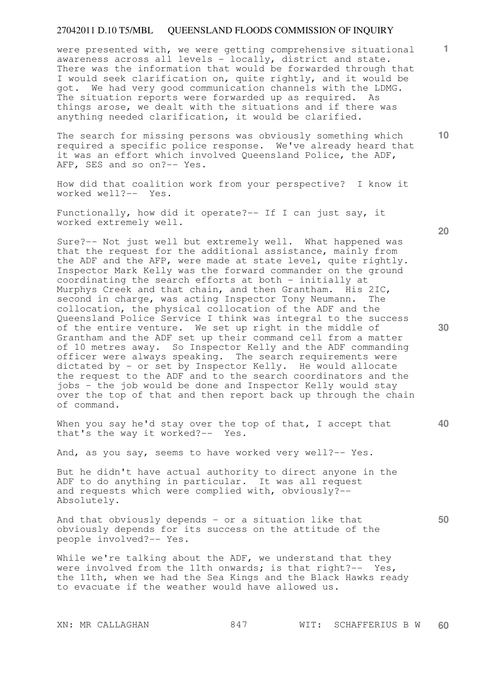were presented with, we were getting comprehensive situational awareness across all levels - locally, district and state. There was the information that would be forwarded through that I would seek clarification on, quite rightly, and it would be got. We had very good communication channels with the LDMG. The situation reports were forwarded up as required. As things arose, we dealt with the situations and if there was anything needed clarification, it would be clarified.

The search for missing persons was obviously something which required a specific police response. We've already heard that it was an effort which involved Queensland Police, the ADF, AFP, SES and so on?-- Yes.

How did that coalition work from your perspective? I know it worked well?-- Yes.

Functionally, how did it operate?-- If I can just say, it worked extremely well.

Sure?-- Not just well but extremely well. What happened was that the request for the additional assistance, mainly from the ADF and the AFP, were made at state level, quite rightly. Inspector Mark Kelly was the forward commander on the ground coordinating the search efforts at both - initially at Murphys Creek and that chain, and then Grantham. His 2IC, second in charge, was acting Inspector Tony Neumann. The collocation, the physical collocation of the ADF and the Queensland Police Service I think was integral to the success of the entire venture. We set up right in the middle of Grantham and the ADF set up their command cell from a matter of 10 metres away. So Inspector Kelly and the ADF commanding officer were always speaking. The search requirements were dictated by - or set by Inspector Kelly. He would allocate the request to the ADF and to the search coordinators and the jobs - the job would be done and Inspector Kelly would stay over the top of that and then report back up through the chain of command.

When you say he'd stay over the top of that, I accept that that's the way it worked?-- Yes.

And, as you say, seems to have worked very well?-- Yes.

But he didn't have actual authority to direct anyone in the ADF to do anything in particular. It was all request and requests which were complied with, obviously?-- Absolutely.

And that obviously depends - or a situation like that obviously depends for its success on the attitude of the people involved?-- Yes.

While we're talking about the ADF, we understand that they were involved from the 11th onwards; is that right?-- Yes, the 11th, when we had the Sea Kings and the Black Hawks ready to evacuate if the weather would have allowed us.

**20** 

**1**

**10** 

**30** 

**50**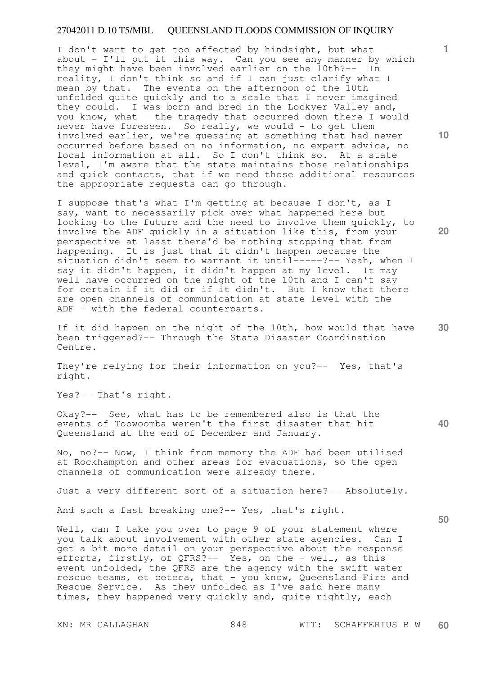I don't want to get too affected by hindsight, but what about - I'll put it this way. Can you see any manner by which they might have been involved earlier on the 10th?-- In reality, I don't think so and if I can just clarify what I mean by that. The events on the afternoon of the 10th unfolded quite quickly and to a scale that I never imagined they could. I was born and bred in the Lockyer Valley and, you know, what - the tragedy that occurred down there I would never have foreseen. So really, we would - to get them involved earlier, we're guessing at something that had never occurred before based on no information, no expert advice, no local information at all. So I don't think so. At a state level, I'm aware that the state maintains those relationships and quick contacts, that if we need those additional resources the appropriate requests can go through.

I suppose that's what I'm getting at because I don't, as I say, want to necessarily pick over what happened here but looking to the future and the need to involve them quickly, to involve the ADF quickly in a situation like this, from your perspective at least there'd be nothing stopping that from happening. It is just that it didn't happen because the situation didn't seem to warrant it until-----?-- Yeah, when I say it didn't happen, it didn't happen at my level. It may well have occurred on the night of the 10th and I can't say for certain if it did or if it didn't. But I know that there are open channels of communication at state level with the ADF - with the federal counterparts.

If it did happen on the night of the 10th, how would that have been triggered?-- Through the State Disaster Coordination Centre.

They're relying for their information on you?-- Yes, that's right.

Yes?-- That's right.

Okay?-- See, what has to be remembered also is that the events of Toowoomba weren't the first disaster that hit Queensland at the end of December and January.

No, no?-- Now, I think from memory the ADF had been utilised at Rockhampton and other areas for evacuations, so the open channels of communication were already there.

Just a very different sort of a situation here?-- Absolutely.

And such a fast breaking one?-- Yes, that's right.

Well, can I take you over to page 9 of your statement where you talk about involvement with other state agencies. Can I get a bit more detail on your perspective about the response efforts, firstly, of QFRS?-- Yes, on the - well, as this event unfolded, the QFRS are the agency with the swift water rescue teams, et cetera, that - you know, Queensland Fire and Rescue Service. As they unfolded as I've said here many times, they happened very quickly and, quite rightly, each

**10** 

**1**

**20** 

**30** 

**40**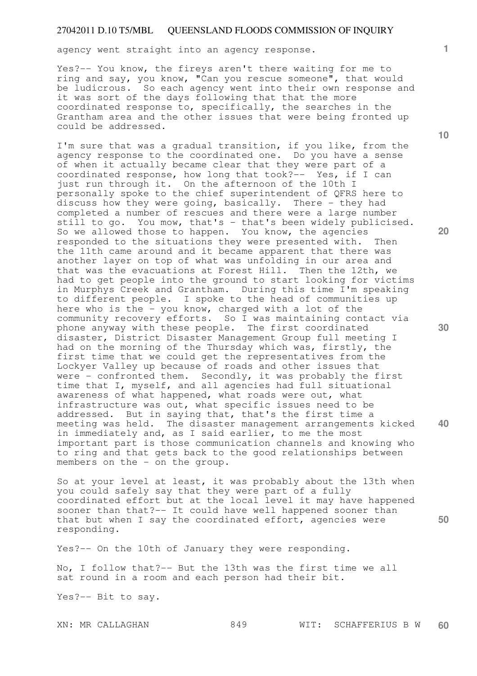agency went straight into an agency response.

Yes?-- You know, the fireys aren't there waiting for me to ring and say, you know, "Can you rescue someone", that would be ludicrous. So each agency went into their own response and it was sort of the days following that that the more coordinated response to, specifically, the searches in the Grantham area and the other issues that were being fronted up could be addressed.

I'm sure that was a gradual transition, if you like, from the agency response to the coordinated one. Do you have a sense of when it actually became clear that they were part of a coordinated response, how long that took?-- Yes, if I can just run through it. On the afternoon of the 10th I personally spoke to the chief superintendent of QFRS here to discuss how they were going, basically. There - they had completed a number of rescues and there were a large number still to go. You mow, that's - that's been widely publicised. So we allowed those to happen. You know, the agencies responded to the situations they were presented with. Then the 11th came around and it became apparent that there was another layer on top of what was unfolding in our area and that was the evacuations at Forest Hill. Then the 12th, we had to get people into the ground to start looking for victims in Murphys Creek and Grantham. During this time I'm speaking to different people. I spoke to the head of communities up here who is the - you know, charged with a lot of the community recovery efforts. So I was maintaining contact via phone anyway with these people. The first coordinated disaster, District Disaster Management Group full meeting I had on the morning of the Thursday which was, firstly, the first time that we could get the representatives from the Lockyer Valley up because of roads and other issues that were - confronted them. Secondly, it was probably the first time that I, myself, and all agencies had full situational awareness of what happened, what roads were out, what infrastructure was out, what specific issues need to be addressed. But in saying that, that's the first time a meeting was held. The disaster management arrangements kicked in immediately and, as I said earlier, to me the most important part is those communication channels and knowing who to ring and that gets back to the good relationships between members on the - on the group.

So at your level at least, it was probably about the 13th when you could safely say that they were part of a fully coordinated effort but at the local level it may have happened sooner than that?-- It could have well happened sooner than that but when I say the coordinated effort, agencies were responding.

Yes?-- On the 10th of January they were responding.

No, I follow that?-- But the 13th was the first time we all sat round in a room and each person had their bit.

Yes?-- Bit to say.

**1**

**10** 

**20** 

**30** 

**50**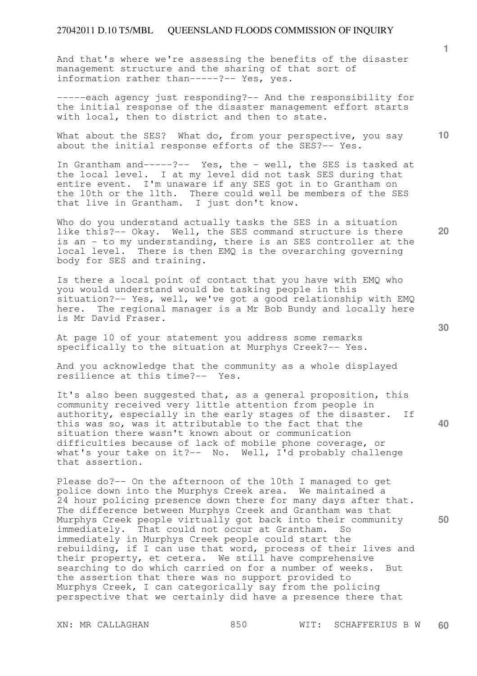And that's where we're assessing the benefits of the disaster management structure and the sharing of that sort of information rather than-----?-- Yes, yes.

-----each agency just responding?-- And the responsibility for the initial response of the disaster management effort starts with local, then to district and then to state.

What about the SES? What do, from your perspective, you say about the initial response efforts of the SES?-- Yes.

In Grantham and-----?-- Yes, the - well, the SES is tasked at the local level. I at my level did not task SES during that entire event. I'm unaware if any SES got in to Grantham on the 10th or the 11th. There could well be members of the SES that live in Grantham. I just don't know.

Who do you understand actually tasks the SES in a situation like this?-- Okay. Well, the SES command structure is there is an - to my understanding, there is an SES controller at the local level. There is then EMQ is the overarching governing body for SES and training.

Is there a local point of contact that you have with EMQ who you would understand would be tasking people in this situation?-- Yes, well, we've got a good relationship with EMQ here. The regional manager is a Mr Bob Bundy and locally here is Mr David Fraser.

At page 10 of your statement you address some remarks specifically to the situation at Murphys Creek?-- Yes.

And you acknowledge that the community as a whole displayed resilience at this time?-- Yes.

**40**  It's also been suggested that, as a general proposition, this community received very little attention from people in authority, especially in the early stages of the disaster. If this was so, was it attributable to the fact that the situation there wasn't known about or communication difficulties because of lack of mobile phone coverage, or what's your take on it?-- No. Well, I'd probably challenge that assertion.

Please do?-- On the afternoon of the 10th I managed to get police down into the Murphys Creek area. We maintained a 24 hour policing presence down there for many days after that. The difference between Murphys Creek and Grantham was that Murphys Creek people virtually got back into their community immediately. That could not occur at Grantham. So immediately in Murphys Creek people could start the rebuilding, if I can use that word, process of their lives and their property, et cetera. We still have comprehensive searching to do which carried on for a number of weeks. But the assertion that there was no support provided to Murphys Creek, I can categorically say from the policing perspective that we certainly did have a presence there that

**30** 

**50** 

**20**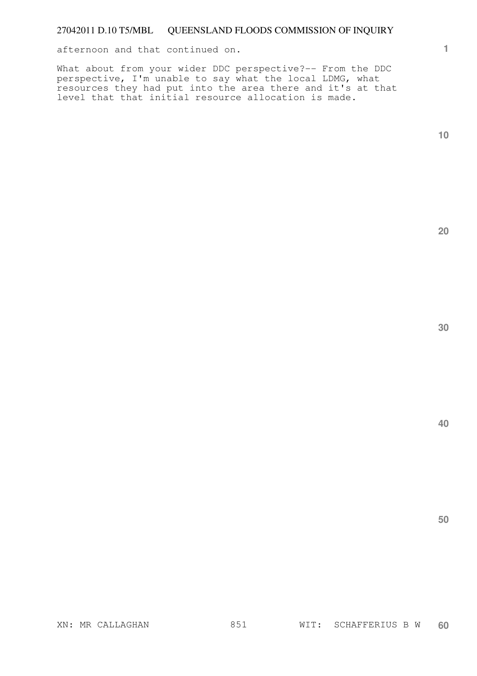afternoon and that continued on.

What about from your wider DDC perspective?-- From the DDC perspective, I'm unable to say what the local LDMG, what resources they had put into the area there and it's at that level that that initial resource allocation is made.

**1**

**20**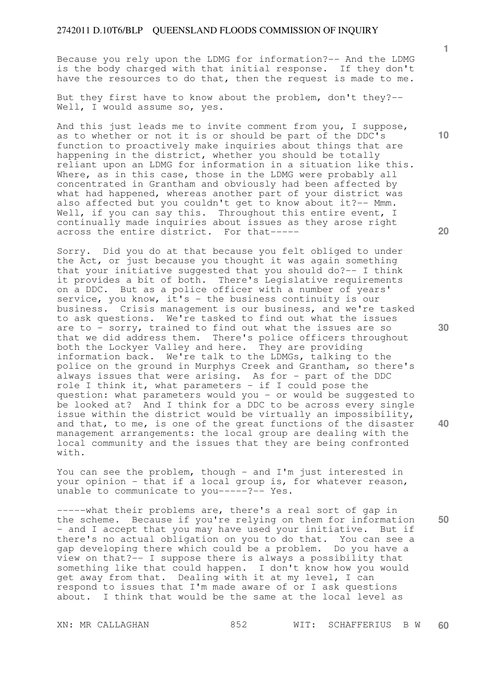Because you rely upon the LDMG for information?-- And the LDMG is the body charged with that initial response. If they don't have the resources to do that, then the request is made to me.

But they first have to know about the problem, don't they?-- Well, I would assume so, yes.

And this just leads me to invite comment from you, I suppose, as to whether or not it is or should be part of the DDC's function to proactively make inquiries about things that are happening in the district, whether you should be totally reliant upon an LDMG for information in a situation like this. Where, as in this case, those in the LDMG were probably all concentrated in Grantham and obviously had been affected by what had happened, whereas another part of your district was also affected but you couldn't get to know about it?-- Mmm. Well, if you can say this. Throughout this entire event, I continually made inquiries about issues as they arose right across the entire district. For that-----

Sorry. Did you do at that because you felt obliged to under the Act, or just because you thought it was again something that your initiative suggested that you should do?-- I think it provides a bit of both. There's Legislative requirements on a DDC. But as a police officer with a number of years' service, you know, it's - the business continuity is our business. Crisis management is our business, and we're tasked to ask questions. We're tasked to find out what the issues are to - sorry, trained to find out what the issues are so that we did address them. There's police officers throughout both the Lockyer Valley and here. They are providing information back. We're talk to the LDMGs, talking to the police on the ground in Murphys Creek and Grantham, so there's always issues that were arising. As for - part of the DDC role I think it, what parameters - if I could pose the question: what parameters would you - or would be suggested to be looked at? And I think for a DDC to be across every single issue within the district would be virtually an impossibility, and that, to me, is one of the great functions of the disaster management arrangements: the local group are dealing with the local community and the issues that they are being confronted with.

You can see the problem, though - and I'm just interested in your opinion - that if a local group is, for whatever reason, unable to communicate to you-----?-- Yes.

**50**  -----what their problems are, there's a real sort of gap in the scheme. Because if you're relying on them for information - and I accept that you may have used your initiative. But if there's no actual obligation on you to do that. You can see a gap developing there which could be a problem. Do you have a view on that?-- I suppose there is always a possibility that something like that could happen. I don't know how you would get away from that. Dealing with it at my level, I can respond to issues that I'm made aware of or I ask questions about. I think that would be the same at the local level as

**1**

**20** 

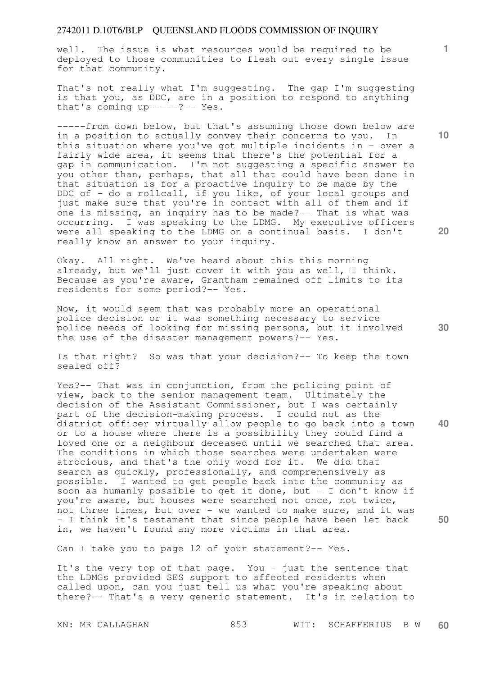well. The issue is what resources would be required to be deployed to those communities to flesh out every single issue for that community.

That's not really what I'm suggesting. The gap I'm suggesting is that you, as DDC, are in a position to respond to anything that's coming up-----?-- Yes.

-----from down below, but that's assuming those down below are in a position to actually convey their concerns to you. In this situation where you've got multiple incidents in - over a fairly wide area, it seems that there's the potential for a gap in communication. I'm not suggesting a specific answer to you other than, perhaps, that all that could have been done in that situation is for a proactive inquiry to be made by the DDC of - do a rollcall, if you like, of your local groups and just make sure that you're in contact with all of them and if one is missing, an inquiry has to be made?-- That is what was occurring. I was speaking to the LDMG. My executive officers were all speaking to the LDMG on a continual basis. I don't really know an answer to your inquiry.

Okay. All right. We've heard about this this morning already, but we'll just cover it with you as well, I think. Because as you're aware, Grantham remained off limits to its residents for some period?-- Yes.

Now, it would seem that was probably more an operational police decision or it was something necessary to service police needs of looking for missing persons, but it involved the use of the disaster management powers?-- Yes.

Is that right? So was that your decision?-- To keep the town sealed off?

**40 50**  Yes?-- That was in conjunction, from the policing point of view, back to the senior management team. Ultimately the decision of the Assistant Commissioner, but I was certainly part of the decision-making process. I could not as the district officer virtually allow people to go back into a town or to a house where there is a possibility they could find a loved one or a neighbour deceased until we searched that area. The conditions in which those searches were undertaken were atrocious, and that's the only word for it. We did that search as quickly, professionally, and comprehensively as possible. I wanted to get people back into the community as soon as humanly possible to get it done, but - I don't know if you're aware, but houses were searched not once, not twice, not three times, but over - we wanted to make sure, and it was - I think it's testament that since people have been let back in, we haven't found any more victims in that area.

Can I take you to page 12 of your statement?-- Yes.

It's the very top of that page. You - just the sentence that the LDMGs provided SES support to affected residents when called upon, can you just tell us what you're speaking about there?-- That's a very generic statement. It's in relation to

**10** 

**1**

**20**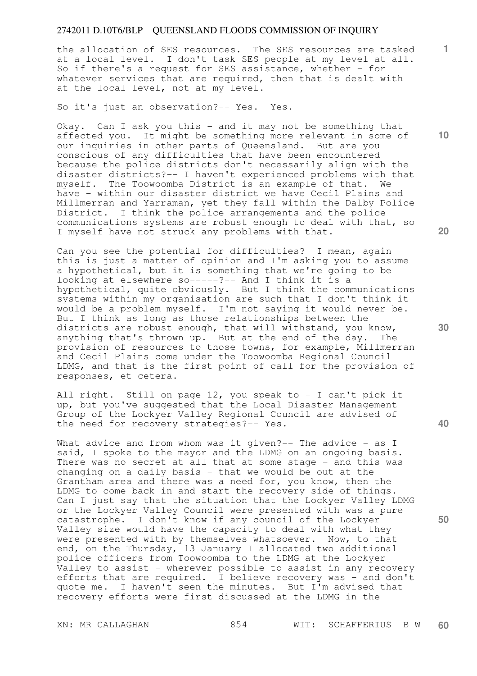the allocation of SES resources. The SES resources are tasked at a local level. I don't task SES people at my level at all. So if there's a request for SES assistance, whether - for whatever services that are required, then that is dealt with at the local level, not at my level.

So it's just an observation?-- Yes. Yes.

Okay. Can I ask you this - and it may not be something that affected you. It might be something more relevant in some of our inquiries in other parts of Queensland. But are you conscious of any difficulties that have been encountered because the police districts don't necessarily align with the disaster districts?-- I haven't experienced problems with that myself. The Toowoomba District is an example of that. We have - within our disaster district we have Cecil Plains and Millmerran and Yarraman, yet they fall within the Dalby Police District. I think the police arrangements and the police communications systems are robust enough to deal with that, so I myself have not struck any problems with that.

Can you see the potential for difficulties? I mean, again this is just a matter of opinion and I'm asking you to assume a hypothetical, but it is something that we're going to be looking at elsewhere so-----?-- And I think it is a hypothetical, quite obviously. But I think the communications systems within my organisation are such that I don't think it would be a problem myself. I'm not saying it would never be. But I think as long as those relationships between the districts are robust enough, that will withstand, you know, anything that's thrown up. But at the end of the day. The provision of resources to those towns, for example, Millmerran and Cecil Plains come under the Toowoomba Regional Council LDMG, and that is the first point of call for the provision of responses, et cetera.

All right. Still on page 12, you speak to - I can't pick it up, but you've suggested that the Local Disaster Management Group of the Lockyer Valley Regional Council are advised of the need for recovery strategies?-- Yes.

What advice and from whom was it given?-- The advice - as I said, I spoke to the mayor and the LDMG on an ongoing basis. There was no secret at all that at some stage - and this was changing on a daily basis - that we would be out at the Grantham area and there was a need for, you know, then the LDMG to come back in and start the recovery side of things. Can I just say that the situation that the Lockyer Valley LDMG or the Lockyer Valley Council were presented with was a pure catastrophe. I don't know if any council of the Lockyer Valley size would have the capacity to deal with what they were presented with by themselves whatsoever. Now, to that end, on the Thursday, 13 January I allocated two additional police officers from Toowoomba to the LDMG at the Lockyer Valley to assist - wherever possible to assist in any recovery efforts that are required. I believe recovery was - and don't quote me. I haven't seen the minutes. But I'm advised that recovery efforts were first discussed at the LDMG in the

**20** 

**10** 

**1**

**30** 

**40**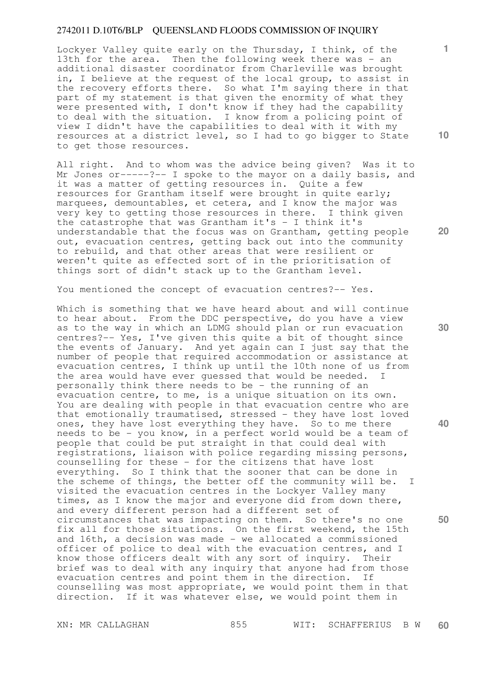Lockyer Valley quite early on the Thursday, I think, of the 13th for the area. Then the following week there was - an additional disaster coordinator from Charleville was brought in, I believe at the request of the local group, to assist in the recovery efforts there. So what I'm saying there in that part of my statement is that given the enormity of what they were presented with, I don't know if they had the capability to deal with the situation. I know from a policing point of view I didn't have the capabilities to deal with it with my resources at a district level, so I had to go bigger to State to get those resources.

All right. And to whom was the advice being given? Was it to Mr Jones or-----?-- I spoke to the mayor on a daily basis, and it was a matter of getting resources in. Quite a few resources for Grantham itself were brought in quite early; marquees, demountables, et cetera, and I know the major was very key to getting those resources in there. I think given the catastrophe that was Grantham it's - I think it's understandable that the focus was on Grantham, getting people out, evacuation centres, getting back out into the community to rebuild, and that other areas that were resilient or weren't quite as effected sort of in the prioritisation of things sort of didn't stack up to the Grantham level.

You mentioned the concept of evacuation centres?-- Yes.

Which is something that we have heard about and will continue to hear about. From the DDC perspective, do you have a view as to the way in which an LDMG should plan or run evacuation centres?-- Yes, I've given this quite a bit of thought since the events of January. And yet again can I just say that the number of people that required accommodation or assistance at evacuation centres, I think up until the 10th none of us from the area would have ever guessed that would be needed. I personally think there needs to be - the running of an evacuation centre, to me, is a unique situation on its own. You are dealing with people in that evacuation centre who are that emotionally traumatised, stressed - they have lost loved ones, they have lost everything they have. So to me there needs to be - you know, in a perfect world would be a team of people that could be put straight in that could deal with registrations, liaison with police regarding missing persons, counselling for these - for the citizens that have lost everything. So I think that the sooner that can be done in the scheme of things, the better off the community will be. I visited the evacuation centres in the Lockyer Valley many times, as I know the major and everyone did from down there, and every different person had a different set of circumstances that was impacting on them. So there's no one fix all for those situations. On the first weekend, the 15th and 16th, a decision was made - we allocated a commissioned officer of police to deal with the evacuation centres, and I know those officers dealt with any sort of inquiry. Their brief was to deal with any inquiry that anyone had from those evacuation centres and point them in the direction. If counselling was most appropriate, we would point them in that direction. If it was whatever else, we would point them in

**30** 

**40** 

**50** 

**20** 

**10**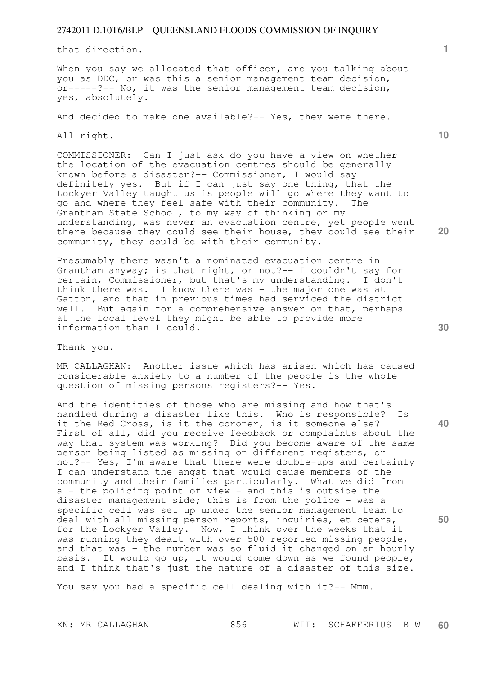that direction.

When you say we allocated that officer, are you talking about you as DDC, or was this a senior management team decision, or-----?-- No, it was the senior management team decision, yes, absolutely.

And decided to make one available?-- Yes, they were there.

All right.

COMMISSIONER: Can I just ask do you have a view on whether the location of the evacuation centres should be generally known before a disaster?-- Commissioner, I would say definitely yes. But if I can just say one thing, that the Lockyer Valley taught us is people will go where they want to go and where they feel safe with their community. The Grantham State School, to my way of thinking or my understanding, was never an evacuation centre, yet people went there because they could see their house, they could see their community, they could be with their community.

Presumably there wasn't a nominated evacuation centre in Grantham anyway; is that right, or not?-- I couldn't say for certain, Commissioner, but that's my understanding. I don't think there was. I know there was - the major one was at Gatton, and that in previous times had serviced the district well. But again for a comprehensive answer on that, perhaps at the local level they might be able to provide more information than I could.

Thank you.

MR CALLAGHAN: Another issue which has arisen which has caused considerable anxiety to a number of the people is the whole question of missing persons registers?-- Yes.

And the identities of those who are missing and how that's handled during a disaster like this. Who is responsible? Is it the Red Cross, is it the coroner, is it someone else? First of all, did you receive feedback or complaints about the way that system was working? Did you become aware of the same person being listed as missing on different registers, or not?-- Yes, I'm aware that there were double-ups and certainly I can understand the angst that would cause members of the community and their families particularly. What we did from a - the policing point of view - and this is outside the disaster management side; this is from the police - was a specific cell was set up under the senior management team to deal with all missing person reports, inquiries, et cetera, for the Lockyer Valley. Now, I think over the weeks that it was running they dealt with over 500 reported missing people, and that was - the number was so fluid it changed on an hourly basis. It would go up, it would come down as we found people, and I think that's just the nature of a disaster of this size.

You say you had a specific cell dealing with it ?-- Mmm.

**30** 

**40** 

**50** 

**10** 

**20**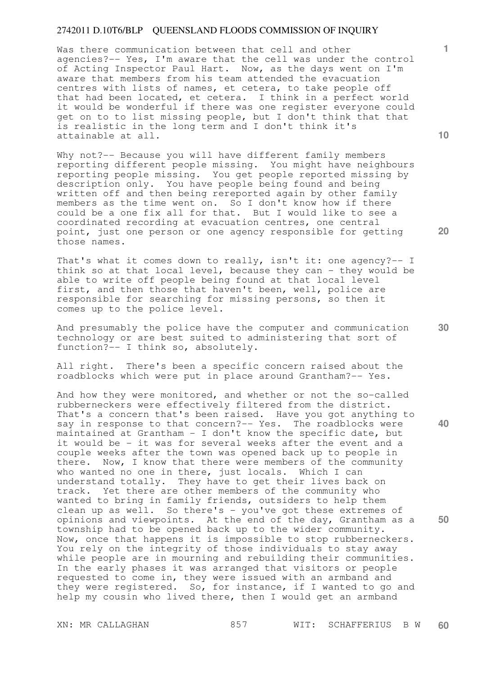Was there communication between that cell and other agencies?-- Yes, I'm aware that the cell was under the control of Acting Inspector Paul Hart. Now, as the days went on I'm aware that members from his team attended the evacuation centres with lists of names, et cetera, to take people off that had been located, et cetera. I think in a perfect world it would be wonderful if there was one register everyone could get on to to list missing people, but I don't think that that is realistic in the long term and I don't think it's attainable at all.

Why not?-- Because you will have different family members reporting different people missing. You might have neighbours reporting people missing. You get people reported missing by description only. You have people being found and being written off and then being rereported again by other family members as the time went on. So I don't know how if there could be a one fix all for that. But I would like to see a coordinated recording at evacuation centres, one central point, just one person or one agency responsible for getting those names.

That's what it comes down to really, isn't it: one agency?-- I think so at that local level, because they can - they would be able to write off people being found at that local level first, and then those that haven't been, well, police are responsible for searching for missing persons, so then it comes up to the police level.

And presumably the police have the computer and communication technology or are best suited to administering that sort of function?-- I think so, absolutely.

All right. There's been a specific concern raised about the roadblocks which were put in place around Grantham?-- Yes.

And how they were monitored, and whether or not the so-called rubberneckers were effectively filtered from the district. That's a concern that's been raised. Have you got anything to say in response to that concern?-- Yes. The roadblocks were maintained at Grantham - I don't know the specific date, but it would be - it was for several weeks after the event and a couple weeks after the town was opened back up to people in there. Now, I know that there were members of the community who wanted no one in there, just locals. Which I can understand totally. They have to get their lives back on track. Yet there are other members of the community who wanted to bring in family friends, outsiders to help them clean up as well. So there's - you've got these extremes of opinions and viewpoints. At the end of the day, Grantham as a township had to be opened back up to the wider community. Now, once that happens it is impossible to stop rubberneckers. You rely on the integrity of those individuals to stay away while people are in mourning and rebuilding their communities. In the early phases it was arranged that visitors or people requested to come in, they were issued with an armband and they were registered. So, for instance, if I wanted to go and help my cousin who lived there, then I would get an armband

**10** 

**1**

**20** 

**40**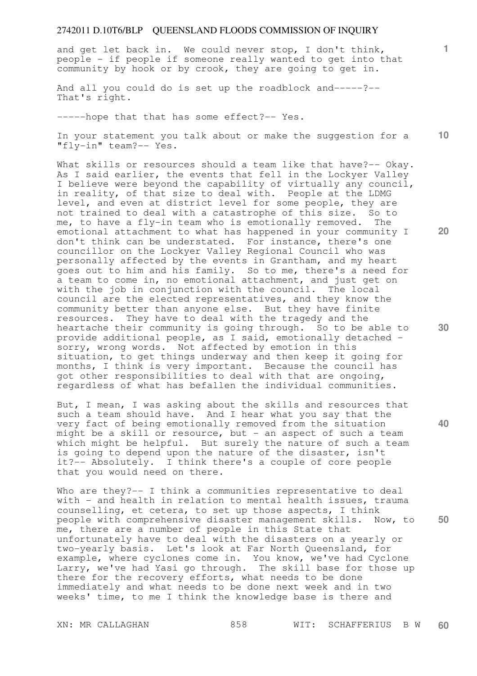and get let back in. We could never stop, I don't think, people - if people if someone really wanted to get into that community by hook or by crook, they are going to get in.

And all you could do is set up the roadblock and-----?-- That's right.

-----hope that that has some effect?-- Yes.

**10**  In your statement you talk about or make the suggestion for a "fly-in" team?-- Yes.

What skills or resources should a team like that have?-- Okay. As I said earlier, the events that fell in the Lockyer Valley I believe were beyond the capability of virtually any council, in reality, of that size to deal with. People at the LDMG level, and even at district level for some people, they are not trained to deal with a catastrophe of this size. So to me, to have a fly-in team who is emotionally removed. The emotional attachment to what has happened in your community I don't think can be understated. For instance, there's one councillor on the Lockyer Valley Regional Council who was personally affected by the events in Grantham, and my heart goes out to him and his family. So to me, there's a need for a team to come in, no emotional attachment, and just get on with the job in conjunction with the council. The local council are the elected representatives, and they know the community better than anyone else. But they have finite resources. They have to deal with the tragedy and the heartache their community is going through. So to be able to provide additional people, as I said, emotionally detached sorry, wrong words. Not affected by emotion in this situation, to get things underway and then keep it going for months, I think is very important. Because the council has got other responsibilities to deal with that are ongoing, regardless of what has befallen the individual communities.

But, I mean, I was asking about the skills and resources that such a team should have. And I hear what you say that the very fact of being emotionally removed from the situation might be a skill or resource, but  $-$  an aspect of such a team which might be helpful. But surely the nature of such a team is going to depend upon the nature of the disaster, isn't it?-- Absolutely. I think there's a couple of core people that you would need on there.

Who are they?-- I think a communities representative to deal with - and health in relation to mental health issues, trauma counselling, et cetera, to set up those aspects, I think people with comprehensive disaster management skills. Now, to me, there are a number of people in this State that unfortunately have to deal with the disasters on a yearly or two-yearly basis. Let's look at Far North Queensland, for example, where cyclones come in. You know, we've had Cyclone Larry, we've had Yasi go through. The skill base for those up there for the recovery efforts, what needs to be done immediately and what needs to be done next week and in two weeks' time, to me I think the knowledge base is there and

**20** 

**40** 

**50**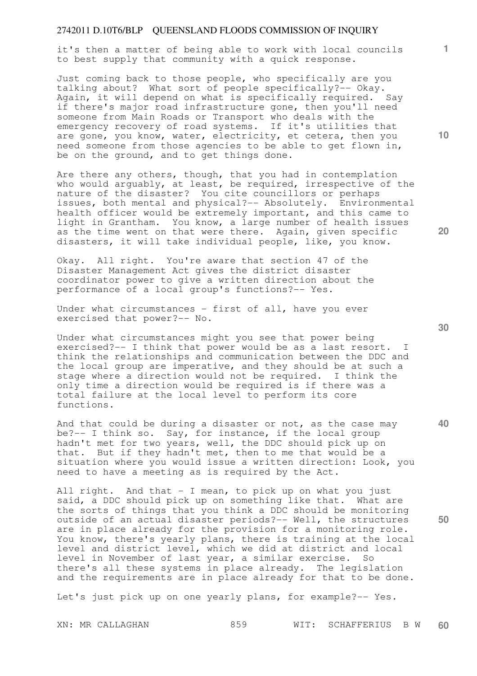it's then a matter of being able to work with local councils to best supply that community with a quick response.

Just coming back to those people, who specifically are you talking about? What sort of people specifically?-- Okay. Again, it will depend on what is specifically required. Say if there's major road infrastructure gone, then you'll need someone from Main Roads or Transport who deals with the emergency recovery of road systems. If it's utilities that are gone, you know, water, electricity, et cetera, then you need someone from those agencies to be able to get flown in, be on the ground, and to get things done.

Are there any others, though, that you had in contemplation who would arguably, at least, be required, irrespective of the nature of the disaster? You cite councillors or perhaps issues, both mental and physical?-- Absolutely. Environmental health officer would be extremely important, and this came to light in Grantham. You know, a large number of health issues as the time went on that were there. Again, given specific disasters, it will take individual people, like, you know.

Okay. All right. You're aware that section 47 of the Disaster Management Act gives the district disaster coordinator power to give a written direction about the performance of a local group's functions?-- Yes.

Under what circumstances - first of all, have you ever exercised that power?-- No.

Under what circumstances might you see that power being exercised?-- I think that power would be as a last resort. I think the relationships and communication between the DDC and the local group are imperative, and they should be at such a stage where a direction would not be required. I think the only time a direction would be required is if there was a total failure at the local level to perform its core functions.

And that could be during a disaster or not, as the case may be?-- I think so. Say, for instance, if the local group hadn't met for two years, well, the DDC should pick up on that. But if they hadn't met, then to me that would be a situation where you would issue a written direction: Look, you need to have a meeting as is required by the Act.

All right. And that - I mean, to pick up on what you just said, a DDC should pick up on something like that. What are the sorts of things that you think a DDC should be monitoring outside of an actual disaster periods?-- Well, the structures are in place already for the provision for a monitoring role. You know, there's yearly plans, there is training at the local level and district level, which we did at district and local level in November of last year, a similar exercise. So there's all these systems in place already. The legislation and the requirements are in place already for that to be done.

Let's just pick up on one yearly plans, for example?-- Yes.

**30** 

**20** 

**40** 

**1**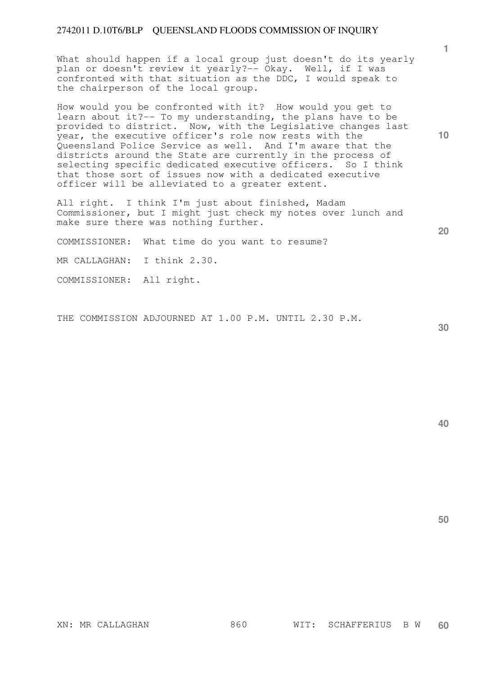What should happen if a local group just doesn't do its yearly plan or doesn't review it yearly?-- Okay. Well, if I was confronted with that situation as the DDC, I would speak to the chairperson of the local group.

How would you be confronted with it? How would you get to learn about it?-- To my understanding, the plans have to be provided to district. Now, with the Legislative changes last year, the executive officer's role now rests with the Queensland Police Service as well. And I'm aware that the districts around the State are currently in the process of selecting specific dedicated executive officers. So I think that those sort of issues now with a dedicated executive officer will be alleviated to a greater extent.

All right. I think I'm just about finished, Madam Commissioner, but I might just check my notes over lunch and make sure there was nothing further.

COMMISSIONER: What time do you want to resume?

MR CALLAGHAN: I think 2.30.

COMMISSIONER: All right.

THE COMMISSION ADJOURNED AT 1.00 P.M. UNTIL 2.30 P.M.

**30** 

**50** 

**1**

**10**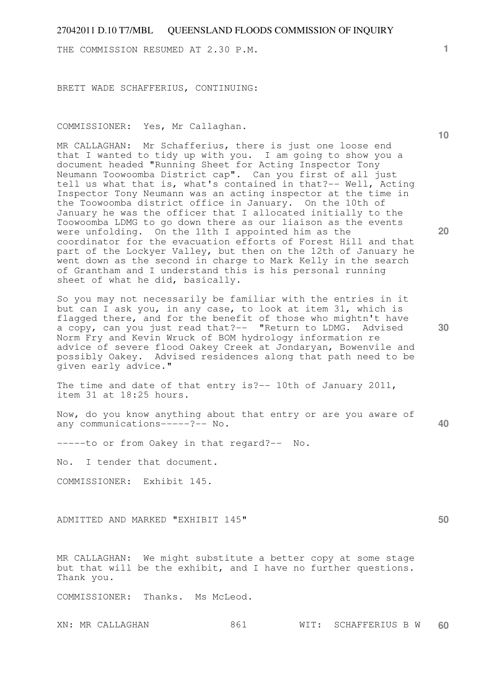THE COMMISSION RESUMED AT 2.30 P.M.

BRETT WADE SCHAFFERIUS, CONTINUING:

COMMISSIONER: Yes, Mr Callaghan.

MR CALLAGHAN: Mr Schafferius, there is just one loose end that I wanted to tidy up with you. I am going to show you a document headed "Running Sheet for Acting Inspector Tony Neumann Toowoomba District cap". Can you first of all just tell us what that is, what's contained in that?-- Well, Acting Inspector Tony Neumann was an acting inspector at the time in the Toowoomba district office in January. On the 10th of January he was the officer that I allocated initially to the Toowoomba LDMG to go down there as our liaison as the events were unfolding. On the 11th I appointed him as the coordinator for the evacuation efforts of Forest Hill and that part of the Lockyer Valley, but then on the 12th of January he went down as the second in charge to Mark Kelly in the search of Grantham and I understand this is his personal running sheet of what he did, basically.

So you may not necessarily be familiar with the entries in it but can I ask you, in any case, to look at item 31, which is flagged there, and for the benefit of those who mightn't have a copy, can you just read that?-- "Return to LDMG. Advised Norm Fry and Kevin Wruck of BOM hydrology information re advice of severe flood Oakey Creek at Jondaryan, Bowenvile and possibly Oakey. Advised residences along that path need to be given early advice."

The time and date of that entry is?-- 10th of January 2011, item 31 at 18:25 hours.

Now, do you know anything about that entry or are you aware of any communications-----?-- No.

-----to or from Oakey in that regard?-- No.

No. I tender that document.

COMMISSIONER: Exhibit 145.

ADMITTED AND MARKED "EXHIBIT 145"

MR CALLAGHAN: We might substitute a better copy at some stage but that will be the exhibit, and I have no further questions. Thank you.

COMMISSIONER: Thanks. Ms McLeod.

**10** 

**20** 

**30** 

**40**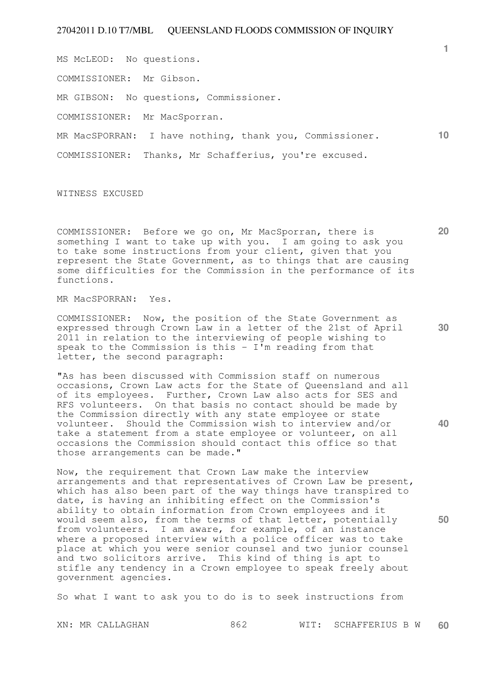MS McLEOD: No questions.

COMMISSIONER: Mr Gibson.

MR GIBSON: No questions, Commissioner.

COMMISSIONER: Mr MacSporran.

**10**  MR MacSPORRAN: I have nothing, thank you, Commissioner.

COMMISSIONER: Thanks, Mr Schafferius, you're excused.

WITNESS EXCUSED

COMMISSIONER: Before we go on, Mr MacSporran, there is something I want to take up with you. I am going to ask you to take some instructions from your client, given that you represent the State Government, as to things that are causing some difficulties for the Commission in the performance of its functions.

MR MacSPORRAN: Yes.

COMMISSIONER: Now, the position of the State Government as expressed through Crown Law in a letter of the 21st of April 2011 in relation to the interviewing of people wishing to speak to the Commission is this  $-$  I'm reading from that letter, the second paragraph:

"As has been discussed with Commission staff on numerous occasions, Crown Law acts for the State of Queensland and all of its employees. Further, Crown Law also acts for SES and RFS volunteers. On that basis no contact should be made by the Commission directly with any state employee or state volunteer. Should the Commission wish to interview and/or take a statement from a state employee or volunteer, on all occasions the Commission should contact this office so that those arrangements can be made."

Now, the requirement that Crown Law make the interview arrangements and that representatives of Crown Law be present, which has also been part of the way things have transpired to date, is having an inhibiting effect on the Commission's ability to obtain information from Crown employees and it would seem also, from the terms of that letter, potentially from volunteers. I am aware, for example, of an instance where a proposed interview with a police officer was to take place at which you were senior counsel and two junior counsel and two solicitors arrive. This kind of thing is apt to stifle any tendency in a Crown employee to speak freely about government agencies.

So what I want to ask you to do is to seek instructions from

**50** 

**40** 

**1**

**20**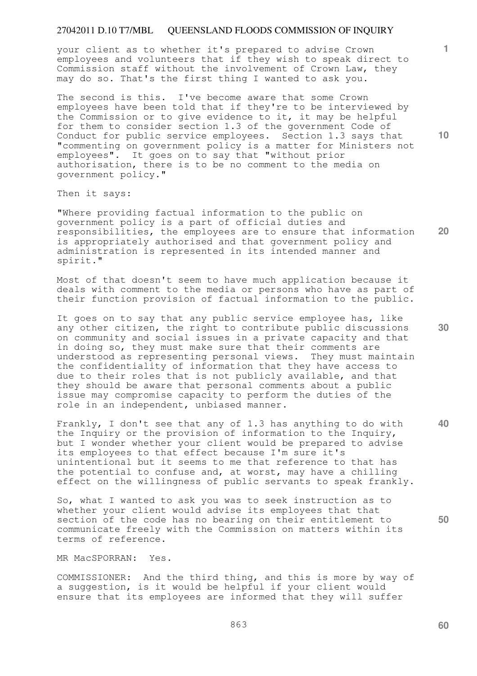your client as to whether it's prepared to advise Crown employees and volunteers that if they wish to speak direct to Commission staff without the involvement of Crown Law, they may do so. That's the first thing I wanted to ask you.

The second is this. I've become aware that some Crown employees have been told that if they're to be interviewed by the Commission or to give evidence to it, it may be helpful for them to consider section 1.3 of the government Code of Conduct for public service employees. Section 1.3 says that "commenting on government policy is a matter for Ministers not employees". It goes on to say that "without prior authorisation, there is to be no comment to the media on government policy."

Then it says:

**20**  "Where providing factual information to the public on government policy is a part of official duties and responsibilities, the employees are to ensure that information is appropriately authorised and that government policy and administration is represented in its intended manner and spirit."

Most of that doesn't seem to have much application because it deals with comment to the media or persons who have as part of their function provision of factual information to the public.

It goes on to say that any public service employee has, like any other citizen, the right to contribute public discussions on community and social issues in a private capacity and that in doing so, they must make sure that their comments are understood as representing personal views. They must maintain the confidentiality of information that they have access to due to their roles that is not publicly available, and that they should be aware that personal comments about a public issue may compromise capacity to perform the duties of the role in an independent, unbiased manner.

Frankly, I don't see that any of 1.3 has anything to do with the Inquiry or the provision of information to the Inquiry, but I wonder whether your client would be prepared to advise its employees to that effect because I'm sure it's unintentional but it seems to me that reference to that has the potential to confuse and, at worst, may have a chilling effect on the willingness of public servants to speak frankly.

So, what I wanted to ask you was to seek instruction as to whether your client would advise its employees that that section of the code has no bearing on their entitlement to communicate freely with the Commission on matters within its terms of reference.

MR MacSPORRAN: Yes.

COMMISSIONER: And the third thing, and this is more by way of a suggestion, is it would be helpful if your client would ensure that its employees are informed that they will suffer

**10** 

**1**

**50**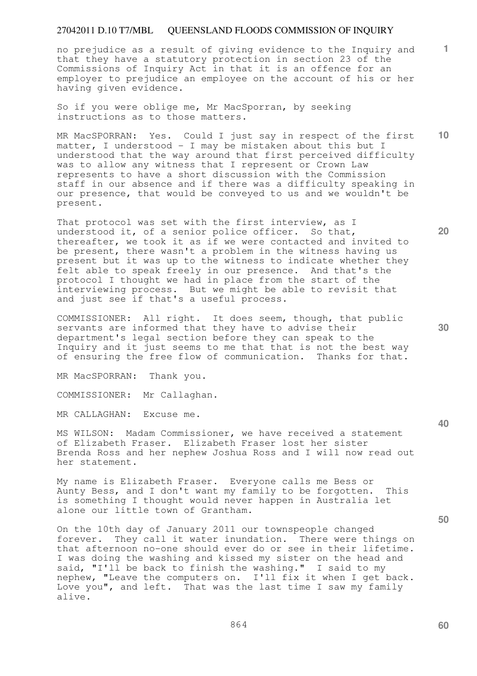no prejudice as a result of giving evidence to the Inquiry and that they have a statutory protection in section 23 of the Commissions of Inquiry Act in that it is an offence for an employer to prejudice an employee on the account of his or her having given evidence.

So if you were oblige me, Mr MacSporran, by seeking instructions as to those matters.

MR MacSPORRAN: Yes. Could I just say in respect of the first matter, I understood - I may be mistaken about this but I understood that the way around that first perceived difficulty was to allow any witness that I represent or Crown Law represents to have a short discussion with the Commission staff in our absence and if there was a difficulty speaking in our presence, that would be conveyed to us and we wouldn't be present.

That protocol was set with the first interview, as I understood it, of a senior police officer. So that, thereafter, we took it as if we were contacted and invited to be present, there wasn't a problem in the witness having us present but it was up to the witness to indicate whether they felt able to speak freely in our presence. And that's the protocol I thought we had in place from the start of the interviewing process. But we might be able to revisit that and just see if that's a useful process.

COMMISSIONER: All right. It does seem, though, that public servants are informed that they have to advise their department's legal section before they can speak to the Inquiry and it just seems to me that that is not the best way of ensuring the free flow of communication. Thanks for that.

MR MacSPORRAN: Thank you.

COMMISSIONER: Mr Callaghan.

MR CALLAGHAN: Excuse me.

MS WILSON: Madam Commissioner, we have received a statement of Elizabeth Fraser. Elizabeth Fraser lost her sister Brenda Ross and her nephew Joshua Ross and I will now read out her statement.

My name is Elizabeth Fraser. Everyone calls me Bess or Aunty Bess, and I don't want my family to be forgotten. This is something I thought would never happen in Australia let alone our little town of Grantham.

On the 10th day of January 2011 our townspeople changed forever. They call it water inundation. There were things on that afternoon no-one should ever do or see in their lifetime. I was doing the washing and kissed my sister on the head and said, "I'll be back to finish the washing." I said to my nephew, "Leave the computers on. I'll fix it when I get back. Love you", and left. That was the last time I saw my family alive.

**20** 

**10** 

**1**

**50**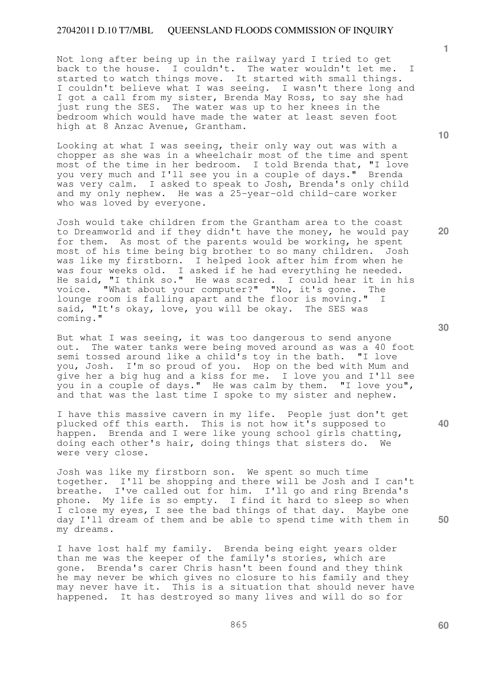Not long after being up in the railway yard I tried to get back to the house. I couldn't. The water wouldn't let me. I started to watch things move. It started with small things. I couldn't believe what I was seeing. I wasn't there long and I got a call from my sister, Brenda May Ross, to say she had just rung the SES. The water was up to her knees in the bedroom which would have made the water at least seven foot high at 8 Anzac Avenue, Grantham.

Looking at what I was seeing, their only way out was with a chopper as she was in a wheelchair most of the time and spent most of the time in her bedroom. I told Brenda that, "I love you very much and I'll see you in a couple of days." Brenda was very calm. I asked to speak to Josh, Brenda's only child and my only nephew. He was a 25-year-old child-care worker who was loved by everyone.

Josh would take children from the Grantham area to the coast to Dreamworld and if they didn't have the money, he would pay for them. As most of the parents would be working, he spent most of his time being big brother to so many children. Josh was like my firstborn. I helped look after him from when he was four weeks old. I asked if he had everything he needed. He said, "I think so." He was scared. I could hear it in his voice. "What about your computer?" "No, it's gone. The lounge room is falling apart and the floor is moving." I said, "It's okay, love, you will be okay. The SES was coming."

But what I was seeing, it was too dangerous to send anyone out. The water tanks were being moved around as was a 40 foot semi tossed around like a child's toy in the bath. "I love you, Josh. I'm so proud of you. Hop on the bed with Mum and give her a big hug and a kiss for me. I love you and I'll see you in a couple of days." He was calm by them. "I love you", and that was the last time I spoke to my sister and nephew.

I have this massive cavern in my life. People just don't get plucked off this earth. This is not how it's supposed to happen. Brenda and I were like young school girls chatting, doing each other's hair, doing things that sisters do. We were very close.

Josh was like my firstborn son. We spent so much time together. I'll be shopping and there will be Josh and I can't breathe. I've called out for him. I'll go and ring Brenda's phone. My life is so empty. I find it hard to sleep so when I close my eyes, I see the bad things of that day. Maybe one day I'll dream of them and be able to spend time with them in my dreams.

I have lost half my family. Brenda being eight years older than me was the keeper of the family's stories, which are gone. Brenda's carer Chris hasn't been found and they think he may never be which gives no closure to his family and they may never have it. This is a situation that should never have happened. It has destroyed so many lives and will do so for

**30** 

**50** 

**1**

**20**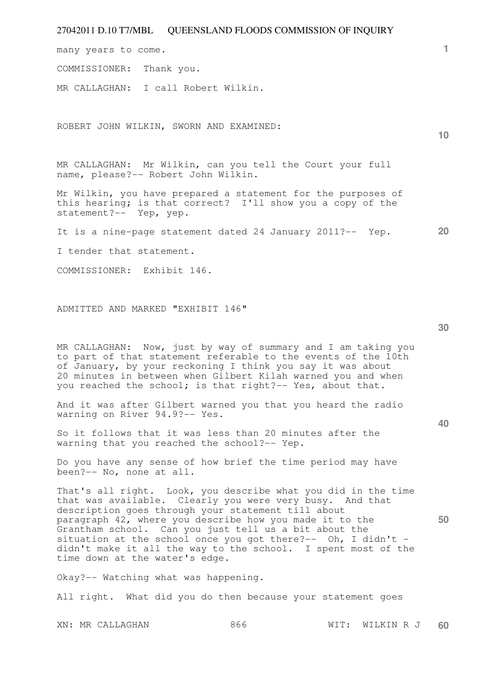| 27042011 D.10 T7/MBL QUEENSLAND FLOODS COMMISSION OF INQUIRY                                                                                                                                                                                                                                                                                                                                                                                                           |                 |
|------------------------------------------------------------------------------------------------------------------------------------------------------------------------------------------------------------------------------------------------------------------------------------------------------------------------------------------------------------------------------------------------------------------------------------------------------------------------|-----------------|
| many years to come.                                                                                                                                                                                                                                                                                                                                                                                                                                                    | 1.              |
| COMMISSIONER:<br>Thank you.                                                                                                                                                                                                                                                                                                                                                                                                                                            |                 |
| MR CALLAGHAN: I call Robert Wilkin.                                                                                                                                                                                                                                                                                                                                                                                                                                    |                 |
| ROBERT JOHN WILKIN, SWORN AND EXAMINED:                                                                                                                                                                                                                                                                                                                                                                                                                                | 10 <sup>°</sup> |
| MR CALLAGHAN: Mr Wilkin, can you tell the Court your full<br>name, please?-- Robert John Wilkin.                                                                                                                                                                                                                                                                                                                                                                       |                 |
| Mr Wilkin, you have prepared a statement for the purposes of<br>this hearing; is that correct? I'll show you a copy of the<br>statement?-- Yep, yep.                                                                                                                                                                                                                                                                                                                   |                 |
| It is a nine-page statement dated 24 January 2011?-- Yep.                                                                                                                                                                                                                                                                                                                                                                                                              | 20              |
| I tender that statement.                                                                                                                                                                                                                                                                                                                                                                                                                                               |                 |
| COMMISSIONER: Exhibit 146.                                                                                                                                                                                                                                                                                                                                                                                                                                             |                 |
| ADMITTED AND MARKED "EXHIBIT 146"                                                                                                                                                                                                                                                                                                                                                                                                                                      | 30              |
| MR CALLAGHAN: Now, just by way of summary and I am taking you<br>to part of that statement referable to the events of the 10th<br>of January, by your reckoning I think you say it was about<br>20 minutes in between when Gilbert Kilah warned you and when<br>you reached the school; is that right?-- Yes, about that.                                                                                                                                              |                 |
| And it was after Gilbert warned you that you heard the radio<br>warning on River 94.9?-- Yes.                                                                                                                                                                                                                                                                                                                                                                          | 40              |
| So it follows that it was less than 20 minutes after the<br>warning that you reached the school?-- Yep.                                                                                                                                                                                                                                                                                                                                                                |                 |
| Do you have any sense of how brief the time period may have<br>been?-- No, none at all.                                                                                                                                                                                                                                                                                                                                                                                |                 |
| That's all right. Look, you describe what you did in the time<br>that was available. Clearly you were very busy. And that<br>description goes through your statement till about<br>paragraph 42, where you describe how you made it to the<br>Grantham school. Can you just tell us a bit about the<br>situation at the school once you got there?-- Oh, I didn't -<br>didn't make it all the way to the school. I spent most of the<br>time down at the water's edge. | 50              |
| Okay?-- Watching what was happening.                                                                                                                                                                                                                                                                                                                                                                                                                                   |                 |
| All right. What did you do then because your statement goes                                                                                                                                                                                                                                                                                                                                                                                                            |                 |

XN: MR CALLAGHAN 866 WIT: WILKIN R J **60**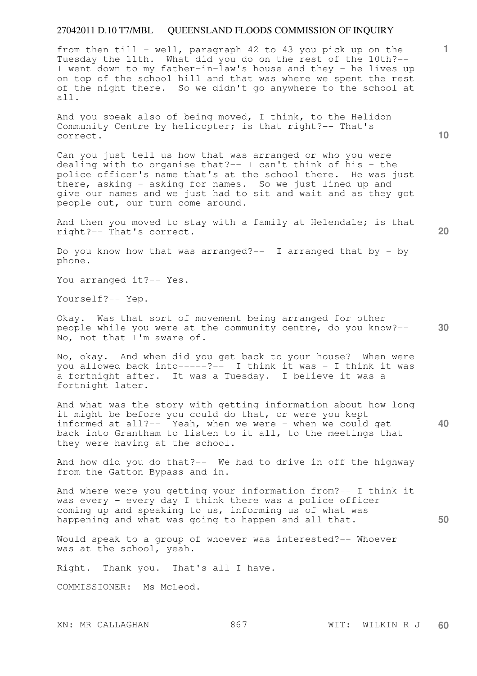from then till - well, paragraph 42 to 43 you pick up on the Tuesday the 11th. What did you do on the rest of the 10th?-- I went down to my father-in-law's house and they - he lives up on top of the school hill and that was where we spent the rest of the night there. So we didn't go anywhere to the school at all.

And you speak also of being moved, I think, to the Helidon Community Centre by helicopter; is that right?-- That's correct.

Can you just tell us how that was arranged or who you were dealing with to organise that? $-$ - I can't think of his - the police officer's name that's at the school there. He was just there, asking - asking for names. So we just lined up and give our names and we just had to sit and wait and as they got people out, our turn come around.

And then you moved to stay with a family at Helendale; is that right?-- That's correct.

Do you know how that was arranged?-- I arranged that by - by phone.

You arranged it ?-- Yes.

Yourself?-- Yep.

**30**  Okay. Was that sort of movement being arranged for other people while you were at the community centre, do you know?-- No, not that I'm aware of.

No, okay. And when did you get back to your house? When were you allowed back into-----?-- I think it was - I think it was a fortnight after. It was a Tuesday. I believe it was a fortnight later.

**40**  And what was the story with getting information about how long it might be before you could do that, or were you kept informed at all?-- Yeah, when we were - when we could get back into Grantham to listen to it all, to the meetings that they were having at the school.

And how did you do that?-- We had to drive in off the highway from the Gatton Bypass and in.

And where were you getting your information from?-- I think it was every - every day I think there was a police officer coming up and speaking to us, informing us of what was happening and what was going to happen and all that.

Would speak to a group of whoever was interested?-- Whoever was at the school, yeah.

Right. Thank you. That's all I have.

COMMISSIONER: Ms McLeod.

**10** 

**1**

**20**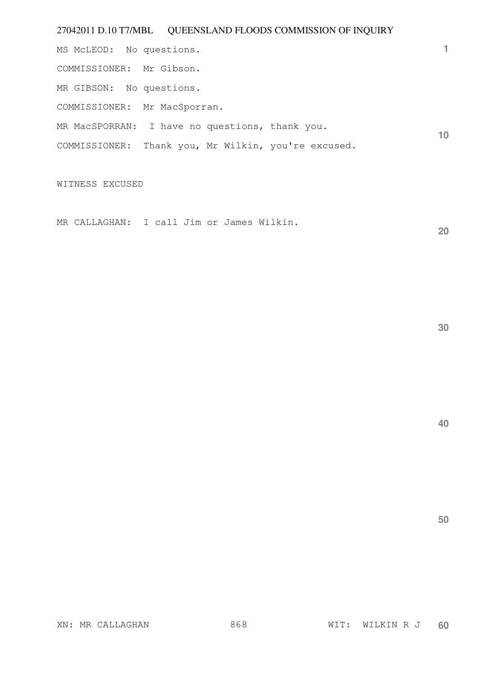**1 10**  MS McLEOD: No questions. COMMISSIONER: Mr Gibson. MR GIBSON: No questions. COMMISSIONER: Mr MacSporran. MR MacSPORRAN: I have no questions, thank you. COMMISSIONER: Thank you, Mr Wilkin, you're excused.

WITNESS EXCUSED

MR CALLAGHAN: I call Jim or James Wilkin.

**30** 

**20** 

**40**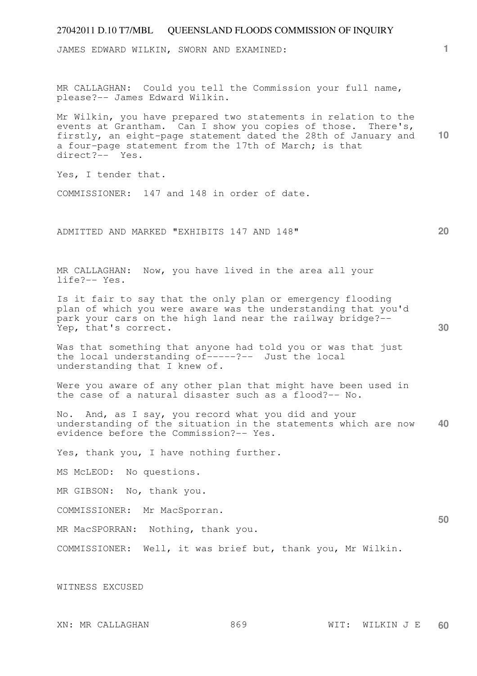| 27042011 D.10 T7/MBL QUEENSLAND FLOODS COMMISSION OF INQUIRY                                                                                                                                                                                                                |                 |
|-----------------------------------------------------------------------------------------------------------------------------------------------------------------------------------------------------------------------------------------------------------------------------|-----------------|
| JAMES EDWARD WILKIN, SWORN AND EXAMINED:                                                                                                                                                                                                                                    | 1.              |
| MR CALLAGHAN: Could you tell the Commission your full name,<br>please?-- James Edward Wilkin.                                                                                                                                                                               |                 |
| Mr Wilkin, you have prepared two statements in relation to the<br>events at Grantham. Can I show you copies of those. There's,<br>firstly, an eight-page statement dated the 28th of January and<br>a four-page statement from the 17th of March; is that<br>direct?-- Yes. | 10 <sup>°</sup> |
| Yes, I tender that.                                                                                                                                                                                                                                                         |                 |
| COMMISSIONER: 147 and 148 in order of date.                                                                                                                                                                                                                                 |                 |
| ADMITTED AND MARKED "EXHIBITS 147 AND 148"                                                                                                                                                                                                                                  | 20              |
|                                                                                                                                                                                                                                                                             |                 |
|                                                                                                                                                                                                                                                                             |                 |
| MR CALLAGHAN: Now, you have lived in the area all your<br>life?-- Yes.                                                                                                                                                                                                      |                 |
| Is it fair to say that the only plan or emergency flooding<br>plan of which you were aware was the understanding that you'd<br>park your cars on the high land near the railway bridge?--<br>Yep, that's correct.                                                           | 30              |
| Was that something that anyone had told you or was that just<br>the local understanding of-----?-- Just the local<br>understanding that I knew of.                                                                                                                          |                 |
| Were you aware of any other plan that might have been used in<br>the case of a natural disaster such as a flood?-- No.                                                                                                                                                      |                 |
| No. And, as I say, you record what you did and your<br>understanding of the situation in the statements which are now<br>evidence before the Commission?-- Yes.                                                                                                             | 40              |
| Yes, thank you, I have nothing further.                                                                                                                                                                                                                                     |                 |
| MS McLEOD: No questions.                                                                                                                                                                                                                                                    |                 |
| MR GIBSON: No, thank you.                                                                                                                                                                                                                                                   |                 |
| COMMISSIONER: Mr MacSporran.                                                                                                                                                                                                                                                |                 |
| MR MacSPORRAN: Nothing, thank you.                                                                                                                                                                                                                                          | 50              |
| COMMISSIONER: Well, it was brief but, thank you, Mr Wilkin.                                                                                                                                                                                                                 |                 |
| WITNESS EXCUSED                                                                                                                                                                                                                                                             |                 |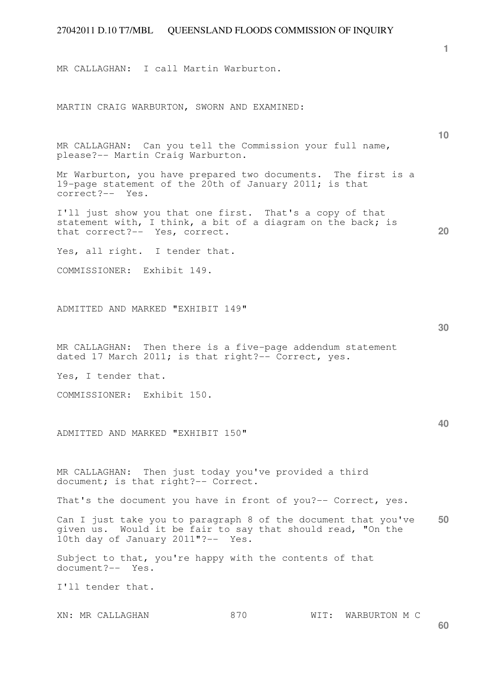MR CALLAGHAN: I call Martin Warburton.

MARTIN CRAIG WARBURTON, SWORN AND EXAMINED:

MR CALLAGHAN: Can you tell the Commission your full name, please?-- Martin Craig Warburton.

Mr Warburton, you have prepared two documents. The first is a 19-page statement of the 20th of January 2011; is that correct?-- Yes.

I'll just show you that one first. That's a copy of that statement with, I think, a bit of a diagram on the back; is that correct?-- Yes, correct.

Yes, all right. I tender that.

COMMISSIONER: Exhibit 149.

ADMITTED AND MARKED "EXHIBIT 149"

MR CALLAGHAN: Then there is a five-page addendum statement dated 17 March 2011; is that right?-- Correct, yes.

Yes, I tender that.

COMMISSIONER: Exhibit 150.

ADMITTED AND MARKED "EXHIBIT 150"

MR CALLAGHAN: Then just today you've provided a third document; is that right?-- Correct.

That's the document you have in front of you?-- Correct, yes.

**50**  Can I just take you to paragraph 8 of the document that you've given us. Would it be fair to say that should read, "On the 10th day of January 2011"?-- Yes.

Subject to that, you're happy with the contents of that document?-- Yes.

I'll tender that.

XN: MR CALLAGHAN 870 WIT: WARBURTON M C

**30** 

**20** 

**1**

**10**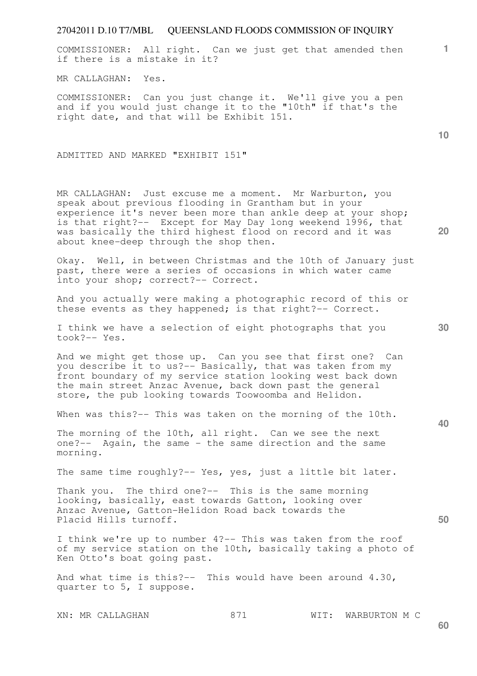COMMISSIONER: All right. Can we just get that amended then if there is a mistake in it?

MR CALLAGHAN: Yes.

COMMISSIONER: Can you just change it. We'll give you a pen and if you would just change it to the "10th" if that's the right date, and that will be Exhibit 151.

ADMITTED AND MARKED "EXHIBIT 151"

MR CALLAGHAN: Just excuse me a moment. Mr Warburton, you speak about previous flooding in Grantham but in your experience it's never been more than ankle deep at your shop; is that right?-- Except for May Day long weekend 1996, that was basically the third highest flood on record and it was about knee-deep through the shop then.

Okay. Well, in between Christmas and the 10th of January just past, there were a series of occasions in which water came into your shop; correct?-- Correct.

And you actually were making a photographic record of this or these events as they happened; is that right?-- Correct.

I think we have a selection of eight photographs that you took?-- Yes.

And we might get those up. Can you see that first one? Can you describe it to us?-- Basically, that was taken from my front boundary of my service station looking west back down the main street Anzac Avenue, back down past the general store, the pub looking towards Toowoomba and Helidon.

When was this?-- This was taken on the morning of the 10th.

The morning of the 10th, all right. Can we see the next one?-- Again, the same - the same direction and the same morning.

The same time roughly?-- Yes, yes, just a little bit later.

Thank you. The third one?-- This is the same morning looking, basically, east towards Gatton, looking over Anzac Avenue, Gatton-Helidon Road back towards the Placid Hills turnoff.

I think we're up to number 4?-- This was taken from the roof of my service station on the 10th, basically taking a photo of Ken Otto's boat going past.

And what time is this?-- This would have been around 4.30, quarter to 5, I suppose.

XN: MR CALLAGHAN 871 WIT: WARBURTON M C

**20** 

**1**

**10** 

**40**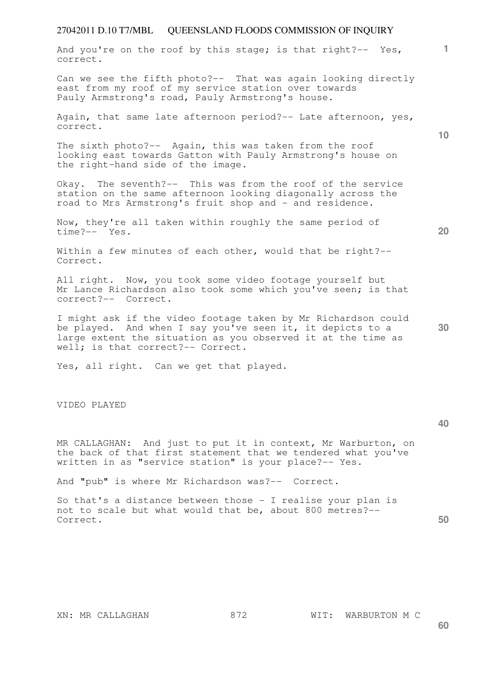| And you're on the roof by this stage; is that right?-- Yes,<br>correct.                                                                                                                                                         | 1. |
|---------------------------------------------------------------------------------------------------------------------------------------------------------------------------------------------------------------------------------|----|
| Can we see the fifth photo?-- That was again looking directly<br>east from my roof of my service station over towards<br>Pauly Armstrong's road, Pauly Armstrong's house.                                                       |    |
| Again, that same late afternoon period?-- Late afternoon, yes,<br>correct.                                                                                                                                                      |    |
| The sixth photo?-- Again, this was taken from the roof<br>looking east towards Gatton with Pauly Armstrong's house on<br>the right-hand side of the image.                                                                      | 10 |
| Okay. The seventh?-- This was from the roof of the service<br>station on the same afternoon looking diagonally across the<br>road to Mrs Armstrong's fruit shop and - and residence.                                            |    |
| Now, they're all taken within roughly the same period of<br>time?-- Yes.                                                                                                                                                        | 20 |
| Within a few minutes of each other, would that be right?--<br>Correct.                                                                                                                                                          |    |
| All right. Now, you took some video footage yourself but<br>Mr Lance Richardson also took some which you've seen; is that<br>correct?-- Correct.                                                                                |    |
| I might ask if the video footage taken by Mr Richardson could<br>be played. And when I say you've seen it, it depicts to a<br>large extent the situation as you observed it at the time as<br>well; is that correct?-- Correct. | 30 |
| Yes, all right. Can we get that played.                                                                                                                                                                                         |    |
| VIDEO PLAYED                                                                                                                                                                                                                    | 40 |
| MR CALLAGHAN: And just to put it in context, Mr Warburton, on<br>the back of that first statement that we tendered what you've<br>written in as "service station" is your place?-- Yes.                                         |    |
| And "pub" is where Mr Richardson was?-- Correct.                                                                                                                                                                                |    |

So that's a distance between those - I realise your plan is not to scale but what would that be, about 800 metres?-- Correct.

**60**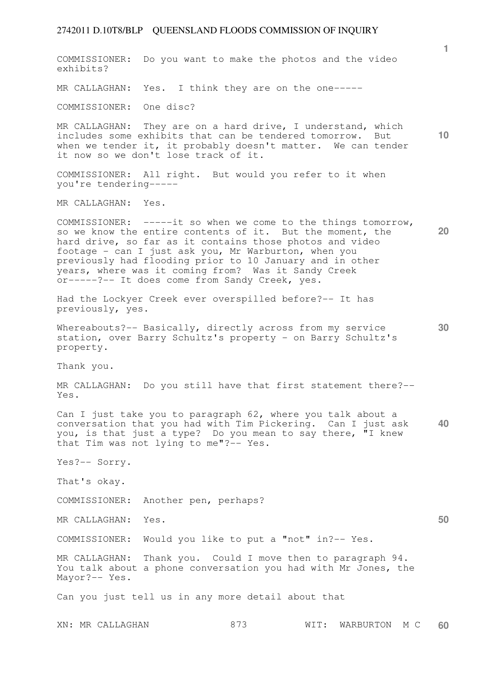COMMISSIONER: Do you want to make the photos and the video exhibits?

MR CALLAGHAN: Yes. I think they are on the one-----

COMMISSIONER: One disc?

**10**  MR CALLAGHAN: They are on a hard drive, I understand, which includes some exhibits that can be tendered tomorrow. But when we tender it, it probably doesn't matter. We can tender it now so we don't lose track of it.

COMMISSIONER: All right. But would you refer to it when you're tendering-----

MR CALLAGHAN: Yes.

**20**  COMMISSIONER: -----it so when we come to the things tomorrow, so we know the entire contents of it. But the moment, the hard drive, so far as it contains those photos and video footage - can I just ask you, Mr Warburton, when you previously had flooding prior to 10 January and in other years, where was it coming from? Was it Sandy Creek or-----?-- It does come from Sandy Creek, yes.

Had the Lockyer Creek ever overspilled before?-- It has previously, yes.

**30**  Whereabouts?-- Basically, directly across from my service station, over Barry Schultz's property - on Barry Schultz's property.

Thank you.

MR CALLAGHAN: Do you still have that first statement there?-- Yes.

**40**  Can I just take you to paragraph 62, where you talk about a conversation that you had with Tim Pickering. Can I just ask you, is that just a type? Do you mean to say there, "I knew that Tim was not lying to me"?-- Yes.

Yes?-- Sorry.

That's okay.

COMMISSIONER: Another pen, perhaps?

MR CALLAGHAN: Yes.

COMMISSIONER: Would you like to put a "not" in?-- Yes.

MR CALLAGHAN: Thank you. Could I move then to paragraph 94. You talk about a phone conversation you had with Mr Jones, the Mayor?-- Yes.

Can you just tell us in any more detail about that

**1**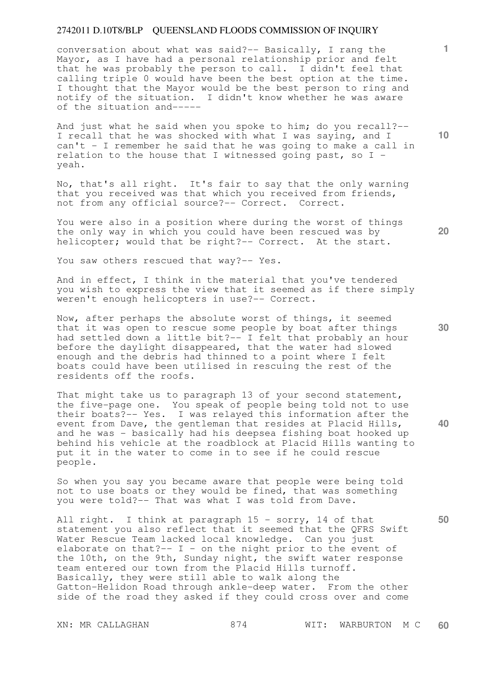conversation about what was said?-- Basically, I rang the Mayor, as I have had a personal relationship prior and felt that he was probably the person to call. I didn't feel that calling triple 0 would have been the best option at the time. I thought that the Mayor would be the best person to ring and notify of the situation. I didn't know whether he was aware of the situation and-----

And just what he said when you spoke to him; do you recall?-- I recall that he was shocked with what I was saying, and I can't - I remember he said that he was going to make a call in relation to the house that I witnessed going past, so I yeah.

No, that's all right. It's fair to say that the only warning that you received was that which you received from friends, not from any official source?-- Correct. Correct.

You were also in a position where during the worst of things the only way in which you could have been rescued was by helicopter; would that be right?-- Correct. At the start.

You saw others rescued that way? -- Yes.

And in effect, I think in the material that you've tendered you wish to express the view that it seemed as if there simply weren't enough helicopters in use?-- Correct.

Now, after perhaps the absolute worst of things, it seemed that it was open to rescue some people by boat after things had settled down a little bit?-- I felt that probably an hour before the daylight disappeared, that the water had slowed enough and the debris had thinned to a point where I felt boats could have been utilised in rescuing the rest of the residents off the roofs.

That might take us to paragraph 13 of your second statement, the five-page one. You speak of people being told not to use their boats?-- Yes. I was relayed this information after the event from Dave, the gentleman that resides at Placid Hills, and he was - basically had his deepsea fishing boat hooked up behind his vehicle at the roadblock at Placid Hills wanting to put it in the water to come in to see if he could rescue people.

So when you say you became aware that people were being told not to use boats or they would be fined, that was something you were told?-- That was what I was told from Dave.

All right. I think at paragraph 15 - sorry, 14 of that statement you also reflect that it seemed that the QFRS Swift Water Rescue Team lacked local knowledge. Can you just elaborate on that? $-$  I - on the night prior to the event of the 10th, on the 9th, Sunday night, the swift water response team entered our town from the Placid Hills turnoff. Basically, they were still able to walk along the Gatton-Helidon Road through ankle-deep water. From the other side of the road they asked if they could cross over and come

**10** 

**1**

**30** 

**20** 

**50**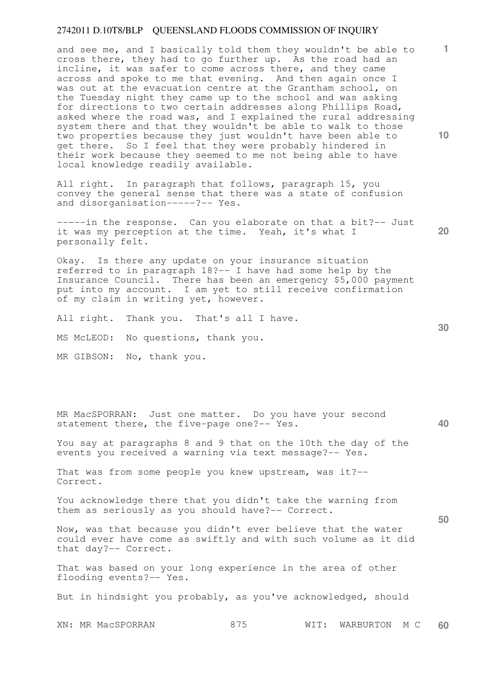and see me, and I basically told them they wouldn't be able to cross there, they had to go further up. As the road had an incline, it was safer to come across there, and they came across and spoke to me that evening. And then again once I was out at the evacuation centre at the Grantham school, on the Tuesday night they came up to the school and was asking for directions to two certain addresses along Phillips Road, asked where the road was, and I explained the rural addressing system there and that they wouldn't be able to walk to those two properties because they just wouldn't have been able to get there. So I feel that they were probably hindered in their work because they seemed to me not being able to have local knowledge readily available.

All right. In paragraph that follows, paragraph 15, you convey the general sense that there was a state of confusion and disorganisation-----?-- Yes.

-----in the response. Can you elaborate on that a bit?-- Just it was my perception at the time. Yeah, it's what I personally felt.

Okay. Is there any update on your insurance situation referred to in paragraph 18?-- I have had some help by the Insurance Council. There has been an emergency \$5,000 payment put into my account. I am yet to still receive confirmation of my claim in writing yet, however.

All right. Thank you. That's all I have.

MS McLEOD: No questions, thank you.

MR GIBSON: No, thank you.

MR MacSPORRAN: Just one matter. Do you have your second statement there, the five-page one?-- Yes.

You say at paragraphs 8 and 9 that on the 10th the day of the events you received a warning via text message?-- Yes.

That was from some people you knew upstream, was it?-- Correct.

You acknowledge there that you didn't take the warning from them as seriously as you should have?-- Correct.

Now, was that because you didn't ever believe that the water could ever have come as swiftly and with such volume as it did that day?-- Correct.

That was based on your long experience in the area of other flooding events?-- Yes.

But in hindsight you probably, as you've acknowledged, should

XN: MR MacSPORRAN 875 WIT: WARBURTON M C **60** 

**20** 

**40** 

**50** 

**10**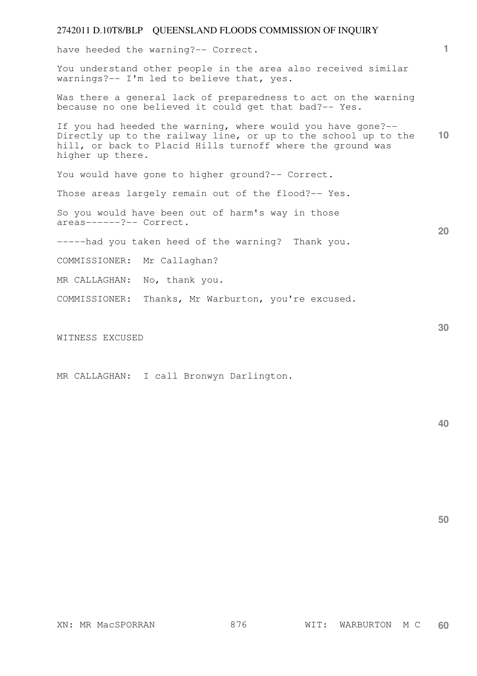have heeded the warning?-- Correct.

You understand other people in the area also received similar warnings?-- I'm led to believe that, yes.

Was there a general lack of preparedness to act on the warning because no one believed it could get that bad?-- Yes.

**10**  If you had heeded the warning, where would you have gone?-- Directly up to the railway line, or up to the school up to the hill, or back to Placid Hills turnoff where the ground was higher up there.

You would have gone to higher ground? -- Correct.

Those areas largely remain out of the flood?-- Yes.

So you would have been out of harm's way in those areas------?-- Correct.

-----had you taken heed of the warning? Thank you.

COMMISSIONER: Mr Callaghan?

MR CALLAGHAN: No, thank you.

COMMISSIONER: Thanks, Mr Warburton, you're excused.

WITNESS EXCUSED

MR CALLAGHAN: I call Bronwyn Darlington.

**40** 

**50** 

**1**

**30**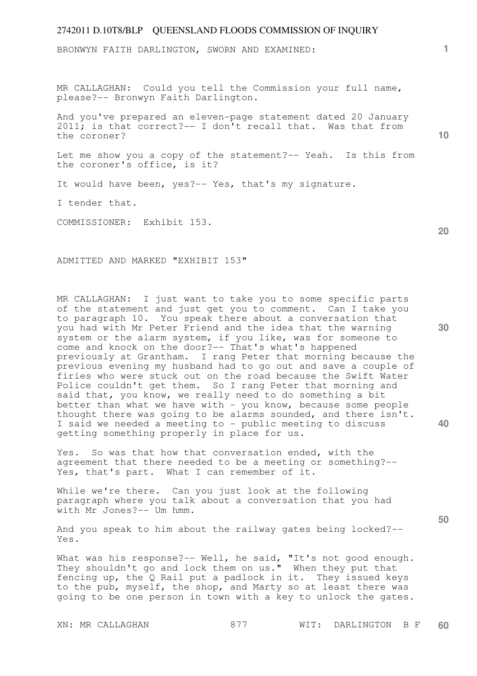BRONWYN FAITH DARLINGTON, SWORN AND EXAMINED:

MR CALLAGHAN: Could you tell the Commission your full name, please?-- Bronwyn Faith Darlington.

And you've prepared an eleven-page statement dated 20 January 2011; is that correct?-- I don't recall that. Was that from the coroner?

Let me show you a copy of the statement?-- Yeah. Is this from the coroner's office, is it?

It would have been, yes?-- Yes, that's my signature.

I tender that.

COMMISSIONER: Exhibit 153.

ADMITTED AND MARKED "EXHIBIT 153"

MR CALLAGHAN: I just want to take you to some specific parts of the statement and just get you to comment. Can I take you to paragraph 10. You speak there about a conversation that you had with Mr Peter Friend and the idea that the warning system or the alarm system, if you like, was for someone to come and knock on the door?-- That's what's happened previously at Grantham. I rang Peter that morning because the previous evening my husband had to go out and save a couple of firies who were stuck out on the road because the Swift Water Police couldn't get them. So I rang Peter that morning and said that, you know, we really need to do something a bit better than what we have with - you know, because some people thought there was going to be alarms sounded, and there isn't. I said we needed a meeting to - public meeting to discuss getting something properly in place for us.

Yes. So was that how that conversation ended, with the agreement that there needed to be a meeting or something?-- Yes, that's part. What I can remember of it.

While we're there. Can you just look at the following paragraph where you talk about a conversation that you had with Mr Jones?-- Um hmm.

And you speak to him about the railway gates being locked?-- Yes.

What was his response?-- Well, he said, "It's not good enough. what was not response: -- well, he said, it s not good enought that fencing up, the Q Rail put a padlock in it. They issued keys to the pub, myself, the shop, and Marty so at least there was going to be one person in town with a key to unlock the gates.

**10** 

**1**

**20** 

**30** 

**40**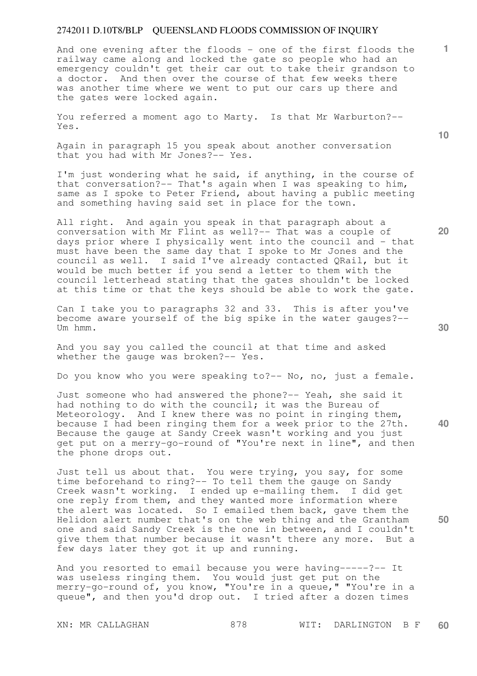And one evening after the floods - one of the first floods the railway came along and locked the gate so people who had an emergency couldn't get their car out to take their grandson to a doctor. And then over the course of that few weeks there was another time where we went to put our cars up there and the gates were locked again.

You referred a moment ago to Marty. Is that Mr Warburton?-- Yes.

Again in paragraph 15 you speak about another conversation that you had with Mr Jones?-- Yes.

I'm just wondering what he said, if anything, in the course of that conversation?-- That's again when I was speaking to him, same as I spoke to Peter Friend, about having a public meeting and something having said set in place for the town.

All right. And again you speak in that paragraph about a conversation with Mr Flint as well?-- That was a couple of days prior where I physically went into the council and - that must have been the same day that I spoke to Mr Jones and the council as well. I said I've already contacted QRail, but it would be much better if you send a letter to them with the council letterhead stating that the gates shouldn't be locked at this time or that the keys should be able to work the gate.

Can I take you to paragraphs 32 and 33. This is after you've become aware yourself of the big spike in the water gauges?-- Um hmm.

And you say you called the council at that time and asked whether the gauge was broken?-- Yes.

Do you know who you were speaking to?-- No, no, just a female.

Just someone who had answered the phone?-- Yeah, she said it had nothing to do with the council; it was the Bureau of Meteorology. And I knew there was no point in ringing them, because I had been ringing them for a week prior to the 27th. Because the gauge at Sandy Creek wasn't working and you just get put on a merry-go-round of "You're next in line", and then the phone drops out.

Just tell us about that. You were trying, you say, for some time beforehand to ring?-- To tell them the gauge on Sandy Creek wasn't working. I ended up e-mailing them. I did get one reply from them, and they wanted more information where the alert was located. So I emailed them back, gave them the Helidon alert number that's on the web thing and the Grantham one and said Sandy Creek is the one in between, and I couldn't give them that number because it wasn't there any more. But a few days later they got it up and running.

And you resorted to email because you were having-----?-- It was useless ringing them. You would just get put on the merry-go-round of, you know, "You're in a queue," "You're in a queue", and then you'd drop out. I tried after a dozen times

XN: MR CALLAGHAN 878 WIT: DARLINGTON B F **60** 

**40** 

**50** 

**20** 

**10**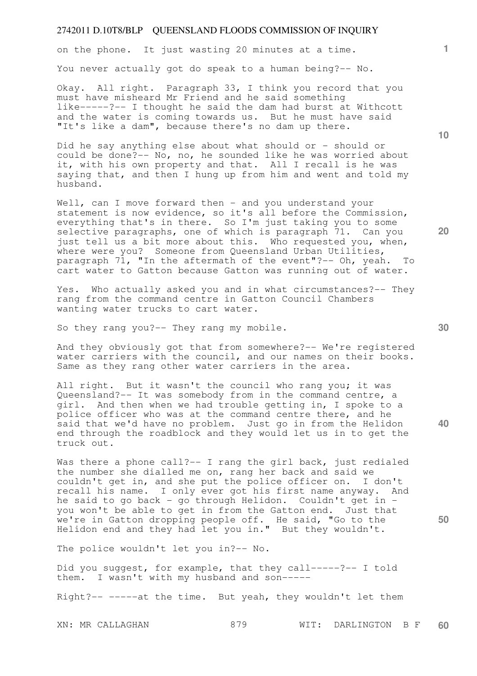on the phone. It just wasting 20 minutes at a time.

You never actually got do speak to a human being?-- No.

Okay. All right. Paragraph 33, I think you record that you must have misheard Mr Friend and he said something like-----?-- I thought he said the dam had burst at Withcott and the water is coming towards us. But he must have said "It's like a dam", because there's no dam up there.

Did he say anything else about what should or - should or could be done?-- No, no, he sounded like he was worried about it, with his own property and that. All I recall is he was saying that, and then I hung up from him and went and told my husband.

Well, can I move forward then - and you understand your statement is now evidence, so it's all before the Commission, everything that's in there. So I'm just taking you to some selective paragraphs, one of which is paragraph 71. Can you just tell us a bit more about this. Who requested you, when, where were you? Someone from Oueensland Urban Utilities, paragraph  $7\overline{1}$ , "In the aftermath of the event"?-- Oh, yeah. To cart water to Gatton because Gatton was running out of water.

Yes. Who actually asked you and in what circumstances?-- They rang from the command centre in Gatton Council Chambers wanting water trucks to cart water.

So they rang you?-- They rang my mobile.

And they obviously got that from somewhere?-- We're registered water carriers with the council, and our names on their books. Same as they rang other water carriers in the area.

All right. But it wasn't the council who rang you; it was Queensland?-- It was somebody from in the command centre, a girl. And then when we had trouble getting in, I spoke to a police officer who was at the command centre there, and he said that we'd have no problem. Just go in from the Helidon end through the roadblock and they would let us in to get the truck out.

Was there a phone call?-- I rang the girl back, just redialed the number she dialled me on, rang her back and said we couldn't get in, and she put the police officer on. I don't recall his name. I only ever got his first name anyway. And he said to go back - go through Helidon. Couldn't get in you won't be able to get in from the Gatton end. Just that we're in Gatton dropping people off. He said, "Go to the Helidon end and they had let you in." But they wouldn't.

The police wouldn't let you in?-- No.

Did you suggest, for example, that they call-----?-- I told them. I wasn't with my husband and son-----

Right?-- -----at the time. But yeah, they wouldn't let them

**10** 

**1**

**20** 

**40**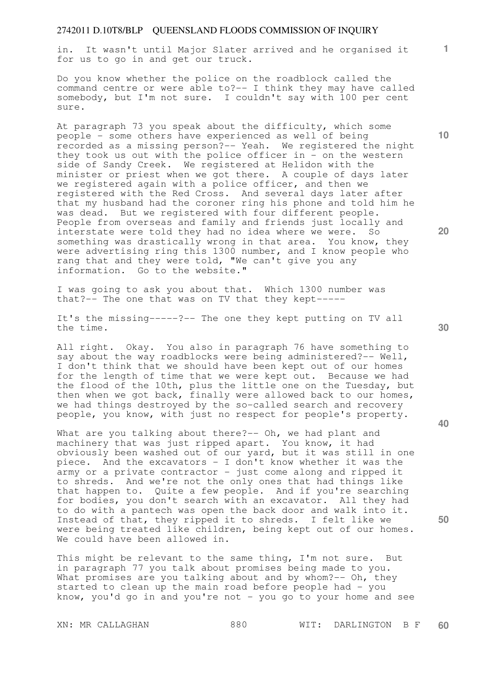in. It wasn't until Major Slater arrived and he organised it for us to go in and get our truck.

Do you know whether the police on the roadblock called the command centre or were able to?-- I think they may have called somebody, but I'm not sure. I couldn't say with 100 per cent sure.

At paragraph 73 you speak about the difficulty, which some people - some others have experienced as well of being recorded as a missing person?-- Yeah. We registered the night they took us out with the police officer in - on the western side of Sandy Creek. We registered at Helidon with the minister or priest when we got there. A couple of days later we registered again with a police officer, and then we registered with the Red Cross. And several days later after that my husband had the coroner ring his phone and told him he was dead. But we registered with four different people. People from overseas and family and friends just locally and interstate were told they had no idea where we were. So something was drastically wrong in that area. You know, they were advertising ring this 1300 number, and I know people who rang that and they were told, "We can't give you any information. Go to the website."

I was going to ask you about that. Which 1300 number was that?-- The one that was on TV that they kept-----

It's the missing-----?-- The one they kept putting on TV all the time.

All right. Okay. You also in paragraph 76 have something to say about the way roadblocks were being administered?-- Well, I don't think that we should have been kept out of our homes for the length of time that we were kept out. Because we had the flood of the 10th, plus the little one on the Tuesday, but then when we got back, finally were allowed back to our homes, we had things destroyed by the so-called search and recovery people, you know, with just no respect for people's property.

What are you talking about there?-- Oh, we had plant and machinery that was just ripped apart. You know, it had obviously been washed out of our yard, but it was still in one piece. And the excavators - I don't know whether it was the army or a private contractor - just come along and ripped it to shreds. And we're not the only ones that had things like that happen to. Quite a few people. And if you're searching for bodies, you don't search with an excavator. All they had to do with a pantech was open the back door and walk into it. Instead of that, they ripped it to shreds. I felt like we were being treated like children, being kept out of our homes. We could have been allowed in.

This might be relevant to the same thing, I'm not sure. But in paragraph 77 you talk about promises being made to you. What promises are you talking about and by whom?-- Oh, they started to clean up the main road before people had - you know, you'd go in and you're not  $-$  you go to your home and see

**30** 

**20** 

**40** 

**50** 

**10**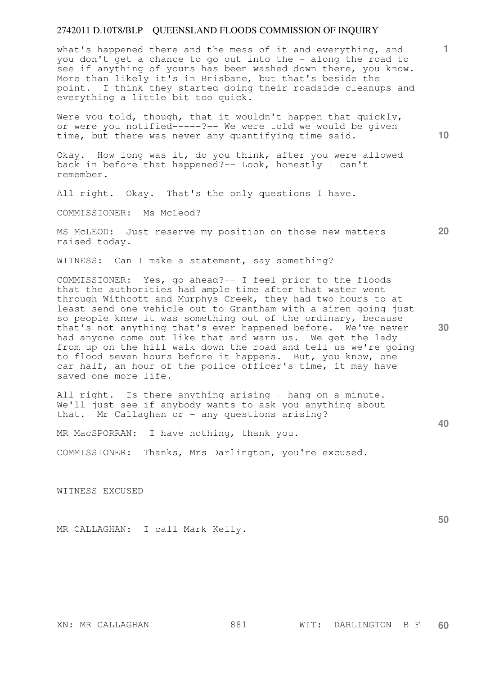what's happened there and the mess of it and everything, and you don't get a chance to go out into the - along the road to see if anything of yours has been washed down there, you know. More than likely it's in Brisbane, but that's beside the point. I think they started doing their roadside cleanups and everything a little bit too quick.

Were you told, though, that it wouldn't happen that quickly, or were you notified-----?-- We were told we would be given time, but there was never any quantifying time said.

Okay. How long was it, do you think, after you were allowed back in before that happened?-- Look, honestly I can't remember.

All right. Okay. That's the only questions I have.

COMMISSIONER: Ms McLeod?

MS McLEOD: Just reserve my position on those new matters raised today.

WITNESS: Can I make a statement, say something?

COMMISSIONER: Yes, go ahead?-- I feel prior to the floods that the authorities had ample time after that water went through Withcott and Murphys Creek, they had two hours to at least send one vehicle out to Grantham with a siren going just so people knew it was something out of the ordinary, because that's not anything that's ever happened before. We've never had anyone come out like that and warn us. We get the lady from up on the hill walk down the road and tell us we're going to flood seven hours before it happens. But, you know, one car half, an hour of the police officer's time, it may have saved one more life.

All right. Is there anything arising - hang on a minute. We'll just see if anybody wants to ask you anything about that. Mr Callaghan or - any questions arising?

MR MacSPORRAN: I have nothing, thank you.

COMMISSIONER: Thanks, Mrs Darlington, you're excused.

WITNESS EXCUSED

MR CALLAGHAN: I call Mark Kelly.

**10** 

**1**

**20** 

**30** 

**40**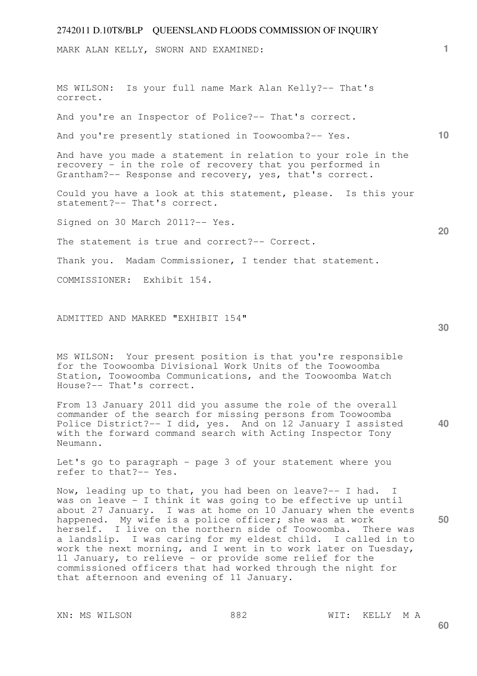MARK ALAN KELLY, SWORN AND EXAMINED:

**10 20**  MS WILSON: Is your full name Mark Alan Kelly?-- That's correct. And you're an Inspector of Police?-- That's correct. And you're presently stationed in Toowoomba?-- Yes. And have you made a statement in relation to your role in the recovery - in the role of recovery that you performed in Grantham?-- Response and recovery, yes, that's correct. Could you have a look at this statement, please. Is this your statement?-- That's correct. Signed on 30 March 2011?-- Yes. The statement is true and correct?-- Correct. Thank you. Madam Commissioner, I tender that statement. COMMISSIONER: Exhibit 154.

ADMITTED AND MARKED "EXHIBIT 154"

MS WILSON: Your present position is that you're responsible for the Toowoomba Divisional Work Units of the Toowoomba Station, Toowoomba Communications, and the Toowoomba Watch House?-- That's correct.

**40**  From 13 January 2011 did you assume the role of the overall commander of the search for missing persons from Toowoomba Police District?-- I did, yes. And on 12 January I assisted with the forward command search with Acting Inspector Tony Neumann.

Let's go to paragraph - page 3 of your statement where you refer to that?-- Yes.

Now, leading up to that, you had been on leave?-- I had. I was on leave - I think it was going to be effective up until about 27 January. I was at home on 10 January when the events happened. My wife is a police officer; she was at work herself. I live on the northern side of Toowoomba. There was a landslip. I was caring for my eldest child. I called in to work the next morning, and I went in to work later on Tuesday, 11 January, to relieve - or provide some relief for the commissioned officers that had worked through the night for that afternoon and evening of 11 January.

XN: MS WILSON 882 WIT: KELLY M A

**50** 

**1**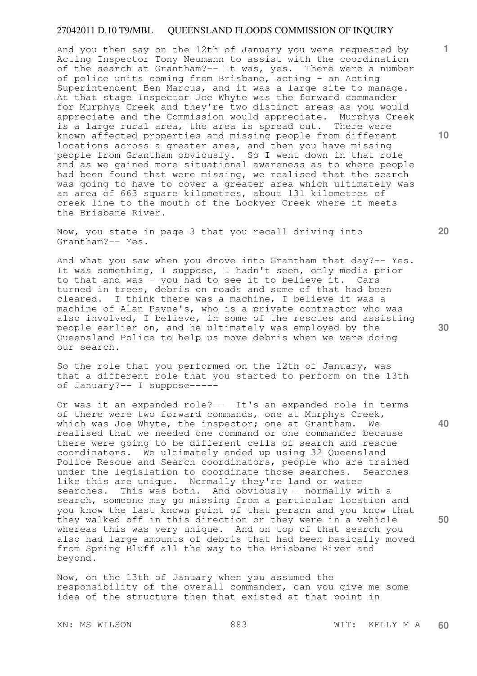And you then say on the 12th of January you were requested by Acting Inspector Tony Neumann to assist with the coordination of the search at Grantham?-- It was, yes. There were a number of police units coming from Brisbane, acting - an Acting Superintendent Ben Marcus, and it was a large site to manage. At that stage Inspector Joe Whyte was the forward commander for Murphys Creek and they're two distinct areas as you would appreciate and the Commission would appreciate. Murphys Creek is a large rural area, the area is spread out. There were known affected properties and missing people from different locations across a greater area, and then you have missing people from Grantham obviously. So I went down in that role and as we gained more situational awareness as to where people had been found that were missing, we realised that the search was going to have to cover a greater area which ultimately was an area of 663 square kilometres, about 131 kilometres of creek line to the mouth of the Lockyer Creek where it meets the Brisbane River.

Now, you state in page 3 that you recall driving into Grantham?-- Yes.

And what you saw when you drove into Grantham that day?-- Yes. It was something, I suppose, I hadn't seen, only media prior to that and was - you had to see it to believe it. Cars turned in trees, debris on roads and some of that had been cleared. I think there was a machine, I believe it was a machine of Alan Payne's, who is a private contractor who was also involved, I believe, in some of the rescues and assisting people earlier on, and he ultimately was employed by the Queensland Police to help us move debris when we were doing our search.

So the role that you performed on the 12th of January, was that a different role that you started to perform on the 13th of January?-- I suppose-----

Or was it an expanded role?-- It's an expanded role in terms of there were two forward commands, one at Murphys Creek, which was Joe Whyte, the inspector; one at Grantham. We realised that we needed one command or one commander because there were going to be different cells of search and rescue coordinators. We ultimately ended up using 32 Queensland Police Rescue and Search coordinators, people who are trained under the legislation to coordinate those searches. Searches like this are unique. Normally they're land or water searches. This was both. And obviously - normally with a search, someone may go missing from a particular location and you know the last known point of that person and you know that they walked off in this direction or they were in a vehicle whereas this was very unique. And on top of that search you also had large amounts of debris that had been basically moved from Spring Bluff all the way to the Brisbane River and beyond.

Now, on the 13th of January when you assumed the responsibility of the overall commander, can you give me some idea of the structure then that existed at that point in

XN: MS WILSON 883 WIT: KELLY M A **60** 

**30** 

**20** 

**50** 

**10**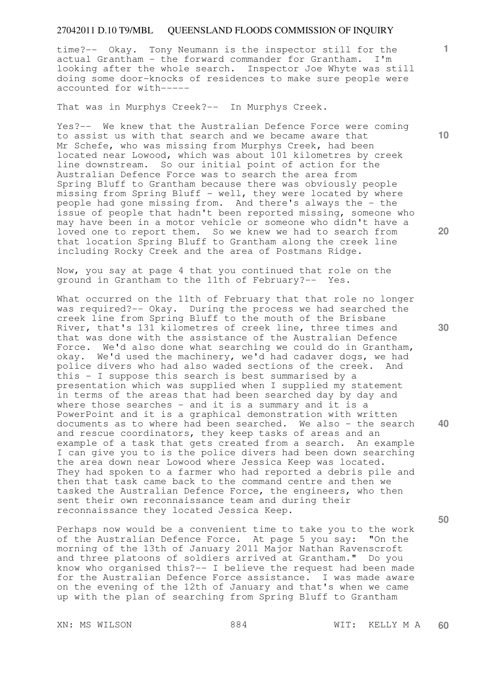time?-- Okay. Tony Neumann is the inspector still for the actual Grantham - the forward commander for Grantham. I'm looking after the whole search. Inspector Joe Whyte was still doing some door-knocks of residences to make sure people were accounted for with-----

That was in Murphys Creek?-- In Murphys Creek.

Yes?-- We knew that the Australian Defence Force were coming to assist us with that search and we became aware that Mr Schefe, who was missing from Murphys Creek, had been located near Lowood, which was about 101 kilometres by creek line downstream. So our initial point of action for the Australian Defence Force was to search the area from Spring Bluff to Grantham because there was obviously people missing from Spring Bluff - well, they were located by where people had gone missing from. And there's always the - the issue of people that hadn't been reported missing, someone who may have been in a motor vehicle or someone who didn't have a loved one to report them. So we knew we had to search from that location Spring Bluff to Grantham along the creek line including Rocky Creek and the area of Postmans Ridge.

Now, you say at page 4 that you continued that role on the ground in Grantham to the 11th of February?-- Yes.

What occurred on the 11th of February that that role no longer was required?-- Okay. During the process we had searched the creek line from Spring Bluff to the mouth of the Brisbane River, that's 131 kilometres of creek line, three times and that was done with the assistance of the Australian Defence Force. We'd also done what searching we could do in Grantham, okay. We'd used the machinery, we'd had cadaver dogs, we had police divers who had also waded sections of the creek. And this - I suppose this search is best summarised by a presentation which was supplied when I supplied my statement in terms of the areas that had been searched day by day and where those searches - and it is a summary and it is a PowerPoint and it is a graphical demonstration with written documents as to where had been searched. We also - the search and rescue coordinators, they keep tasks of areas and an example of a task that gets created from a search. An example I can give you to is the police divers had been down searching the area down near Lowood where Jessica Keep was located. They had spoken to a farmer who had reported a debris pile and then that task came back to the command centre and then we tasked the Australian Defence Force, the engineers, who then sent their own reconnaissance team and during their reconnaissance they located Jessica Keep.

Perhaps now would be a convenient time to take you to the work of the Australian Defence Force. At page 5 you say: "On the morning of the 13th of January 2011 Major Nathan Ravenscroft and three platoons of soldiers arrived at Grantham." Do you know who organised this?-- I believe the request had been made for the Australian Defence Force assistance. I was made aware on the evening of the 12th of January and that's when we came up with the plan of searching from Spring Bluff to Grantham

**10** 

**1**

**20** 

**30** 

**40**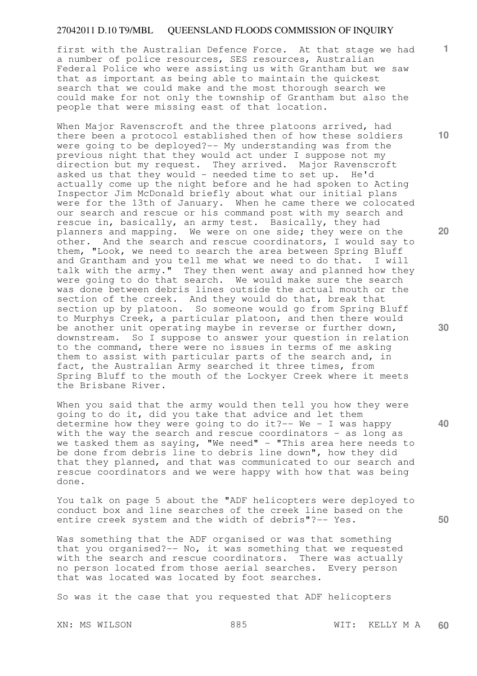first with the Australian Defence Force. At that stage we had a number of police resources, SES resources, Australian Federal Police who were assisting us with Grantham but we saw that as important as being able to maintain the quickest search that we could make and the most thorough search we could make for not only the township of Grantham but also the people that were missing east of that location.

When Major Ravenscroft and the three platoons arrived, had there been a protocol established then of how these soldiers were going to be deployed?-- My understanding was from the previous night that they would act under I suppose not my direction but my request. They arrived. Major Ravenscroft asked us that they would - needed time to set up. He'd actually come up the night before and he had spoken to Acting Inspector Jim McDonald briefly about what our initial plans were for the 13th of January. When he came there we colocated our search and rescue or his command post with my search and rescue in, basically, an army test. Basically, they had planners and mapping. We were on one side; they were on the other. And the search and rescue coordinators, I would say to them, "Look, we need to search the area between Spring Bluff and Grantham and you tell me what we need to do that. I will talk with the army." They then went away and planned how they were going to do that search. We would make sure the search was done between debris lines outside the actual mouth or the section of the creek. And they would do that, break that section up by platoon. So someone would go from Spring Bluff to Murphys Creek, a particular platoon, and then there would be another unit operating maybe in reverse or further down, downstream. So I suppose to answer your question in relation to the command, there were no issues in terms of me asking them to assist with particular parts of the search and, in fact, the Australian Army searched it three times, from Spring Bluff to the mouth of the Lockyer Creek where it meets the Brisbane River.

When you said that the army would then tell you how they were going to do it, did you take that advice and let them determine how they were going to do it? -- We - I was happy with the way the search and rescue coordinators - as long as we tasked them as saying, "We need"  $-$  "This area here needs to be done from debris line to debris line down", how they did that they planned, and that was communicated to our search and rescue coordinators and we were happy with how that was being done.

You talk on page 5 about the "ADF helicopters were deployed to conduct box and line searches of the creek line based on the entire creek system and the width of debris"?-- Yes.

Was something that the ADF organised or was that something that you organised?-- No, it was something that we requested with the search and rescue coordinators. There was actually no person located from those aerial searches. Every person that was located was located by foot searches.

So was it the case that you requested that ADF helicopters

**10** 

**1**

**20** 

**30** 

**40**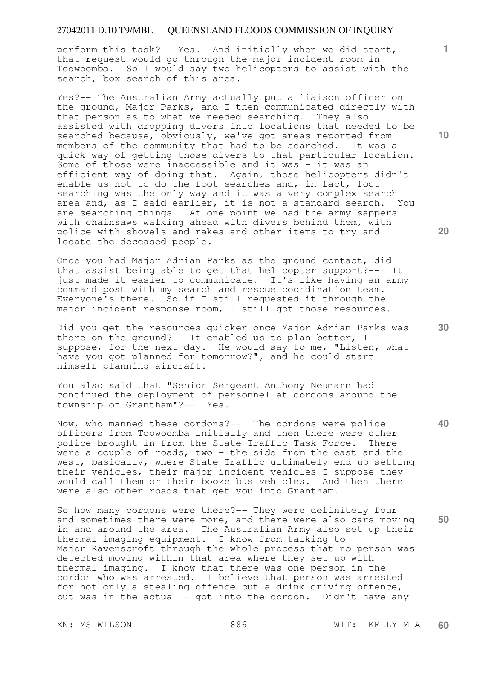perform this task?-- Yes. And initially when we did start, that request would go through the major incident room in Toowoomba. So I would say two helicopters to assist with the search, box search of this area.

Yes?-- The Australian Army actually put a liaison officer on the ground, Major Parks, and I then communicated directly with that person as to what we needed searching. They also assisted with dropping divers into locations that needed to be searched because, obviously, we've got areas reported from members of the community that had to be searched. It was a quick way of getting those divers to that particular location. Some of those were inaccessible and it was - it was an efficient way of doing that. Again, those helicopters didn't enable us not to do the foot searches and, in fact, foot searching was the only way and it was a very complex search area and, as I said earlier, it is not a standard search. You are searching things. At one point we had the army sappers with chainsaws walking ahead with divers behind them, with police with shovels and rakes and other items to try and locate the deceased people.

Once you had Major Adrian Parks as the ground contact, did that assist being able to get that helicopter support?-- It just made it easier to communicate. It's like having an army command post with my search and rescue coordination team. Everyone's there. So if I still requested it through the major incident response room, I still got those resources.

Did you get the resources quicker once Major Adrian Parks was there on the ground?-- It enabled us to plan better, I suppose, for the next day. He would say to me, "Listen, what have you got planned for tomorrow?", and he could start himself planning aircraft.

You also said that "Senior Sergeant Anthony Neumann had continued the deployment of personnel at cordons around the township of Grantham"?-- Yes.

Now, who manned these cordons?-- The cordons were police officers from Toowoomba initially and then there were other police brought in from the State Traffic Task Force. There were a couple of roads, two - the side from the east and the west, basically, where State Traffic ultimately end up setting their vehicles, their major incident vehicles I suppose they would call them or their booze bus vehicles. And then there were also other roads that get you into Grantham.

**50**  So how many cordons were there?-- They were definitely four and sometimes there were more, and there were also cars moving in and around the area. The Australian Army also set up their thermal imaging equipment. I know from talking to Major Ravenscroft through the whole process that no person was detected moving within that area where they set up with thermal imaging. I know that there was one person in the cordon who was arrested. I believe that person was arrested for not only a stealing offence but a drink driving offence, but was in the actual - got into the cordon. Didn't have any

**10** 

**1**

**20**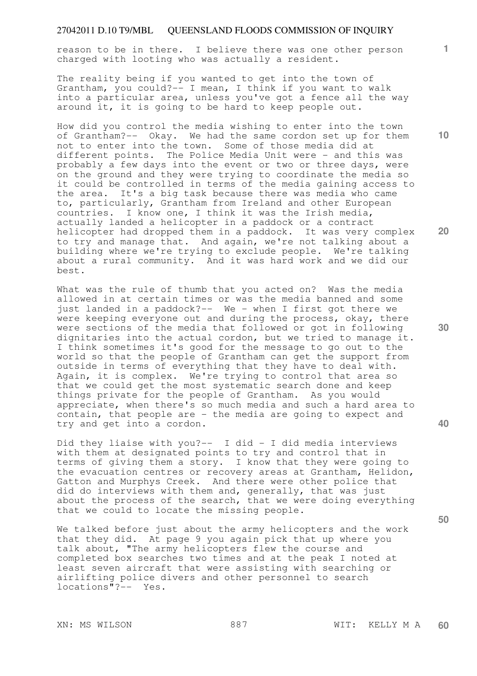reason to be in there. I believe there was one other person charged with looting who was actually a resident.

The reality being if you wanted to get into the town of Grantham, you could?-- I mean, I think if you want to walk into a particular area, unless you've got a fence all the way around it, it is going to be hard to keep people out.

How did you control the media wishing to enter into the town of Grantham?-- Okay. We had the same cordon set up for them not to enter into the town. Some of those media did at different points. The Police Media Unit were - and this was probably a few days into the event or two or three days, were on the ground and they were trying to coordinate the media so it could be controlled in terms of the media gaining access to the area. It's a big task because there was media who came to, particularly, Grantham from Ireland and other European countries. I know one, I think it was the Irish media, actually landed a helicopter in a paddock or a contract helicopter had dropped them in a paddock. It was very complex to try and manage that. And again, we're not talking about a building where we're trying to exclude people. We're talking about a rural community. And it was hard work and we did our best.

What was the rule of thumb that you acted on? Was the media allowed in at certain times or was the media banned and some just landed in a paddock?-- We - when I first got there we were keeping everyone out and during the process, okay, there were sections of the media that followed or got in following dignitaries into the actual cordon, but we tried to manage it. I think sometimes it's good for the message to go out to the world so that the people of Grantham can get the support from outside in terms of everything that they have to deal with. Again, it is complex. We're trying to control that area so that we could get the most systematic search done and keep things private for the people of Grantham. As you would appreciate, when there's so much media and such a hard area to contain, that people are - the media are going to expect and try and get into a cordon.

Did they liaise with you?-- I did - I did media interviews with them at designated points to try and control that in terms of giving them a story. I know that they were going to the evacuation centres or recovery areas at Grantham, Helidon, Gatton and Murphys Creek. And there were other police that did do interviews with them and, generally, that was just about the process of the search, that we were doing everything that we could to locate the missing people.

We talked before just about the army helicopters and the work that they did. At page 9 you again pick that up where you talk about, "The army helicopters flew the course and completed box searches two times and at the peak I noted at least seven aircraft that were assisting with searching or airlifting police divers and other personnel to search locations"?-- Yes.

**50** 

**10** 

**20** 

**30** 

**40**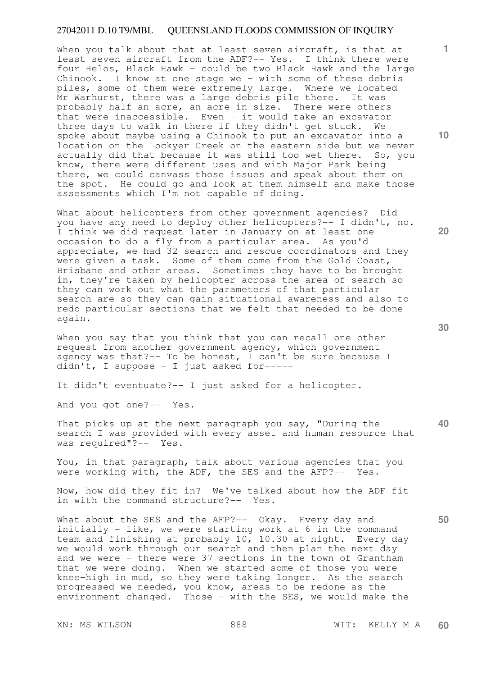When you talk about that at least seven aircraft, is that at least seven aircraft from the ADF?-- Yes. I think there were four Helos, Black Hawk - could be two Black Hawk and the large Chinook. I know at one stage we - with some of these debris piles, some of them were extremely large. Where we located Mr Warhurst, there was a large debris pile there. It was probably half an acre, an acre in size. There were others that were inaccessible. Even - it would take an excavator three days to walk in there if they didn't get stuck. We spoke about maybe using a Chinook to put an excavator into a location on the Lockyer Creek on the eastern side but we never actually did that because it was still too wet there. So, you know, there were different uses and with Major Park being there, we could canvass those issues and speak about them on the spot. He could go and look at them himself and make those assessments which I'm not capable of doing.

What about helicopters from other government agencies? Did you have any need to deploy other helicopters?-- I didn't, no. I think we did request later in January on at least one occasion to do a fly from a particular area. As you'd appreciate, we had 32 search and rescue coordinators and they were given a task. Some of them come from the Gold Coast, Brisbane and other areas. Sometimes they have to be brought in, they're taken by helicopter across the area of search so they can work out what the parameters of that particular search are so they can gain situational awareness and also to redo particular sections that we felt that needed to be done again.

When you say that you think that you can recall one other request from another government agency, which government agency was that?-- To be honest, I can't be sure because I didn't, I suppose - I just asked for-----

It didn't eventuate?-- I just asked for a helicopter.

And you got one?-- Yes.

That picks up at the next paragraph you say, "During the search I was provided with every asset and human resource that was required"?-- Yes.

You, in that paragraph, talk about various agencies that you were working with, the ADF, the SES and the AFP?-- Yes.

Now, how did they fit in? We've talked about how the ADF fit in with the command structure?-- Yes.

What about the SES and the AFP?-- Okay. Every day and initially - like, we were starting work at 6 in the command team and finishing at probably 10, 10.30 at night. Every day we would work through our search and then plan the next day and we were - there were 37 sections in the town of Grantham that we were doing. When we started some of those you were knee-high in mud, so they were taking longer. As the search progressed we needed, you know, areas to be redone as the environment changed. Those - with the SES, we would make the

**10** 

**1**

**20** 

**40**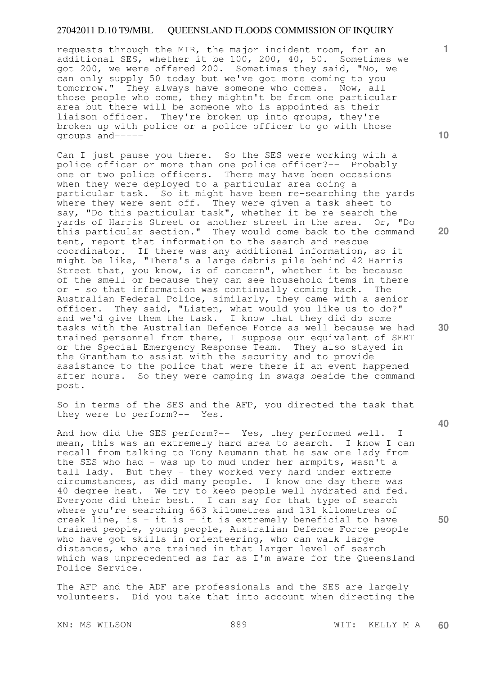requests through the MIR, the major incident room, for an additional SES, whether it be 100, 200, 40, 50. Sometimes we got 200, we were offered 200. Sometimes they said, "No, we can only supply 50 today but we've got more coming to you tomorrow." They always have someone who comes. Now, all those people who come, they mightn't be from one particular area but there will be someone who is appointed as their liaison officer. They're broken up into groups, they're broken up with police or a police officer to go with those groups and-----

Can I just pause you there. So the SES were working with a police officer or more than one police officer?-- Probably one or two police officers. There may have been occasions when they were deployed to a particular area doing a particular task. So it might have been re-searching the vards where they were sent off. They were given a task sheet to say, "Do this particular task", whether it be re-search the yards of Harris Street or another street in the area. Or, "Do this particular section." They would come back to the command tent, report that information to the search and rescue coordinator. If there was any additional information, so it might be like, "There's a large debris pile behind 42 Harris Street that, you know, is of concern", whether it be because of the smell or because they can see household items in there or - so that information was continually coming back. The Australian Federal Police, similarly, they came with a senior officer. They said, "Listen, what would you like us to do?" and we'd give them the task. I know that they did do some tasks with the Australian Defence Force as well because we had trained personnel from there, I suppose our equivalent of SERT or the Special Emergency Response Team. They also stayed in the Grantham to assist with the security and to provide assistance to the police that were there if an event happened after hours. So they were camping in swags beside the command post.

So in terms of the SES and the AFP, you directed the task that they were to perform?-- Yes.

And how did the SES perform?-- Yes, they performed well. I mean, this was an extremely hard area to search. I know I can recall from talking to Tony Neumann that he saw one lady from the SES who had - was up to mud under her armpits, wasn't a tall lady. But they - they worked very hard under extreme circumstances, as did many people. I know one day there was 40 degree heat. We try to keep people well hydrated and fed. Everyone did their best. I can say for that type of search where you're searching 663 kilometres and 131 kilometres of creek line, is - it is - it is extremely beneficial to have trained people, young people, Australian Defence Force people who have got skills in orienteering, who can walk large distances, who are trained in that larger level of search which was unprecedented as far as I'm aware for the Queensland Police Service.

The AFP and the ADF are professionals and the SES are largely volunteers. Did you take that into account when directing the

XN: MS WILSON 889 WIT: KELLY M A **60** 

**10** 

**1**

**20** 

**30** 

**40**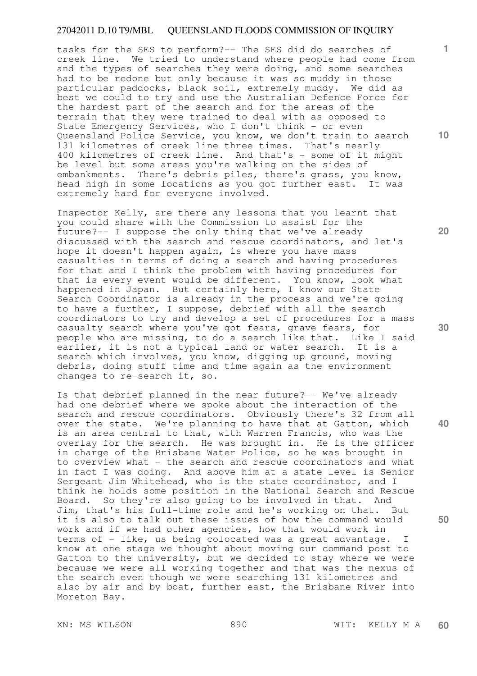tasks for the SES to perform?-- The SES did do searches of creek line. We tried to understand where people had come from and the types of searches they were doing, and some searches had to be redone but only because it was so muddy in those particular paddocks, black soil, extremely muddy. We did as best we could to try and use the Australian Defence Force for the hardest part of the search and for the areas of the terrain that they were trained to deal with as opposed to State Emergency Services, who I don't think - or even Queensland Police Service, you know, we don't train to search 131 kilometres of creek line three times. That's nearly 400 kilometres of creek line. And that's - some of it might be level but some areas you're walking on the sides of embankments. There's debris piles, there's grass, you know, head high in some locations as you got further east. It was extremely hard for everyone involved.

Inspector Kelly, are there any lessons that you learnt that you could share with the Commission to assist for the future?-- I suppose the only thing that we've already discussed with the search and rescue coordinators, and let's hope it doesn't happen again, is where you have mass casualties in terms of doing a search and having procedures for that and I think the problem with having procedures for that is every event would be different. You know, look what happened in Japan. But certainly here, I know our State Search Coordinator is already in the process and we're going to have a further, I suppose, debrief with all the search coordinators to try and develop a set of procedures for a mass casualty search where you've got fears, grave fears, for people who are missing, to do a search like that. Like I said earlier, it is not a typical land or water search. It is a search which involves, you know, digging up ground, moving debris, doing stuff time and time again as the environment changes to re-search it, so.

Is that debrief planned in the near future?-- We've already had one debrief where we spoke about the interaction of the search and rescue coordinators. Obviously there's 32 from all over the state. We're planning to have that at Gatton, which is an area central to that, with Warren Francis, who was the overlay for the search. He was brought in. He is the officer in charge of the Brisbane Water Police, so he was brought in to overview what - the search and rescue coordinators and what in fact I was doing. And above him at a state level is Senior Sergeant Jim Whitehead, who is the state coordinator, and I think he holds some position in the National Search and Rescue Board. So they're also going to be involved in that. And Jim, that's his full-time role and he's working on that. But it is also to talk out these issues of how the command would work and if we had other agencies, how that would work in terms of - like, us being colocated was a great advantage. I know at one stage we thought about moving our command post to Gatton to the university, but we decided to stay where we were because we were all working together and that was the nexus of the search even though we were searching 131 kilometres and also by air and by boat, further east, the Brisbane River into Moreton Bay.

**1**

**20** 

**30** 

**40**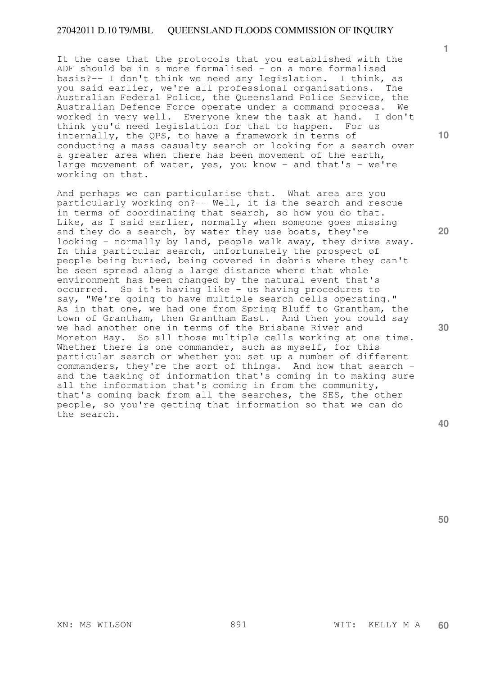It the case that the protocols that you established with the ADF should be in a more formalised - on a more formalised basis?-- I don't think we need any legislation. I think, as you said earlier, we're all professional organisations. The Australian Federal Police, the Queensland Police Service, the Australian Defence Force operate under a command process. We worked in very well. Everyone knew the task at hand. I don't think you'd need legislation for that to happen. For us internally, the QPS, to have a framework in terms of conducting a mass casualty search or looking for a search over a greater area when there has been movement of the earth, large movement of water, yes, you know - and that's - we're working on that.

And perhaps we can particularise that. What area are you particularly working on?-- Well, it is the search and rescue in terms of coordinating that search, so how you do that. Like, as I said earlier, normally when someone goes missing and they do a search, by water they use boats, they're looking - normally by land, people walk away, they drive away. In this particular search, unfortunately the prospect of people being buried, being covered in debris where they can't be seen spread along a large distance where that whole environment has been changed by the natural event that's occurred. So it's having like - us having procedures to say, "We're going to have multiple search cells operating." As in that one, we had one from Spring Bluff to Grantham, the town of Grantham, then Grantham East. And then you could say we had another one in terms of the Brisbane River and Moreton Bay. So all those multiple cells working at one time. Whether there is one commander, such as myself, for this particular search or whether you set up a number of different commanders, they're the sort of things. And how that search and the tasking of information that's coming in to making sure all the information that's coming in from the community, that's coming back from all the searches, the SES, the other people, so you're getting that information so that we can do the search.

**40** 

**50** 

**30** 

**1**

**20**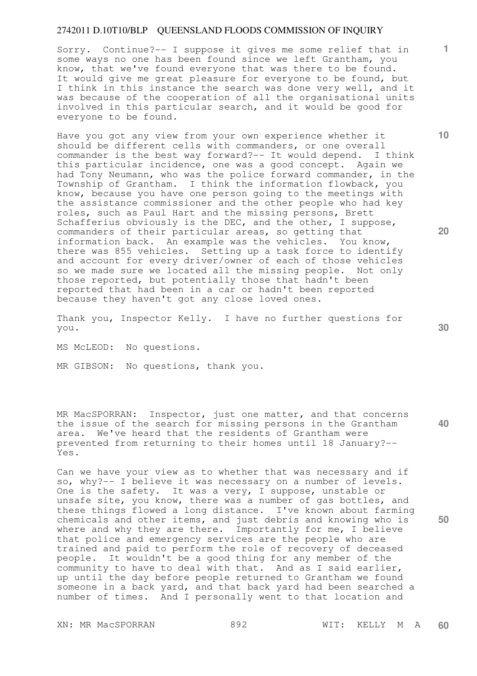Sorry. Continue?-- I suppose it gives me some relief that in some ways no one has been found since we left Grantham, you know, that we've found everyone that was there to be found. It would give me great pleasure for everyone to be found, but I think in this instance the search was done very well, and it was because of the cooperation of all the organisational units involved in this particular search, and it would be good for everyone to be found.

Have you got any view from your own experience whether it should be different cells with commanders, or one overall commander is the best way forward?-- It would depend. I think this particular incidence, one was a good concept. Again we had Tony Neumann, who was the police forward commander, in the Township of Grantham. I think the information flowback, you know, because you have one person going to the meetings with the assistance commissioner and the other people who had key roles, such as Paul Hart and the missing persons, Brett Schafferius obviously is the DEC, and the other, I suppose, commanders of their particular areas, so getting that information back. An example was the vehicles. You know, there was 855 vehicles. Setting up a task force to identify and account for every driver/owner of each of those vehicles so we made sure we located all the missing people. Not only those reported, but potentially those that hadn't been reported that had been in a car or hadn't been reported because they haven't got any close loved ones.

Thank you, Inspector Kelly. I have no further questions for you.

MS McLEOD: No questions.

MR GIBSON: No questions, thank you.

MR MacSPORRAN: Inspector, just one matter, and that concerns the issue of the search for missing persons in the Grantham area. We've heard that the residents of Grantham were prevented from returning to their homes until 18 January?-- Yes.

Can we have your view as to whether that was necessary and if so, why?-- I believe it was necessary on a number of levels. One is the safety. It was a very, I suppose, unstable or unsafe site, you know, there was a number of gas bottles, and these things flowed a long distance. I've known about farming chemicals and other items, and just debris and knowing who is where and why they are there. Importantly for me, I believe that police and emergency services are the people who are trained and paid to perform the role of recovery of deceased people. It wouldn't be a good thing for any member of the community to have to deal with that. And as I said earlier, up until the day before people returned to Grantham we found someone in a back yard, and that back yard had been searched a number of times. And I personally went to that location and

**20** 

**10** 

**40** 

**50**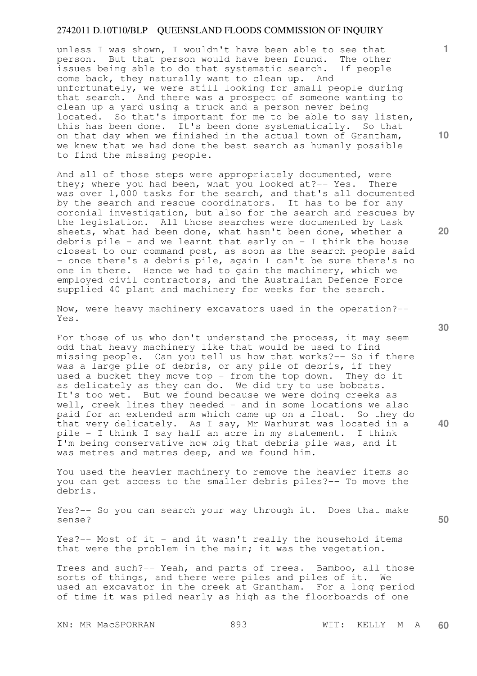unless I was shown, I wouldn't have been able to see that person. But that person would have been found. The other issues being able to do that systematic search. If people come back, they naturally want to clean up. And unfortunately, we were still looking for small people during that search. And there was a prospect of someone wanting to clean up a yard using a truck and a person never being located. So that's important for me to be able to say listen, this has been done. It's been done systematically. So that on that day when we finished in the actual town of Grantham, we knew that we had done the best search as humanly possible to find the missing people.

And all of those steps were appropriately documented, were they; where you had been, what you looked at?-- Yes. There was over 1,000 tasks for the search, and that's all documented by the search and rescue coordinators. It has to be for any coronial investigation, but also for the search and rescues by the legislation. All those searches were documented by task sheets, what had been done, what hasn't been done, whether a debris pile - and we learnt that early on - I think the house closest to our command post, as soon as the search people said - once there's a debris pile, again I can't be sure there's no one in there. Hence we had to gain the machinery, which we employed civil contractors, and the Australian Defence Force supplied 40 plant and machinery for weeks for the search.

Now, were heavy machinery excavators used in the operation?-- Yes.

For those of us who don't understand the process, it may seem odd that heavy machinery like that would be used to find missing people. Can you tell us how that works?-- So if there was a large pile of debris, or any pile of debris, if they used a bucket they move top - from the top down. They do it as delicately as they can do. We did try to use bobcats. It's too wet. But we found because we were doing creeks as well, creek lines they needed - and in some locations we also paid for an extended arm which came up on a float. So they do that very delicately. As I say, Mr Warhurst was located in a pile - I think I say half an acre in my statement. I think I'm being conservative how big that debris pile was, and it was metres and metres deep, and we found him.

You used the heavier machinery to remove the heavier items so you can get access to the smaller debris piles?-- To move the debris.

Yes?-- So you can search your way through it. Does that make sense?

Yes?-- Most of it - and it wasn't really the household items that were the problem in the main; it was the vegetation.

Trees and such?-- Yeah, and parts of trees. Bamboo, all those sorts of things, and there were piles and piles of it. We used an excavator in the creek at Grantham. For a long period of time it was piled nearly as high as the floorboards of one

**10** 

**1**

**20** 

**40**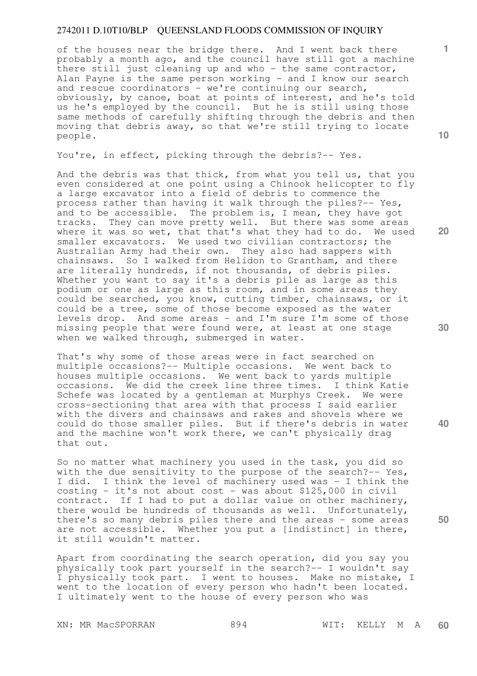of the houses near the bridge there. And I went back there probably a month ago, and the council have still got a machine there still just cleaning up and who - the same contractor, Alan Payne is the same person working - and I know our search and rescue coordinators - we're continuing our search, obviously, by canoe, boat at points of interest, and he's told us he's employed by the council. But he is still using those same methods of carefully shifting through the debris and then moving that debris away, so that we're still trying to locate people.

You're, in effect, picking through the debris?-- Yes.

And the debris was that thick, from what you tell us, that you even considered at one point using a Chinook helicopter to fly a large excavator into a field of debris to commence the process rather than having it walk through the piles?-- Yes, and to be accessible. The problem is, I mean, they have got tracks. They can move pretty well. But there was some areas where it was so wet, that that's what they had to do. We used smaller excavators. We used two civilian contractors; the Australian Army had their own. They also had sappers with chainsaws. So I walked from Helidon to Grantham, and there are literally hundreds, if not thousands, of debris piles. Whether you want to say it's a debris pile as large as this podium or one as large as this room, and in some areas they could be searched, you know, cutting timber, chainsaws, or it could be a tree, some of those become exposed as the water levels drop. And some areas - and I'm sure I'm some of those missing people that were found were, at least at one stage when we walked through, submerged in water.

That's why some of those areas were in fact searched on multiple occasions?-- Multiple occasions. We went back to houses multiple occasions. We went back to yards multiple occasions. We did the creek line three times. I think Katie Schefe was located by a gentleman at Murphys Creek. We were cross-sectioning that area with that process I said earlier with the divers and chainsaws and rakes and shovels where we could do those smaller piles. But if there's debris in water and the machine won't work there, we can't physically drag that out.

So no matter what machinery you used in the task, you did so with the due sensitivity to the purpose of the search?-- Yes, I did. I think the level of machinery used was - I think the costing - it's not about cost - was about  $$125,000$  in civil contract. If I had to put a dollar value on other machinery, there would be hundreds of thousands as well. Unfortunately, there's so many debris piles there and the areas - some areas are not accessible. Whether you put a [indistinct] in there, it still wouldn't matter.

Apart from coordinating the search operation, did you say you physically took part yourself in the search?-- I wouldn't say I physically took part. I went to houses. Make no mistake, I went to the location of every person who hadn't been located. I ultimately went to the house of every person who was

XN: MR MacSPORRAN 894 WIT: KELLY M A

**10** 

**1**

**20** 

**30** 

**50**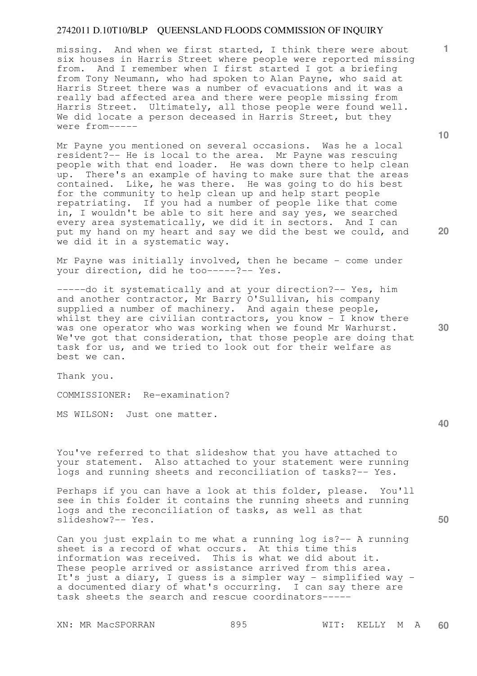missing. And when we first started, I think there were about six houses in Harris Street where people were reported missing from. And I remember when I first started I got a briefing from Tony Neumann, who had spoken to Alan Payne, who said at Harris Street there was a number of evacuations and it was a really bad affected area and there were people missing from Harris Street. Ultimately, all those people were found well. We did locate a person deceased in Harris Street, but they were from-----

Mr Payne you mentioned on several occasions. Was he a local resident?-- He is local to the area. Mr Payne was rescuing people with that end loader. He was down there to help clean up. There's an example of having to make sure that the areas contained. Like, he was there. He was going to do his best for the community to help clean up and help start people repatriating. If you had a number of people like that come in, I wouldn't be able to sit here and say yes, we searched every area systematically, we did it in sectors. And I can put my hand on my heart and say we did the best we could, and we did it in a systematic way.

Mr Payne was initially involved, then he became - come under your direction, did he too-----?-- Yes.

-----do it systematically and at your direction?-- Yes, him and another contractor, Mr Barry O'Sullivan, his company supplied a number of machinery. And again these people, whilst they are civilian contractors, you know  $-$  I know there was one operator who was working when we found Mr Warhurst. We've got that consideration, that those people are doing that task for us, and we tried to look out for their welfare as best we can.

Thank you.

COMMISSIONER: Re-examination?

MS WILSON: Just one matter.

You've referred to that slideshow that you have attached to your statement. Also attached to your statement were running logs and running sheets and reconciliation of tasks?-- Yes.

Perhaps if you can have a look at this folder, please. You'll see in this folder it contains the running sheets and running logs and the reconciliation of tasks, as well as that slideshow?-- Yes.

Can you just explain to me what a running log is?-- A running sheet is a record of what occurs. At this time this information was received. This is what we did about it. These people arrived or assistance arrived from this area. It's just a diary, I guess is a simpler way - simplified way a documented diary of what's occurring. I can say there are task sheets the search and rescue coordinators-----

XN: MR MacSPORRAN 895 WIT: KELLY M A

**10** 

**1**

**20** 

**30** 

**40**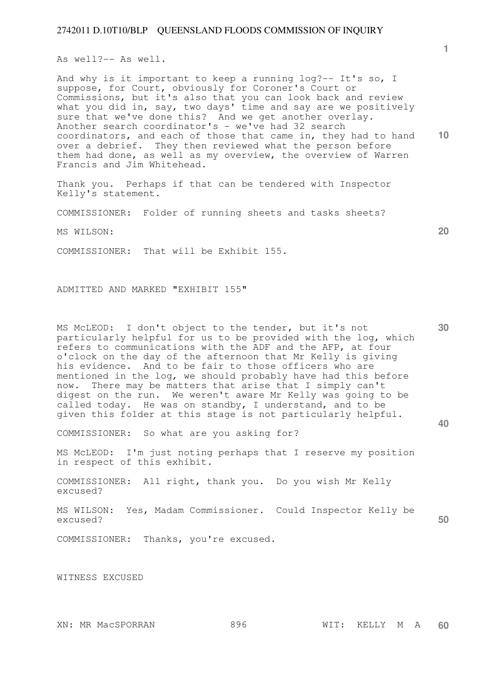As well?-- As well.

**10**  And why is it important to keep a running log?-- It's so, I suppose, for Court, obviously for Coroner's Court or Commissions, but it's also that you can look back and review what you did in, say, two days' time and say are we positively sure that we've done this? And we get another overlay. Another search coordinator's - we've had 32 search coordinators, and each of those that came in, they had to hand over a debrief. They then reviewed what the person before them had done, as well as my overview, the overview of Warren Francis and Jim Whitehead.

Thank you. Perhaps if that can be tendered with Inspector Kelly's statement.

COMMISSIONER: Folder of running sheets and tasks sheets?

MS WILSON:

COMMISSIONER: That will be Exhibit 155.

ADMITTED AND MARKED "EXHIBIT 155"

**30**  MS McLEOD: I don't object to the tender, but it's not particularly helpful for us to be provided with the log, which particularly notpict for as to be provided more the separate refers to communications with the ADF and the AFP, at four o'clock on the day of the afternoon that Mr Kelly is giving his evidence. And to be fair to those officers who are mentioned in the log, we should probably have had this before now. There may be matters that arise that I simply can't digest on the run. We weren't aware Mr Kelly was going to be called today. He was on standby, I understand, and to be given this folder at this stage is not particularly helpful.

COMMISSIONER: So what are you asking for?

MS McLEOD: I'm just noting perhaps that I reserve my position in respect of this exhibit.

COMMISSIONER: All right, thank you. Do you wish Mr Kelly excused?

**50**  MS WILSON: Yes, Madam Commissioner. Could Inspector Kelly be excused?

COMMISSIONER: Thanks, you're excused.

WITNESS EXCUSED

**1**

**20**